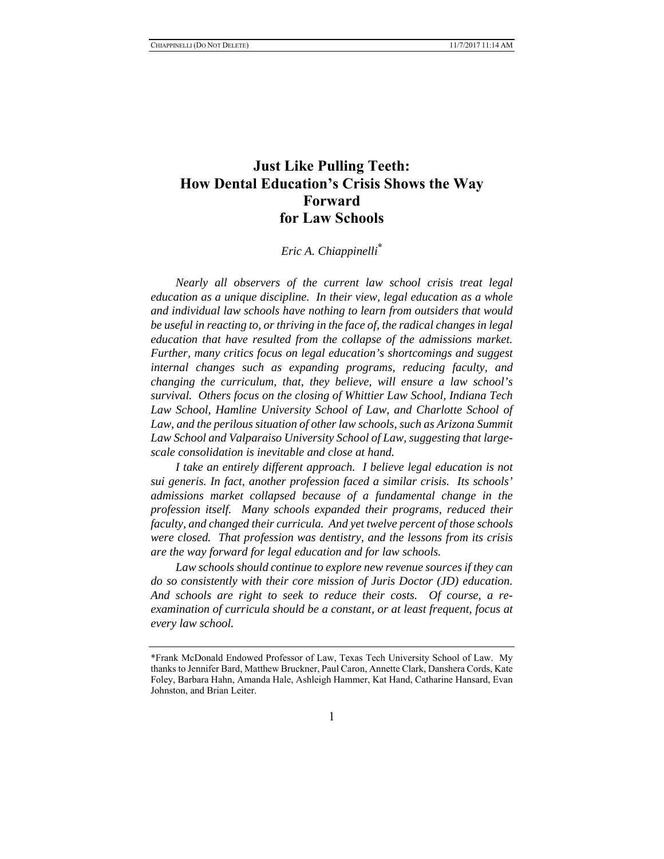# **Just Like Pulling Teeth: How Dental Education's Crisis Shows the Way Forward for Law Schools**

# *Eric A. Chiappinelli***\***

*Nearly all observers of the current law school crisis treat legal education as a unique discipline. In their view, legal education as a whole and individual law schools have nothing to learn from outsiders that would be useful in reacting to, or thriving in the face of, the radical changes in legal education that have resulted from the collapse of the admissions market. Further, many critics focus on legal education's shortcomings and suggest internal changes such as expanding programs, reducing faculty, and changing the curriculum, that, they believe, will ensure a law school's survival. Others focus on the closing of Whittier Law School, Indiana Tech*  Law School, Hamline University School of Law, and Charlotte School of Law, and the perilous situation of other law schools, such as Arizona Summit *Law School and Valparaiso University School of Law, suggesting that largescale consolidation is inevitable and close at hand.*

*I take an entirely different approach. I believe legal education is not sui generis. In fact, another profession faced a similar crisis. Its schools' admissions market collapsed because of a fundamental change in the profession itself. Many schools expanded their programs, reduced their faculty, and changed their curricula. And yet twelve percent of those schools were closed. That profession was dentistry, and the lessons from its crisis are the way forward for legal education and for law schools.*

*Law schools should continue to explore new revenue sources if they can do so consistently with their core mission of Juris Doctor (JD) education. And schools are right to seek to reduce their costs. Of course, a reexamination of curricula should be a constant, or at least frequent, focus at every law school.*

<sup>\*</sup>Frank McDonald Endowed Professor of Law, Texas Tech University School of Law. My thanks to Jennifer Bard, Matthew Bruckner, Paul Caron, Annette Clark, Danshera Cords, Kate Foley, Barbara Hahn, Amanda Hale, Ashleigh Hammer, Kat Hand, Catharine Hansard, Evan Johnston, and Brian Leiter.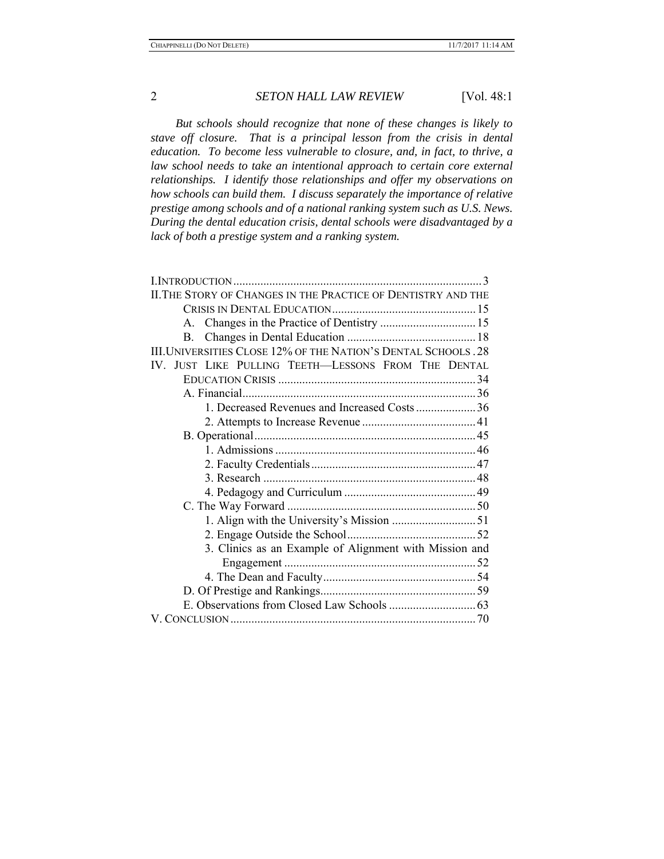*But schools should recognize that none of these changes is likely to stave off closure. That is a principal lesson from the crisis in dental education. To become less vulnerable to closure, and, in fact, to thrive, a*  law school needs to take an intentional approach to certain core external *relationships. I identify those relationships and offer my observations on how schools can build them. I discuss separately the importance of relative prestige among schools and of a national ranking system such as U.S. News. During the dental education crisis, dental schools were disadvantaged by a lack of both a prestige system and a ranking system.* 

| II. THE STORY OF CHANGES IN THE PRACTICE OF DENTISTRY AND THE  |
|----------------------------------------------------------------|
|                                                                |
| A. Changes in the Practice of Dentistry  15                    |
| $\mathbf{B}$ .                                                 |
| III. UNIVERSITIES CLOSE 12% OF THE NATION'S DENTAL SCHOOLS. 28 |
| IV. JUST LIKE PULLING TEETH-LESSONS FROM THE DENTAL            |
|                                                                |
|                                                                |
| 1. Decreased Revenues and Increased Costs36                    |
|                                                                |
|                                                                |
|                                                                |
|                                                                |
|                                                                |
|                                                                |
|                                                                |
|                                                                |
|                                                                |
| 3. Clinics as an Example of Alignment with Mission and         |
|                                                                |
|                                                                |
|                                                                |
|                                                                |
|                                                                |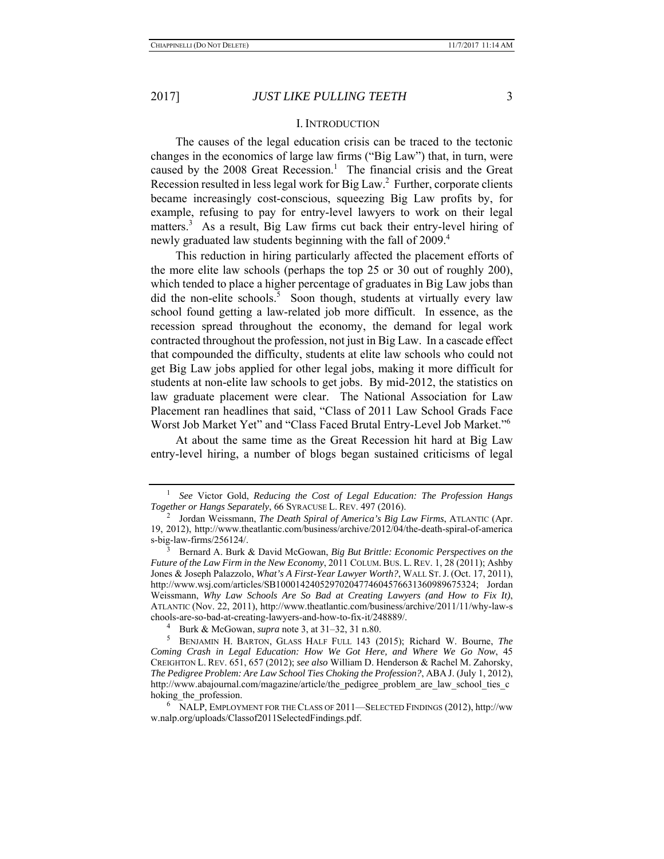#### I. INTRODUCTION

The causes of the legal education crisis can be traced to the tectonic changes in the economics of large law firms ("Big Law") that, in turn, were caused by the 2008 Great Recession.<sup>1</sup> The financial crisis and the Great Recession resulted in less legal work for Big Law. $^2$  Further, corporate clients became increasingly cost-conscious, squeezing Big Law profits by, for example, refusing to pay for entry-level lawyers to work on their legal matters.<sup>3</sup> As a result, Big Law firms cut back their entry-level hiring of newly graduated law students beginning with the fall of 2009.<sup>4</sup>

This reduction in hiring particularly affected the placement efforts of the more elite law schools (perhaps the top 25 or 30 out of roughly 200), which tended to place a higher percentage of graduates in Big Law jobs than did the non-elite schools.<sup>5</sup> Soon though, students at virtually every law school found getting a law-related job more difficult. In essence, as the recession spread throughout the economy, the demand for legal work contracted throughout the profession, not just in Big Law. In a cascade effect that compounded the difficulty, students at elite law schools who could not get Big Law jobs applied for other legal jobs, making it more difficult for students at non-elite law schools to get jobs. By mid-2012, the statistics on law graduate placement were clear. The National Association for Law Placement ran headlines that said, "Class of 2011 Law School Grads Face Worst Job Market Yet" and "Class Faced Brutal Entry-Level Job Market."<sup>6</sup>

At about the same time as the Great Recession hit hard at Big Law entry-level hiring, a number of blogs began sustained criticisms of legal

<sup>&</sup>lt;sup>1</sup> See Victor Gold, Reducing the Cost of Legal Education: The Profession Hangs *Together or Hangs Separately*, 66 SYRACUSE L. REV. 497 (2016). 2

Jordan Weissmann, *The Death Spiral of America's Big Law Firms*, ATLANTIC (Apr. 19, 2012), http://www.theatlantic.com/business/archive/2012/04/the-death-spiral-of-america s-big-law-firms/256124/.

<sup>3</sup> Bernard A. Burk & David McGowan, *Big But Brittle: Economic Perspectives on the Future of the Law Firm in the New Economy*, 2011 COLUM. BUS. L. REV. 1, 28 (2011); Ashby Jones & Joseph Palazzolo, *What's A First-Year Lawyer Worth?*, WALL ST.J. (Oct. 17, 2011), http://www.wsj.com/articles/SB10001424052970204774604576631360989675324; Jordan Weissmann, *Why Law Schools Are So Bad at Creating Lawyers (and How to Fix It)*, ATLANTIC (Nov. 22, 2011), http://www.theatlantic.com/business/archive/2011/11/why-law-s chools-are-so-bad-at-creating-lawyers-and-how-to-fix-it/248889/. 4

Burk & McGowan, *supra* note 3, at 31–32, 31 n.80. 5

BENJAMIN H. BARTON, GLASS HALF FULL 143 (2015); Richard W. Bourne, *The Coming Crash in Legal Education: How We Got Here, and Where We Go Now*, 45 CREIGHTON L. REV. 651, 657 (2012); *see also* William D. Henderson & Rachel M. Zahorsky, *The Pedigree Problem: Are Law School Ties Choking the Profession?*, ABA J. (July 1, 2012), http://www.abajournal.com/magazine/article/the\_pedigree\_problem\_are\_law\_school\_ties\_c hoking the profession.

<sup>6</sup> NALP, EMPLOYMENT FOR THE CLASS OF 2011—SELECTED FINDINGS (2012), http://ww w.nalp.org/uploads/Classof2011SelectedFindings.pdf.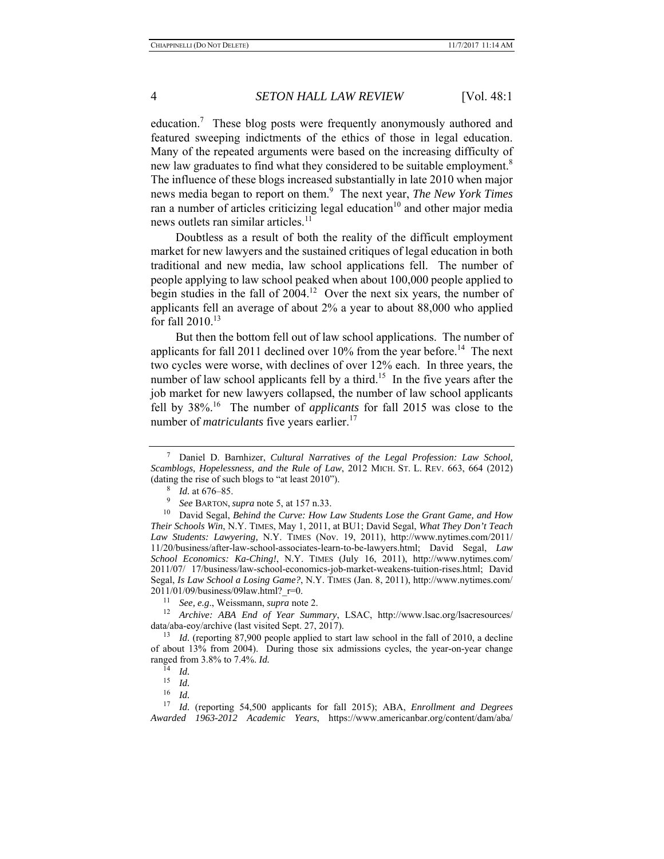education.<sup>7</sup> These blog posts were frequently anonymously authored and featured sweeping indictments of the ethics of those in legal education. Many of the repeated arguments were based on the increasing difficulty of new law graduates to find what they considered to be suitable employment.<sup>8</sup> The influence of these blogs increased substantially in late 2010 when major news media began to report on them.9 The next year, *The New York Times* ran a number of articles criticizing legal education<sup>10</sup> and other major media news outlets ran similar articles. $<sup>11</sup>$ </sup>

Doubtless as a result of both the reality of the difficult employment market for new lawyers and the sustained critiques of legal education in both traditional and new media, law school applications fell. The number of people applying to law school peaked when about 100,000 people applied to begin studies in the fall of  $2004<sup>12</sup>$  Over the next six years, the number of applicants fell an average of about 2% a year to about 88,000 who applied for fall  $2010$ .<sup>13</sup>

But then the bottom fell out of law school applications. The number of applicants for fall 2011 declined over  $10\%$  from the year before.<sup>14</sup> The next two cycles were worse, with declines of over 12% each. In three years, the number of law school applicants fell by a third.<sup>15</sup> In the five years after the job market for new lawyers collapsed, the number of law school applicants fell by 38%.16 The number of *applicants* for fall 2015 was close to the number of *matriculants* five years earlier.<sup>17</sup>

<sup>7</sup> Daniel D. Barnhizer, *Cultural Narratives of the Legal Profession: Law School, Scamblogs, Hopelessness, and the Rule of Law*, 2012 MICH. ST. L. REV. 663, 664 (2012) (dating the rise of such blogs to "at least  $2010$ ").

<sup>8</sup> *Id.* at 676–85.

<sup>9</sup> *See* BARTON, *supra* note 5, at 157 n.33.

<sup>10</sup> David Segal, *Behind the Curve: How Law Students Lose the Grant Game, and How Their Schools Win*, N.Y. TIMES, May 1, 2011, at BU1; David Segal, *What They Don't Teach Law Students: Lawyering,* N.Y. TIMES (Nov. 19, 2011), http://www.nytimes.com/2011/ 11/20/business/after-law-school-associates-learn-to-be-lawyers.html; David Segal, *Law School Economics: Ka-Ching!*, N.Y. TIMES (July 16, 2011), http://www.nytimes.com/ 2011/07/ 17/business/law-school-economics-job-market-weakens-tuition-rises.html; David Segal, *Is Law School a Losing Game?*, N.Y. TIMES (Jan. 8, 2011), http://www.nytimes.com/ 2011/01/09/business/09law.html?\_r=0. 11 *See, e.g*., Weissmann, *supra* note 2. 12 *Archive: ABA End of Year Summary*, LSAC, http://www.lsac.org/lsacresources/

data/aba-eoy/archive (last visited Sept. 27, 2017).

<sup>&</sup>lt;sup>13</sup> *Id.* (reporting 87,900 people applied to start law school in the fall of 2010, a decline of about 13% from 2004). During those six admissions cycles, the year-on-year change ranged from 3.8% to 7.4%. *Id.*<br><sup>14</sup> *Id.*<br><sup>15</sup> *Id.* (*Id.* 16 *Id.* 17 *Id.* (reporting 54,500 applicants for fall 2015); ABA, *Enrollment and Degrees* 

*Awarded 1963-2012 Academic Years*, https://www.americanbar.org/content/dam/aba/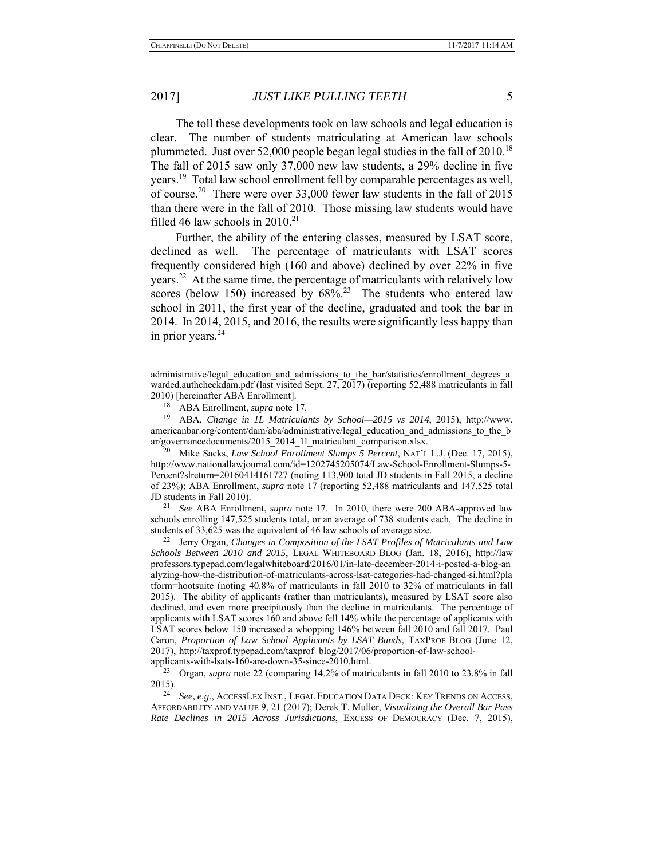The toll these developments took on law schools and legal education is clear. The number of students matriculating at American law schools plummeted. Just over 52,000 people began legal studies in the fall of  $2010$ <sup>18</sup> The fall of 2015 saw only 37,000 new law students, a 29% decline in five years.19 Total law school enrollment fell by comparable percentages as well, of course.20 There were over 33,000 fewer law students in the fall of 2015 than there were in the fall of 2010. Those missing law students would have filled 46 law schools in  $2010.<sup>21</sup>$ 

Further, the ability of the entering classes, measured by LSAT score, declined as well. The percentage of matriculants with LSAT scores frequently considered high (160 and above) declined by over 22% in five years.<sup>22</sup> At the same time, the percentage of matriculants with relatively low scores (below 150) increased by  $68\%$ <sup>23</sup> The students who entered law school in 2011, the first year of the decline, graduated and took the bar in 2014. In 2014, 2015, and 2016, the results were significantly less happy than in prior years. $24$ 

19 ABA, *Change in 1L Matriculants by School—2015 vs 2014*, 2015), http://www. americanbar.org/content/dam/aba/administrative/legal\_education\_and\_admissions\_to\_the\_b<br>ar/governancedocuments/2015\_2014\_11\_matriculant\_comparison.xlsx.

Mike Sacks, *Law School Enrollment Slumps 5 Percent*, NAT'L L.J. (Dec. 17, 2015), http://www.nationallawjournal.com/id=1202745205074/Law-School-Enrollment-Slumps-5- Percent?slreturn=20160414161727 (noting 113,900 total JD students in Fall 2015, a decline of 23%); ABA Enrollment, *supra* note 17 (reporting 52,488 matriculants and 147,525 total

JD students in Fall 2010). 21 *See* ABA Enrollment, *supra* note 17. In 2010, there were 200 ABA-approved law schools enrolling 147,525 students total, or an average of 738 students each. The decline in students of 33,625 was the equivalent of 46 law schools of average size.<br><sup>22</sup> Jerry Organ, *Changes in Composition of the LSAT Profiles of Matriculants and Law* 

*Schools Between 2010 and 2015*, LEGAL WHITEBOARD BLOG (Jan. 18, 2016), http://law professors.typepad.com/legalwhiteboard/2016/01/in-late-december-2014-i-posted-a-blog-an alyzing-how-the-distribution-of-matriculants-across-lsat-categories-had-changed-si.html?pla tform=hootsuite (noting 40.8% of matriculants in fall 2010 to 32% of matriculants in fall 2015). The ability of applicants (rather than matriculants), measured by LSAT score also declined, and even more precipitously than the decline in matriculants. The percentage of applicants with LSAT scores 160 and above fell 14% while the percentage of applicants with LSAT scores below 150 increased a whopping 146% between fall 2010 and fall 2017. Paul Caron, *Proportion of Law School Applicants by LSAT Bands*, TAXPROF BLOG (June 12, 2017), http://taxprof.typepad.com/taxprof\_blog/2017/06/proportion-of-law-schoolapplicants-with-lsats-160-are-down-35-since-2010.html.<br>
<sup>23</sup> Organ sunga pata 22 (comparing 14.2% of matri

administrative/legal\_education\_and\_admissions\_to\_the\_bar/statistics/enrollment\_degrees\_a warded.authcheckdam.pdf (last visited Sept. 27, 2017) (reporting 52,488 matriculants in fall 2010) [hereinafter ABA Enrollment].

<sup>&</sup>lt;sup>18</sup> ABA Enrollment, *supra* note 17.<br><sup>19</sup> ABA *Change in II. Matricula* 

<sup>23</sup> Organ, *supra* note 22 (comparing 14.2% of matriculants in fall 2010 to 23.8% in fall 2015). 24 *See, e.g*., ACCESSLEX INST., LEGAL EDUCATION DATA DECK: KEY TRENDS ON ACCESS,

AFFORDABILITY AND VALUE 9, 21 (2017); Derek T. Muller, *Visualizing the Overall Bar Pass Rate Declines in 2015 Across Jurisdictions*, EXCESS OF DEMOCRACY (Dec. 7, 2015),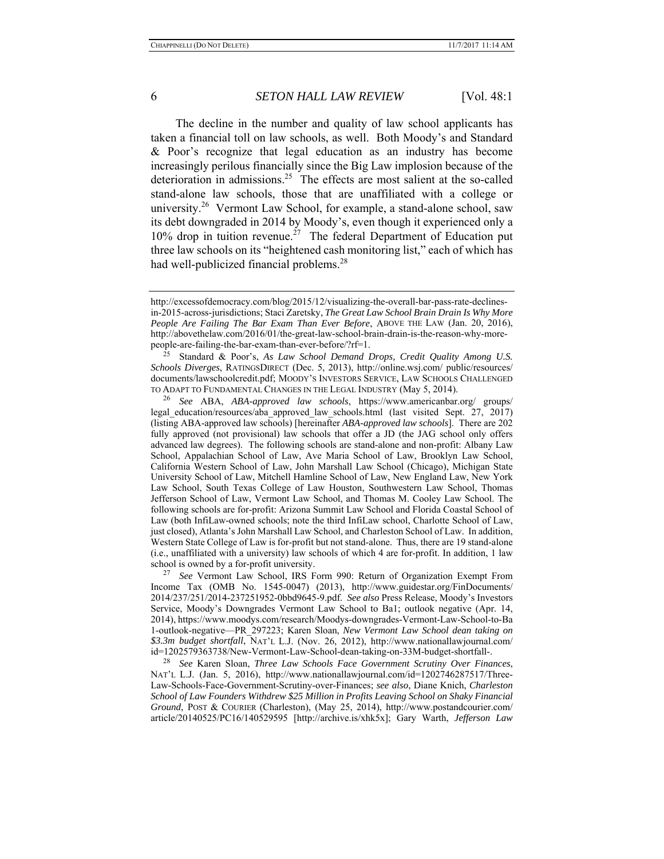The decline in the number and quality of law school applicants has taken a financial toll on law schools, as well. Both Moody's and Standard & Poor's recognize that legal education as an industry has become increasingly perilous financially since the Big Law implosion because of the deterioration in admissions.<sup>25</sup> The effects are most salient at the so-called stand-alone law schools, those that are unaffiliated with a college or university.<sup>26</sup> Vermont Law School, for example, a stand-alone school, saw its debt downgraded in 2014 by Moody's, even though it experienced only a  $10\%$  drop in tuition revenue.<sup>27</sup> The federal Department of Education put three law schools on its "heightened cash monitoring list," each of which has had well-publicized financial problems.<sup>28</sup>

27 *See* Vermont Law School, IRS Form 990: Return of Organization Exempt From Income Tax (OMB No. 1545-0047) (2013), http://www.guidestar.org/FinDocuments/ 2014/237/251/2014-237251952-0bbd9645-9.pdf. *See also* Press Release, Moody's Investors Service, Moody's Downgrades Vermont Law School to Ba1; outlook negative (Apr. 14, 2014), https://www.moodys.com/research/Moodys-downgrades-Vermont-Law-School-to-Ba 1-outlook-negative—PR\_297223; Karen Sloan, *New Vermont Law School dean taking on \$3.3m budget shortfall*, NAT'L L.J. (Nov. 26, 2012), http://www.nationallawjournal.com/ id=1202579363738/New-Vermont-Law-School-dean-taking-on-33M-budget-shortfall-.

28 *See* Karen Sloan, *Three Law Schools Face Government Scrutiny Over Finances*, NAT'L L.J. (Jan. 5, 2016), http://www.nationallawjournal.com/id=1202746287517/Three-Law-Schools-Face-Government-Scrutiny-over-Finances; *see also*, Diane Knich, *Charleston School of Law Founders Withdrew \$25 Million in Profits Leaving School on Shaky Financial Ground*, POST & COURIER (Charleston), (May 25, 2014), http://www.postandcourier.com/ article/20140525/PC16/140529595 [http://archive.is/xhk5x]; Gary Warth, *Jefferson Law* 

http://excessofdemocracy.com/blog/2015/12/visualizing-the-overall-bar-pass-rate-declinesin-2015-across-jurisdictions; Staci Zaretsky, *The Great Law School Brain Drain Is Why More People Are Failing The Bar Exam Than Ever Before*, ABOVE THE LAW (Jan. 20, 2016), http://abovethelaw.com/2016/01/the-great-law-school-brain-drain-is-the-reason-why-morepeople-are-failing-the-bar-exam-than-ever-before/?rf=1.

<sup>25</sup> Standard & Poor's, *As Law School Demand Drops, Credit Quality Among U.S. Schools Diverges*, RATINGSDIRECT (Dec. 5, 2013), http://online.wsj.com/ public/resources/ documents/lawschoolcredit.pdf; MOODY'S INVESTORS SERVICE, LAW SCHOOLS CHALLENGED TO ADAPT TO FUNDAMENTAL CHANGES IN THE LEGAL INDUSTRY (May 5, 2014).

<sup>26</sup> *See* ABA, *ABA-approved law schools*, https://www.americanbar.org/ groups/ legal education/resources/aba approved law schools.html (last visited Sept. 27, 2017) (listing ABA-approved law schools) [hereinafter *ABA-approved law schools*]. There are 202 fully approved (not provisional) law schools that offer a JD (the JAG school only offers advanced law degrees). The following schools are stand-alone and non-profit: Albany Law School, Appalachian School of Law, Ave Maria School of Law, Brooklyn Law School, California Western School of Law, John Marshall Law School (Chicago), Michigan State University School of Law, Mitchell Hamline School of Law, New England Law, New York Law School, South Texas College of Law Houston, Southwestern Law School, Thomas Jefferson School of Law, Vermont Law School, and Thomas M. Cooley Law School. The following schools are for-profit: Arizona Summit Law School and Florida Coastal School of Law (both InfiLaw-owned schools; note the third InfiLaw school, Charlotte School of Law, just closed), Atlanta's John Marshall Law School, and Charleston School of Law. In addition, Western State College of Law is for-profit but not stand-alone. Thus, there are 19 stand-alone (i.e., unaffiliated with a university) law schools of which 4 are for-profit. In addition, 1 law school is owned by a for-profit university.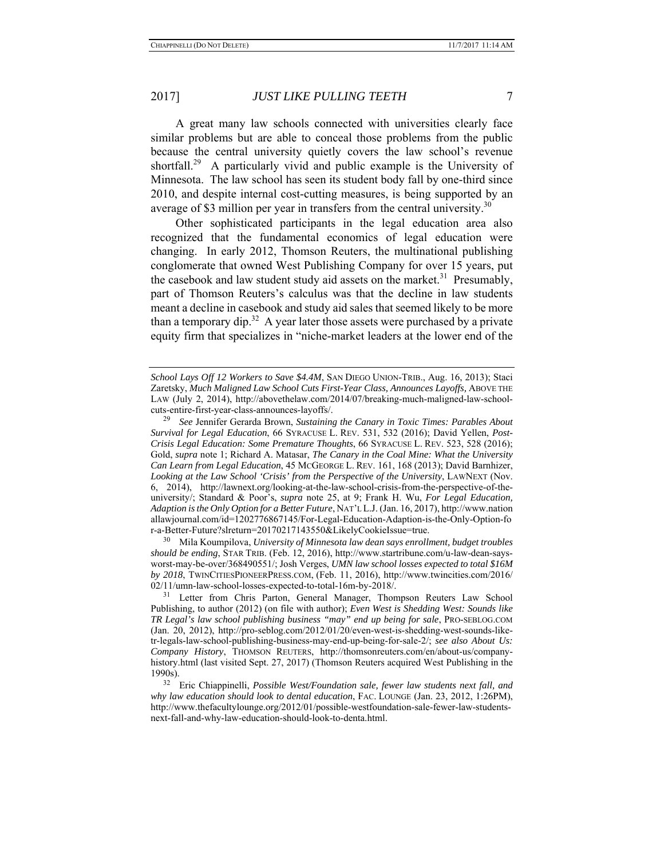A great many law schools connected with universities clearly face similar problems but are able to conceal those problems from the public because the central university quietly covers the law school's revenue shortfall.<sup>29</sup> A particularly vivid and public example is the University of Minnesota. The law school has seen its student body fall by one-third since 2010, and despite internal cost-cutting measures, is being supported by an average of \$3 million per year in transfers from the central university.<sup>30</sup>

Other sophisticated participants in the legal education area also recognized that the fundamental economics of legal education were changing. In early 2012, Thomson Reuters, the multinational publishing conglomerate that owned West Publishing Company for over 15 years, put the casebook and law student study aid assets on the market.<sup>31</sup> Presumably, part of Thomson Reuters's calculus was that the decline in law students meant a decline in casebook and study aid sales that seemed likely to be more than a temporary dip.<sup>32</sup> A year later those assets were purchased by a private equity firm that specializes in "niche-market leaders at the lower end of the

<sup>30</sup> Mila Koumpilova, University of Minnesota law dean says enrollment, budget troubles *should be ending*, STAR TRIB. (Feb. 12, 2016), http://www.startribune.com/u-law-dean-saysworst-may-be-over/368490551/; Josh Verges, *UMN law school losses expected to total \$16M by 2018*, TWINCITIESPIONEERPRESS.COM, (Feb. 11, 2016), http://www.twincities.com/2016/ 02/11/umn-law-school-losses-expected-to-total-16m-by-2018/.

*School Lays Off 12 Workers to Save \$4.4M*, SAN DIEGO UNION-TRIB., Aug. 16, 2013); Staci Zaretsky, *Much Maligned Law School Cuts First-Year Class, Announces Layoffs,* ABOVE THE LAW (July 2, 2014), http://abovethelaw.com/2014/07/breaking-much-maligned-law-schoolcuts-entire-first-year-class-announces-layoffs/.<br><sup>29</sup> See Jennifer Gerarda Brown, Sustaining

<sup>29</sup> *See* Jennifer Gerarda Brown, *Sustaining the Canary in Toxic Times: Parables About Survival for Legal Education*, 66 SYRACUSE L. REV. 531, 532 (2016); David Yellen, *Post-Crisis Legal Education: Some Premature Thoughts*, 66 SYRACUSE L. REV. 523, 528 (2016); Gold, *supra* note 1; Richard A. Matasar, *The Canary in the Coal Mine: What the University Can Learn from Legal Education*, 45 MCGEORGE L. REV. 161, 168 (2013); David Barnhizer, *Looking at the Law School 'Crisis' from the Perspective of the University*, LAWNEXT (Nov. 6, 2014), http://lawnext.org/looking-at-the-law-school-crisis-from-the-perspective-of-theuniversity/; Standard & Poor's, *supra* note 25, at 9; Frank H. Wu, *For Legal Education, Adaption is the Only Option for a Better Future*, NAT'L L.J. (Jan. 16, 2017), http://www.nation allawjournal.com/id=1202776867145/For-Legal-Education-Adaption-is-the-Only-Option-fo

<sup>&</sup>lt;sup>31</sup> Letter from Chris Parton, General Manager, Thompson Reuters Law School Publishing, to author (2012) (on file with author); *Even West is Shedding West: Sounds like TR Legal's law school publishing business "may" end up being for sale*, PRO-SEBLOG.COM (Jan. 20, 2012), http://pro-seblog.com/2012/01/20/even-west-is-shedding-west-sounds-liketr-legals-law-school-publishing-business-may-end-up-being-for-sale-2/; *see also About Us: Company History*, THOMSON REUTERS, http://thomsonreuters.com/en/about-us/companyhistory.html (last visited Sept. 27, 2017) (Thomson Reuters acquired West Publishing in the 1990s).

<sup>32</sup> Eric Chiappinelli, *Possible West/Foundation sale, fewer law students next fall, and why law education should look to dental education*, FAC. LOUNGE (Jan. 23, 2012, 1:26PM), http://www.thefacultylounge.org/2012/01/possible-westfoundation-sale-fewer-law-studentsnext-fall-and-why-law-education-should-look-to-denta.html.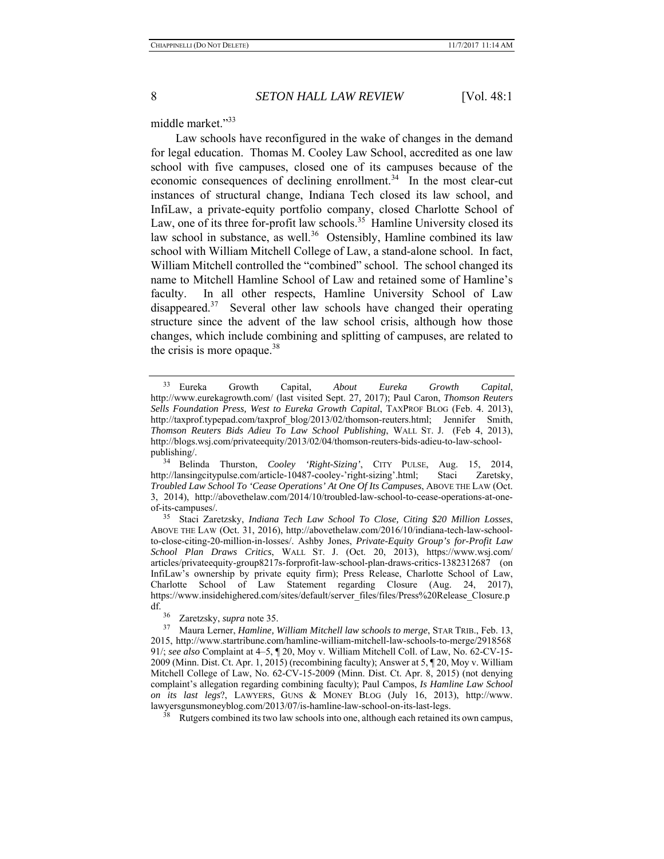middle market."<sup>33</sup>

Law schools have reconfigured in the wake of changes in the demand for legal education. Thomas M. Cooley Law School, accredited as one law school with five campuses, closed one of its campuses because of the economic consequences of declining enrollment.<sup>34</sup> In the most clear-cut instances of structural change, Indiana Tech closed its law school, and InfiLaw, a private-equity portfolio company, closed Charlotte School of Law, one of its three for-profit law schools.<sup>35</sup> Hamline University closed its law school in substance, as well.<sup>36</sup> Ostensibly, Hamline combined its law school with William Mitchell College of Law, a stand-alone school. In fact, William Mitchell controlled the "combined" school. The school changed its name to Mitchell Hamline School of Law and retained some of Hamline's faculty. In all other respects, Hamline University School of Law disappeared.<sup>37</sup> Several other law schools have changed their operating structure since the advent of the law school crisis, although how those changes, which include combining and splitting of campuses, are related to the crisis is more opaque.<sup>38</sup>

34 Belinda Thurston, *Cooley 'Right-Sizing'*, CITY PULSE, Aug. 15, 2014, http://lansingcitypulse.com/article-10487-cooley-'right-sizing'.html; Staci Zaretsky, *Troubled Law School To 'Cease Operations' At One Of Its Campuses*, ABOVE THE LAW (Oct. 3, 2014), http://abovethelaw.com/2014/10/troubled-law-school-to-cease-operations-at-oneof-its-campuses/.

35 Staci Zaretzsky, *Indiana Tech Law School To Close, Citing \$20 Million Losses*, ABOVE THE LAW (Oct. 31, 2016), http://abovethelaw.com/2016/10/indiana-tech-law-schoolto-close-citing-20-million-in-losses/. Ashby Jones, *Private-Equity Group's for-Profit Law School Plan Draws Critics*, WALL ST. J. (Oct. 20, 2013), https://www.wsj.com/ articles/privateequity-group8217s-forprofit-law-school-plan-draws-critics-1382312687 (on InfiLaw's ownership by private equity firm); Press Release, Charlotte School of Law, Charlotte School of Law Statement regarding Closure (Aug. 24, 2017), https://www.insidehighered.com/sites/default/server\_files/files/Press%20Release\_Closure.p df.

Rutgers combined its two law schools into one, although each retained its own campus,

<sup>33</sup> Eureka Growth Capital, *About Eureka Growth Capital*, http://www.eurekagrowth.com/ (last visited Sept. 27, 2017); Paul Caron, *Thomson Reuters Sells Foundation Press, West to Eureka Growth Capital*, TAXPROF BLOG (Feb. 4. 2013), http://taxprof.typepad.com/taxprof\_blog/2013/02/thomson-reuters.html; Jennifer Smith, *Thomson Reuters Bids Adieu To Law School Publishing*, WALL ST. J. (Feb 4, 2013), http://blogs.wsj.com/privateequity/2013/02/04/thomson-reuters-bids-adieu-to-law-schoolpublishing/.

<sup>&</sup>lt;sup>36</sup> Zaretzsky, *supra* note 35.<br><sup>37</sup> Maura Lerper *Hamline* 

<sup>37</sup> Maura Lerner, *Hamline, William Mitchell law schools to merge*, STAR TRIB., Feb. 13, 2015, http://www.startribune.com/hamline-william-mitchell-law-schools-to-merge/2918568 91/; *see also* Complaint at 4–5, ¶ 20, Moy v. William Mitchell Coll. of Law, No. 62-CV-15- 2009 (Minn. Dist. Ct. Apr. 1, 2015) (recombining faculty); Answer at 5, ¶ 20, Moy v. William Mitchell College of Law, No. 62-CV-15-2009 (Minn. Dist. Ct. Apr. 8, 2015) (not denying complaint's allegation regarding combining faculty); Paul Campos, *Is Hamline Law School on its last legs*?, LAWYERS, GUNS & MONEY BLOG (July 16, 2013), http://www. lawyersgunsmoneyblog.com/2013/07/is-hamline-law-school-on-its-last-legs.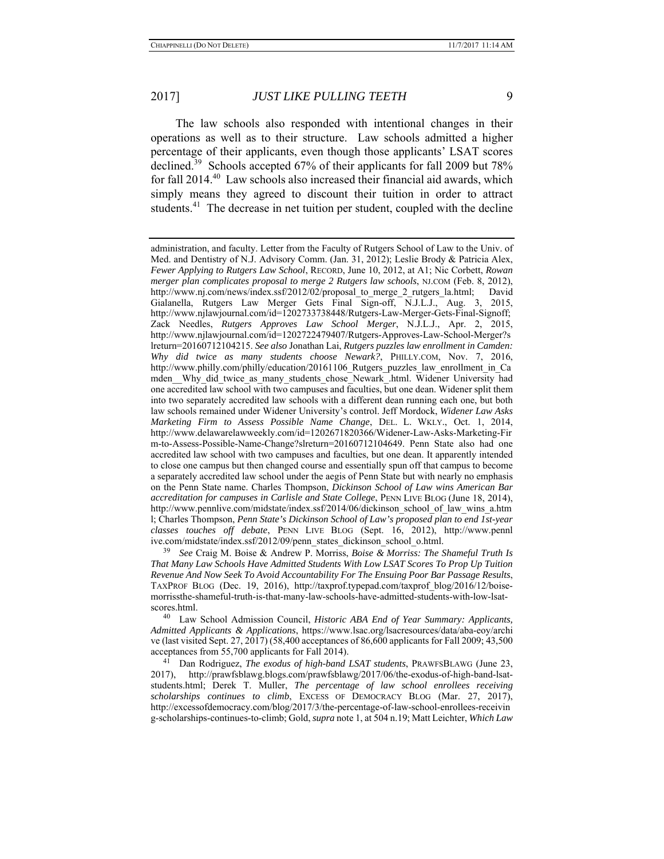The law schools also responded with intentional changes in their operations as well as to their structure. Law schools admitted a higher percentage of their applicants, even though those applicants' LSAT scores declined.<sup>39</sup> Schools accepted 67% of their applicants for fall 2009 but 78% for fall 2014.<sup>40</sup> Law schools also increased their financial aid awards, which simply means they agreed to discount their tuition in order to attract students.<sup>41</sup> The decrease in net tuition per student, coupled with the decline

39 *See* Craig M. Boise & Andrew P. Morriss, *Boise & Morriss: The Shameful Truth Is That Many Law Schools Have Admitted Students With Low LSAT Scores To Prop Up Tuition Revenue And Now Seek To Avoid Accountability For The Ensuing Poor Bar Passage Results*, TAXPROF BLOG (Dec. 19, 2016), http://taxprof.typepad.com/taxprof\_blog/2016/12/boisemorrissthe-shameful-truth-is-that-many-law-schools-have-admitted-students-with-low-lsatscores.html.

40 Law School Admission Council, *Historic ABA End of Year Summary: Applicants, Admitted Applicants & Applications*, https://www.lsac.org/lsacresources/data/aba-eoy/archi ve (last visited Sept. 27, 2017) (58,400 acceptances of 86,600 applicants for Fall 2009; 43,500 acceptances from 55,700 applicants for Fall 2014). 41 Dan Rodriguez, *The exodus of high-band LSAT students*, PRAWFSBLAWG (June 23,

2017), http://prawfsblawg.blogs.com/prawfsblawg/2017/06/the-exodus-of-high-band-lsatstudents.html; Derek T. Muller, *The percentage of law school enrollees receiving scholarships continues to climb*, EXCESS OF DEMOCRACY BLOG (Mar. 27, 2017), http://excessofdemocracy.com/blog/2017/3/the-percentage-of-law-school-enrollees-receivin g-scholarships-continues-to-climb; Gold, *supra* note 1, at 504 n.19; Matt Leichter, *Which Law* 

administration, and faculty. Letter from the Faculty of Rutgers School of Law to the Univ. of Med. and Dentistry of N.J. Advisory Comm. (Jan. 31, 2012); Leslie Brody & Patricia Alex, *Fewer Applying to Rutgers Law School*, RECORD, June 10, 2012, at A1; Nic Corbett, *Rowan merger plan complicates proposal to merge 2 Rutgers law schools*, NJ.COM (Feb. 8, 2012), http://www.nj.com/news/index.ssf/2012/02/proposal to merge 2 rutgers la.html; David Gialanella, Rutgers Law Merger Gets Final Sign-off, N.J.L.J., Aug. 3, 2015, http://www.njlawjournal.com/id=1202733738448/Rutgers-Law-Merger-Gets-Final-Signoff; Zack Needles, *Rutgers Approves Law School Merger*, N.J.L.J., Apr. 2, 2015, http://www.njlawjournal.com/id=1202722479407/Rutgers-Approves-Law-School-Merger?s lreturn=20160712104215. *See also* Jonathan Lai, *Rutgers puzzles law enrollment in Camden: Why did twice as many students choose Newark?*, PHILLY.COM, Nov. 7, 2016, http://www.philly.com/philly/education/20161106\_Rutgers\_puzzles\_law\_enrollment\_in\_Ca mden Why did twice as many students chose Newark .html. Widener University had one accredited law school with two campuses and faculties, but one dean. Widener split them into two separately accredited law schools with a different dean running each one, but both law schools remained under Widener University's control. Jeff Mordock, *Widener Law Asks Marketing Firm to Assess Possible Name Change*, DEL. L. WKLY., Oct. 1, 2014, http://www.delawarelawweekly.com/id=1202671820366/Widener-Law-Asks-Marketing-Fir m-to-Assess-Possible-Name-Change?slreturn=20160712104649. Penn State also had one accredited law school with two campuses and faculties, but one dean. It apparently intended to close one campus but then changed course and essentially spun off that campus to become a separately accredited law school under the aegis of Penn State but with nearly no emphasis on the Penn State name. Charles Thompson, *Dickinson School of Law wins American Bar accreditation for campuses in Carlisle and State College*, PENN LIVE BLOG (June 18, 2014), http://www.pennlive.com/midstate/index.ssf/2014/06/dickinson\_school\_of\_law\_wins\_a.htm l; Charles Thompson, *Penn State's Dickinson School of Law's proposed plan to end 1st-year classes touches off debate*, PENN LIVE BLOG (Sept. 16, 2012), http://www.pennl ive.com/midstate/index.ssf/2012/09/penn\_states\_dickinson\_school\_o.html.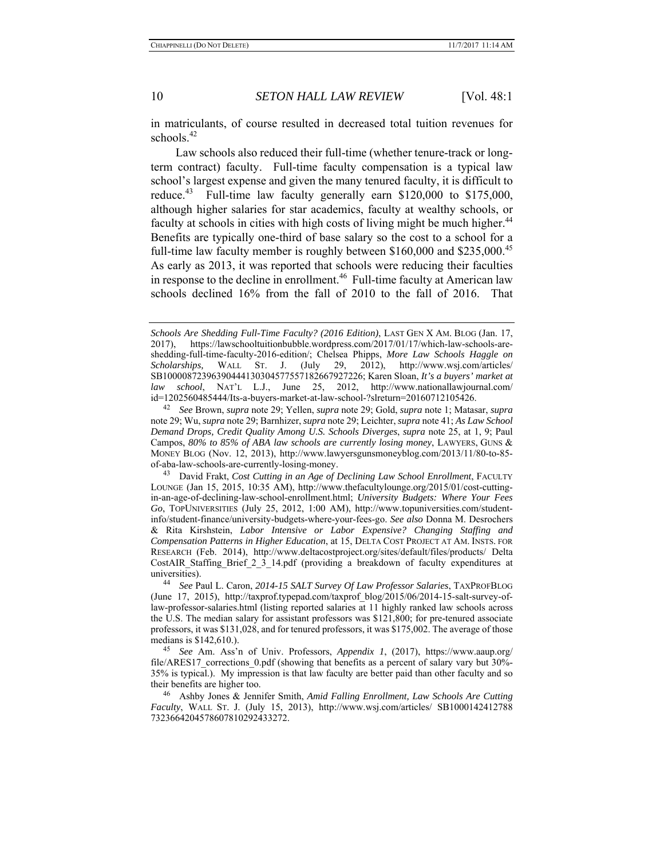in matriculants, of course resulted in decreased total tuition revenues for schools.<sup>42</sup>

Law schools also reduced their full-time (whether tenure-track or longterm contract) faculty. Full-time faculty compensation is a typical law school's largest expense and given the many tenured faculty, it is difficult to reduce.<sup>43</sup> Full-time law faculty generally earn \$120,000 to \$175,000, although higher salaries for star academics, faculty at wealthy schools, or faculty at schools in cities with high costs of living might be much higher.<sup>44</sup> Benefits are typically one-third of base salary so the cost to a school for a full-time law faculty member is roughly between  $$160,000$  and  $$235,000.<sup>45</sup>$ As early as 2013, it was reported that schools were reducing their faculties in response to the decline in enrollment.<sup>46</sup> Full-time faculty at American law schools declined 16% from the fall of 2010 to the fall of 2016. That

*Schools Are Shedding Full-Time Faculty? (2016 Edition)*, LAST GEN X AM. BLOG (Jan. 17, 2017), https://lawschooltuitionbubble.wordpress.com/2017/01/17/which-law-schools-areshedding-full-time-faculty-2016-edition/; Chelsea Phipps, *More Law Schools Haggle on Scholarships,* WALL ST. J. (July 29, 2012), http://www.wsj.com/articles/ SB10000872396390444130304577557182667927226; Karen Sloan, *It's a buyers' market at law school*, NAT'L L.J., June 25, 2012, http://www.nationallawjournal.com/ id=1202560485444/Its-a-buyers-market-at-law-school-?slreturn=20160712105426. 42 *See* Brown, *supra* note 29; Yellen, *supra* note 29; Gold, *supra* note 1; Matasar, *supra* 

note 29; Wu, *supra* note 29; Barnhizer, *supra* note 29; Leichter, *supra* note 41; *As Law School Demand Drops, Credit Quality Among U.S. Schools Diverges*, *supra* note 25, at 1, 9; Paul Campos, *80% to 85% of ABA law schools are currently losing money*, LAWYERS, GUNS & MONEY BLOG (Nov. 12, 2013), http://www.lawyersgunsmoneyblog.com/2013/11/80-to-85 of-aba-law-schools-are-currently-losing-money.

<sup>43</sup> David Frakt, *Cost Cutting in an Age of Declining Law School Enrollment*, FACULTY LOUNGE (Jan 15, 2015, 10:35 AM), http://www.thefacultylounge.org/2015/01/cost-cuttingin-an-age-of-declining-law-school-enrollment.html; *University Budgets: Where Your Fees Go*, TOPUNIVERSITIES (July 25, 2012, 1:00 AM), http://www.topuniversities.com/studentinfo/student-finance/university-budgets-where-your-fees-go. *See also* Donna M. Desrochers & Rita Kirshstein, *Labor Intensive or Labor Expensive? Changing Staffing and Compensation Patterns in Higher Education*, at 15, DELTA COST PROJECT AT AM. INSTS. FOR RESEARCH (Feb. 2014), http://www.deltacostproject.org/sites/default/files/products/ Delta CostAIR\_Staffing\_Brief\_2\_3\_14.pdf (providing a breakdown of faculty expenditures at universities).

universities). 44 *See* Paul L. Caron, *2014-15 SALT Survey Of Law Professor Salaries*, TAXPROFBLOG (June 17, 2015), http://taxprof.typepad.com/taxprof\_blog/2015/06/2014-15-salt-survey-oflaw-professor-salaries.html (listing reported salaries at 11 highly ranked law schools across the U.S. The median salary for assistant professors was \$121,800; for pre-tenured associate professors, it was \$131,028, and for tenured professors, it was \$175,002. The average of those medians is \$142,610.).

<sup>45</sup> *See* Am. Ass'n of Univ. Professors, *Appendix 1*, (2017), https://www.aaup.org/ file/ARES17\_corrections\_0.pdf (showing that benefits as a percent of salary vary but 30%- 35% is typical.). My impression is that law faculty are better paid than other faculty and so their benefits are higher too.

<sup>46</sup> Ashby Jones & Jennifer Smith, *Amid Falling Enrollment, Law Schools Are Cutting Faculty*, WALL ST. J. (July 15, 2013), http://www.wsj.com/articles/ SB1000142412788 7323664204578607810292433272.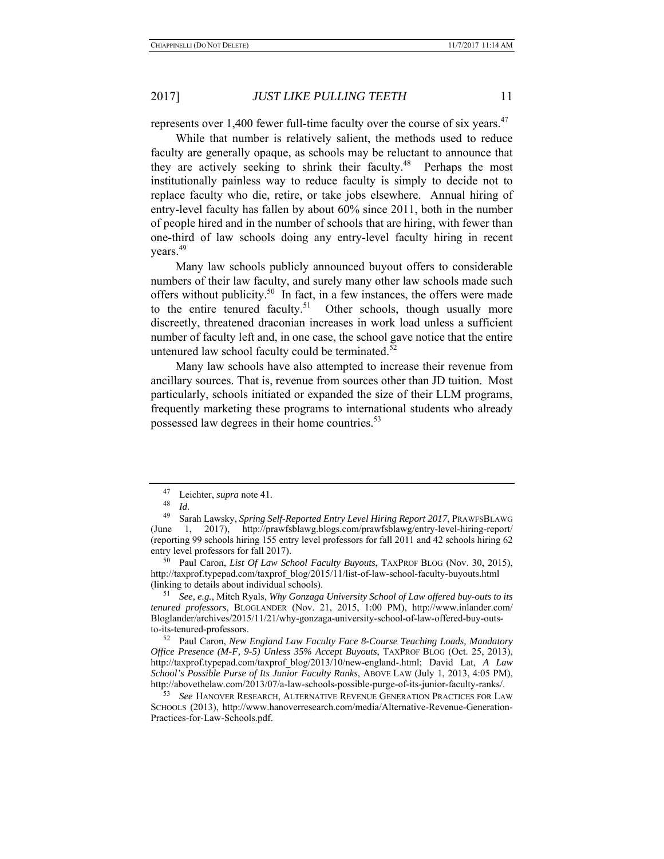represents over 1,400 fewer full-time faculty over the course of six years.<sup>47</sup>

While that number is relatively salient, the methods used to reduce faculty are generally opaque, as schools may be reluctant to announce that they are actively seeking to shrink their faculty.<sup>48</sup> Perhaps the most institutionally painless way to reduce faculty is simply to decide not to replace faculty who die, retire, or take jobs elsewhere. Annual hiring of entry-level faculty has fallen by about 60% since 2011, both in the number of people hired and in the number of schools that are hiring, with fewer than one-third of law schools doing any entry-level faculty hiring in recent years.<sup>49</sup>

Many law schools publicly announced buyout offers to considerable numbers of their law faculty, and surely many other law schools made such offers without publicity.<sup>50</sup> In fact, in a few instances, the offers were made to the entire tenured faculty.<sup>51</sup> Other schools, though usually more discreetly, threatened draconian increases in work load unless a sufficient number of faculty left and, in one case, the school gave notice that the entire untenured law school faculty could be terminated.<sup>52</sup>

Many law schools have also attempted to increase their revenue from ancillary sources. That is, revenue from sources other than JD tuition. Most particularly, schools initiated or expanded the size of their LLM programs, frequently marketing these programs to international students who already possessed law degrees in their home countries.<sup>53</sup>

50 Paul Caron, *List Of Law School Faculty Buyouts*, TAXPROF BLOG (Nov. 30, 2015), http://taxprof.typepad.com/taxprof\_blog/2015/11/list-of-law-school-faculty-buyouts.html (linking to details about individual schools).

51 *See, e.g.*, Mitch Ryals, *Why Gonzaga University School of Law offered buy-outs to its tenured professors*, BLOGLANDER (Nov. 21, 2015, 1:00 PM), http://www.inlander.com/ Bloglander/archives/2015/11/21/why-gonzaga-university-school-of-law-offered-buy-outsto-its-tenured-professors.

52 Paul Caron, *New England Law Faculty Face 8-Course Teaching Loads, Mandatory Office Presence (M-F, 9-5) Unless 35% Accept Buyouts*, TAXPROF BLOG (Oct. 25, 2013), http://taxprof.typepad.com/taxprof\_blog/2013/10/new-england-.html; David Lat, *A Law School's Possible Purse of Its Junior Faculty Ranks*, ABOVE LAW (July 1, 2013, 4:05 PM), http://abovethelaw.com/2013/07/a-law-schools-possible-purge-of-its-junior-faculty-ranks/.

53 *See* HANOVER RESEARCH, ALTERNATIVE REVENUE GENERATION PRACTICES FOR LAW SCHOOLS (2013), http://www.hanoverresearch.com/media/Alternative-Revenue-Generation-Practices-for-Law-Schools.pdf.

 $^{47}$  Leichter, *supra* note 41.

<sup>48</sup>*Id.* 49 Sarah Lawsky, *Spring Self-Reported Entry Level Hiring Report 2017*, PRAWFSBLAWG (June 1, 2017), http://prawfsblawg.blogs.com/prawfsblawg/entry-level-hiring-report/ (reporting 99 schools hiring 155 entry level professors for fall 2011 and 42 schools hiring 62 entry level professors for fall 2017).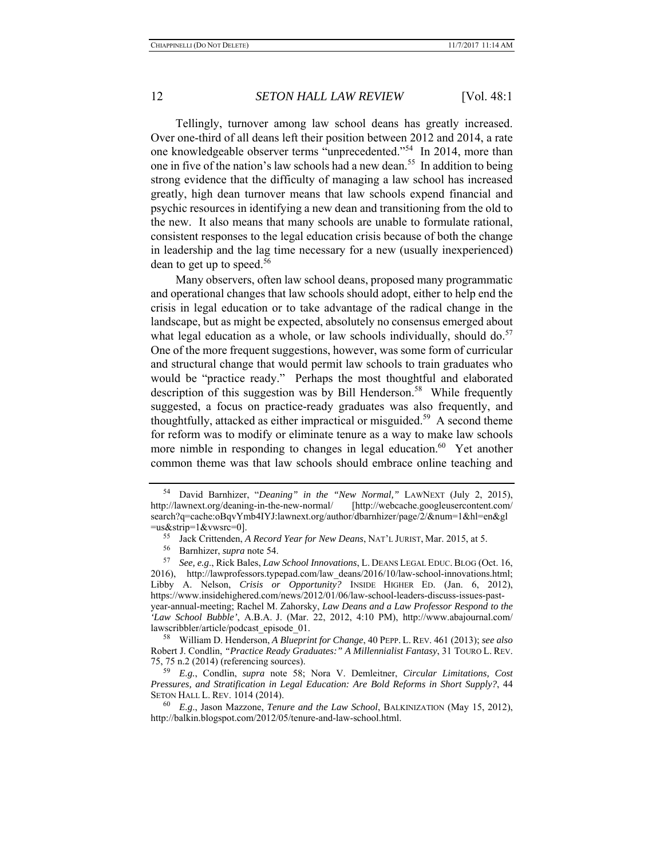Tellingly, turnover among law school deans has greatly increased. Over one-third of all deans left their position between 2012 and 2014, a rate one knowledgeable observer terms "unprecedented."54 In 2014, more than one in five of the nation's law schools had a new dean.<sup>55</sup> In addition to being strong evidence that the difficulty of managing a law school has increased greatly, high dean turnover means that law schools expend financial and psychic resources in identifying a new dean and transitioning from the old to the new. It also means that many schools are unable to formulate rational, consistent responses to the legal education crisis because of both the change in leadership and the lag time necessary for a new (usually inexperienced) dean to get up to speed.<sup>56</sup>

Many observers, often law school deans, proposed many programmatic and operational changes that law schools should adopt, either to help end the crisis in legal education or to take advantage of the radical change in the landscape, but as might be expected, absolutely no consensus emerged about what legal education as a whole, or law schools individually, should do.<sup>57</sup> One of the more frequent suggestions, however, was some form of curricular and structural change that would permit law schools to train graduates who would be "practice ready." Perhaps the most thoughtful and elaborated description of this suggestion was by Bill Henderson.<sup>58</sup> While frequently suggested, a focus on practice-ready graduates was also frequently, and thoughtfully, attacked as either impractical or misguided.<sup>59</sup> A second theme for reform was to modify or eliminate tenure as a way to make law schools more nimble in responding to changes in legal education.<sup>60</sup> Yet another common theme was that law schools should embrace online teaching and

58 William D. Henderson, *A Blueprint for Change*, 40 PEPP. L. REV. 461 (2013); *see also* Robert J. Condlin, *"Practice Ready Graduates:" A Millennialist Fantasy*, 31 TOURO L. REV. 75, 75 n.2 (2014) (referencing sources).

59 *E.g.*, Condlin, *supra* note 58; Nora V. Demleitner, *Circular Limitations, Cost Pressures, and Stratification in Legal Education: Are Bold Reforms in Short Supply?*, 44 SETON HALL L. REV. 1014 (2014).

<sup>54</sup> David Barnhizer, "*Deaning" in the "New Normal,"* LAWNEXT (July 2, 2015), http://lawnext.org/deaning-in-the-new-normal/ [http://webcache.googleusercontent.com/ search?q=cache:oBqvYmb4IYJ:lawnext.org/author/dbarnhizer/page/2/&num=1&hl=en&gl

<sup>=</sup>us&strip=1&vwsrc=0]. 55 Jack Crittenden, *A Record Year for New Deans*, NAT'L JURIST, Mar. 2015, at 5.

<sup>56</sup> Barnhizer, *supra* note 54. 57 *See, e.g*., Rick Bales, *Law School Innovations*, L. DEANS LEGAL EDUC. BLOG (Oct. 16, 2016), http://lawprofessors.typepad.com/law\_deans/2016/10/law-school-innovations.html; Libby A. Nelson, *Crisis or Opportunity?* INSIDE HIGHER ED. (Jan. 6, 2012), https://www.insidehighered.com/news/2012/01/06/law-school-leaders-discuss-issues-pastyear-annual-meeting; Rachel M. Zahorsky, *Law Deans and a Law Professor Respond to the 'Law School Bubble'*, A.B.A. J. (Mar. 22, 2012, 4:10 PM), http://www.abajournal.com/ lawscribbler/article/podcast\_episode\_01.

<sup>60</sup> *E.g*., Jason Mazzone, *Tenure and the Law School*, BALKINIZATION (May 15, 2012), http://balkin.blogspot.com/2012/05/tenure-and-law-school.html.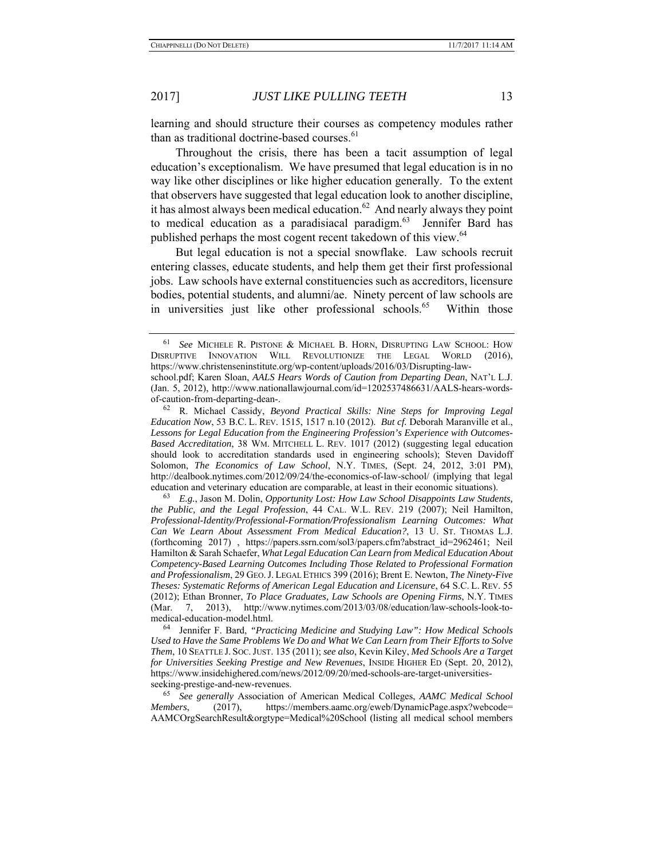learning and should structure their courses as competency modules rather than as traditional doctrine-based courses.<sup>61</sup>

Throughout the crisis, there has been a tacit assumption of legal education's exceptionalism. We have presumed that legal education is in no way like other disciplines or like higher education generally. To the extent that observers have suggested that legal education look to another discipline, it has almost always been medical education. $62$  And nearly always they point to medical education as a paradisiacal paradigm.<sup>63</sup> Jennifer Bard has published perhaps the most cogent recent takedown of this view.<sup>64</sup>

But legal education is not a special snowflake. Law schools recruit entering classes, educate students, and help them get their first professional jobs. Law schools have external constituencies such as accreditors, licensure bodies, potential students, and alumni/ae. Ninety percent of law schools are in universities just like other professional schools.<sup>65</sup> Within those

of-caution-from-departing-dean-.

64 Jennifer F. Bard, *"Practicing Medicine and Studying Law": How Medical Schools Used to Have the Same Problems We Do and What We Can Learn from Their Efforts to Solve Them*, 10 SEATTLE J. SOC.JUST. 135 (2011); *see also*, Kevin Kiley, *Med Schools Are a Target for Universities Seeking Prestige and New Revenues*, INSIDE HIGHER ED (Sept. 20, 2012), https://www.insidehighered.com/news/2012/09/20/med-schools-are-target-universitiesseeking-prestige-and-new-revenues.

65 *See generally* Association of American Medical Colleges, *AAMC Medical School Members*, (2017), https://members.aamc.org/eweb/DynamicPage.aspx?webcode= AAMCOrgSearchResult&orgtype=Medical%20School (listing all medical school members

<sup>61</sup> *See* MICHELE R. PISTONE & MICHAEL B. HORN, DISRUPTING LAW SCHOOL: HOW DISRUPTIVE INNOVATION WILL REVOLUTIONIZE THE LEGAL WORLD (2016), https://www.christenseninstitute.org/wp-content/uploads/2016/03/Disrupting-lawschool.pdf; Karen Sloan, *AALS Hears Words of Caution from Departing Dean*, NAT'L L.J. (Jan. 5, 2012), http://www.nationallawjournal.com/id=1202537486631/AALS-hears-words-

<sup>62</sup> R. Michael Cassidy, *Beyond Practical Skills: Nine Steps for Improving Legal Education Now*, 53 B.C. L. REV. 1515, 1517 n.10 (2012). *But cf.* Deborah Maranville et al., *Lessons for Legal Education from the Engineering Profession's Experience with Outcomes-Based Accreditation*, 38 WM. MITCHELL L. REV. 1017 (2012) (suggesting legal education should look to accreditation standards used in engineering schools); Steven Davidoff Solomon, *The Economics of Law School*, N.Y. TIMES, (Sept. 24, 2012, 3:01 PM), http://dealbook.nytimes.com/2012/09/24/the-economics-of-law-school/ (implying that legal education and veterinary education are comparable, at least in their economic situations).

<sup>63</sup> *E.g.*, Jason M. Dolin, *Opportunity Lost: How Law School Disappoints Law Students, the Public, and the Legal Profession*, 44 CAL. W.L. REV. 219 (2007); Neil Hamilton, *Professional-Identity/Professional-Formation/Professionalism Learning Outcomes: What Can We Learn About Assessment From Medical Education?*, 13 U. ST. THOMAS L.J. (forthcoming 2017) , https://papers.ssrn.com/sol3/papers.cfm?abstract\_id=2962461; Neil Hamilton & Sarah Schaefer, *What Legal Education Can Learn from Medical Education About Competency-Based Learning Outcomes Including Those Related to Professional Formation and Professionalism*, 29 GEO.J. LEGAL ETHICS 399 (2016); Brent E. Newton, *The Ninety-Five Theses: Systematic Reforms of American Legal Education and Licensure*, 64 S.C. L. REV. 55 (2012); Ethan Bronner, *To Place Graduates, Law Schools are Opening Firms*, N.Y. TIMES (Mar. 7, 2013), http://www.nytimes.com/2013/03/08/education/law-schools-look-tomedical-education-model.html.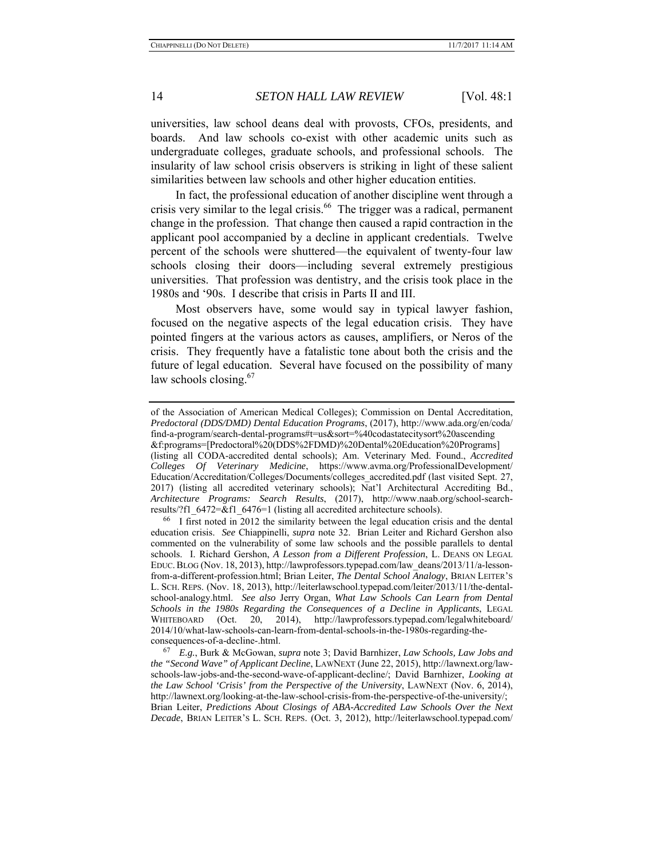universities, law school deans deal with provosts, CFOs, presidents, and boards. And law schools co-exist with other academic units such as undergraduate colleges, graduate schools, and professional schools. The insularity of law school crisis observers is striking in light of these salient similarities between law schools and other higher education entities.

In fact, the professional education of another discipline went through a crisis very similar to the legal crisis.<sup>66</sup> The trigger was a radical, permanent change in the profession. That change then caused a rapid contraction in the applicant pool accompanied by a decline in applicant credentials. Twelve percent of the schools were shuttered—the equivalent of twenty-four law schools closing their doors—including several extremely prestigious universities. That profession was dentistry, and the crisis took place in the 1980s and '90s. I describe that crisis in Parts II and III.

Most observers have, some would say in typical lawyer fashion, focused on the negative aspects of the legal education crisis. They have pointed fingers at the various actors as causes, amplifiers, or Neros of the crisis. They frequently have a fatalistic tone about both the crisis and the future of legal education. Several have focused on the possibility of many law schools closing. $67$ 

of the Association of American Medical Colleges); Commission on Dental Accreditation, *Predoctoral (DDS/DMD) Dental Education Programs*, (2017), http://www.ada.org/en/coda/ find-a-program/search-dental-programs#t=us&sort=%40codastatecitysort%20ascending &f:programs=[Predoctoral%20(DDS%2FDMD)%20Dental%20Education%20Programs] (listing all CODA-accredited dental schools); Am. Veterinary Med. Found., *Accredited Colleges Of Veterinary Medicine*, https://www.avma.org/ProfessionalDevelopment/ Education/Accreditation/Colleges/Documents/colleges\_accredited.pdf (last visited Sept. 27, 2017) (listing all accredited veterinary schools); Nat'l Architectural Accrediting Bd., *Architecture Programs: Search Results*, (2017), http://www.naab.org/school-searchresults/?f1\_6472=&f1\_6476=1 (listing all accredited architecture schools).

 $^{66}$  I first noted in 2012 the similarity between the legal education crisis and the dental education crisis. *See* Chiappinelli, *supra* note 32. Brian Leiter and Richard Gershon also commented on the vulnerability of some law schools and the possible parallels to dental schools. I. Richard Gershon, *A Lesson from a Different Profession*, L. DEANS ON LEGAL EDUC.BLOG (Nov. 18, 2013), http://lawprofessors.typepad.com/law\_deans/2013/11/a-lessonfrom-a-different-profession.html; Brian Leiter, *The Dental School Analogy*, BRIAN LEITER'S L. SCH. REPS. (Nov. 18, 2013), http://leiterlawschool.typepad.com/leiter/2013/11/the-dentalschool-analogy.html. *See also* Jerry Organ, *What Law Schools Can Learn from Dental Schools in the 1980s Regarding the Consequences of a Decline in Applicants*, LEGAL WHITEBOARD (Oct. 20, 2014), http://lawprofessors.typepad.com/legalwhiteboard/ 2014/10/what-law-schools-can-learn-from-dental-schools-in-the-1980s-regarding-theconsequences-of-a-decline-.html.

<sup>67</sup> *E.g.*, Burk & McGowan, *supra* note 3; David Barnhizer, *Law Schools, Law Jobs and the "Second Wave" of Applicant Decline*, LAWNEXT (June 22, 2015), http://lawnext.org/lawschools-law-jobs-and-the-second-wave-of-applicant-decline/; David Barnhizer, *Looking at the Law School 'Crisis' from the Perspective of the University*, LAWNEXT (Nov. 6, 2014), http://lawnext.org/looking-at-the-law-school-crisis-from-the-perspective-of-the-university/; Brian Leiter, *Predictions About Closings of ABA-Accredited Law Schools Over the Next Decade*, BRIAN LEITER'S L. SCH. REPS. (Oct. 3, 2012), http://leiterlawschool.typepad.com/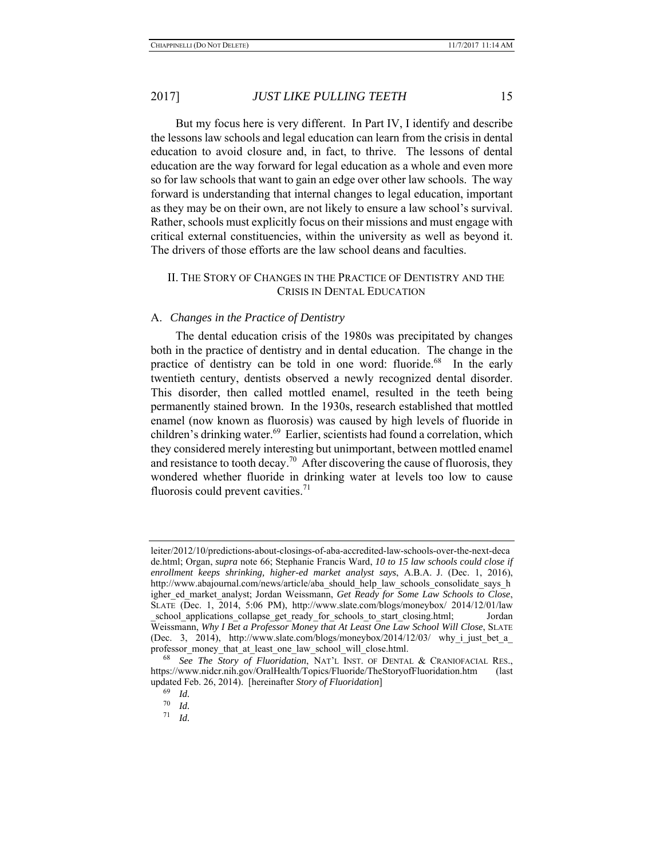But my focus here is very different. In Part IV, I identify and describe the lessons law schools and legal education can learn from the crisis in dental education to avoid closure and, in fact, to thrive. The lessons of dental education are the way forward for legal education as a whole and even more so for law schools that want to gain an edge over other law schools. The way forward is understanding that internal changes to legal education, important as they may be on their own, are not likely to ensure a law school's survival. Rather, schools must explicitly focus on their missions and must engage with critical external constituencies, within the university as well as beyond it. The drivers of those efforts are the law school deans and faculties.

### II. THE STORY OF CHANGES IN THE PRACTICE OF DENTISTRY AND THE CRISIS IN DENTAL EDUCATION

#### A. *Changes in the Practice of Dentistry*

The dental education crisis of the 1980s was precipitated by changes both in the practice of dentistry and in dental education. The change in the practice of dentistry can be told in one word: fluoride.<sup>68</sup> In the early twentieth century, dentists observed a newly recognized dental disorder. This disorder, then called mottled enamel, resulted in the teeth being permanently stained brown. In the 1930s, research established that mottled enamel (now known as fluorosis) was caused by high levels of fluoride in children's drinking water.<sup>69</sup> Earlier, scientists had found a correlation, which they considered merely interesting but unimportant, between mottled enamel and resistance to tooth decay.<sup>70</sup> After discovering the cause of fluorosis, they wondered whether fluoride in drinking water at levels too low to cause fluorosis could prevent cavities. $71$ 

leiter/2012/10/predictions-about-closings-of-aba-accredited-law-schools-over-the-next-deca de.html; Organ, *supra* note 66; Stephanie Francis Ward, *10 to 15 law schools could close if enrollment keeps shrinking, higher-ed market analyst says*, A.B.A. J. (Dec. 1, 2016), http://www.abajournal.com/news/article/aba\_should\_help\_law\_schools\_consolidate\_says\_h igher\_ed\_market\_analyst; Jordan Weissmann, *Get Ready for Some Law Schools to Close*, SLATE (Dec. 1, 2014, 5:06 PM), http://www.slate.com/blogs/moneybox/ 2014/12/01/law school applications collapse get ready for schools to start closing.html; Jordan Weissmann, *Why I Bet a Professor Money that At Least One Law School Will Close*, SLATE (Dec. 3, 2014), http://www.slate.com/blogs/moneybox/2014/12/03/ why i just bet a professor\_money\_that\_at\_least\_one\_law\_school\_will\_close.html.

See The Story of Fluoridation, NAT'L INST. OF DENTAL & CRANIOFACIAL RES., https://www.nidcr.nih.gov/OralHealth/Topics/Fluoride/TheStoryofFluoridation.htm (last updated Feb. 26, 2014). [hereinafter *Story of Fluoridation*]

<sup>69</sup> *Id.* 70 *Id.* 71 *Id.*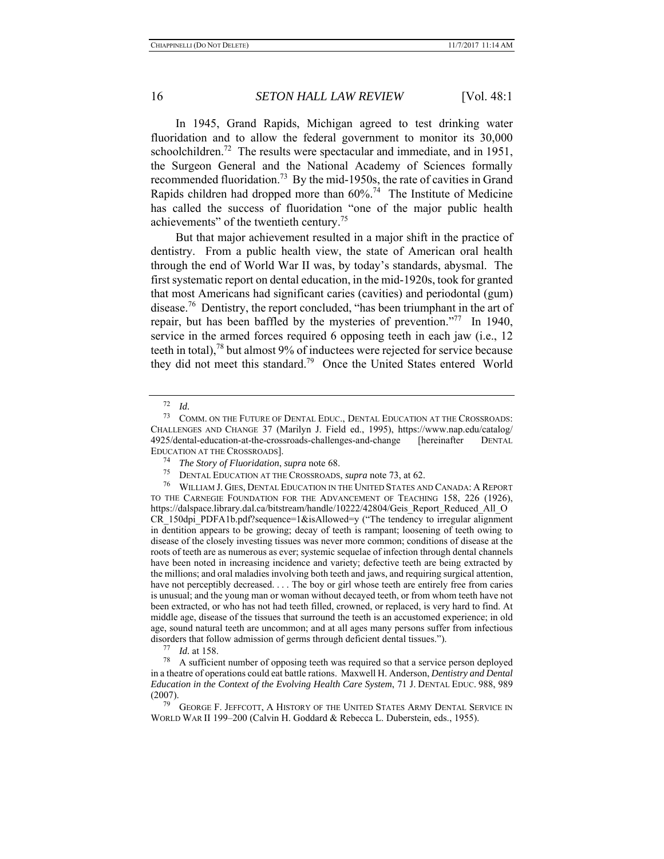In 1945, Grand Rapids, Michigan agreed to test drinking water fluoridation and to allow the federal government to monitor its 30,000 schoolchildren.<sup>72</sup> The results were spectacular and immediate, and in 1951, the Surgeon General and the National Academy of Sciences formally recommended fluoridation.<sup>73</sup> By the mid-1950s, the rate of cavities in Grand Rapids children had dropped more than  $60\%$ <sup>74</sup> The Institute of Medicine has called the success of fluoridation "one of the major public health achievements" of the twentieth century.75

But that major achievement resulted in a major shift in the practice of dentistry. From a public health view, the state of American oral health through the end of World War II was, by today's standards, abysmal. The first systematic report on dental education, in the mid-1920s, took for granted that most Americans had significant caries (cavities) and periodontal (gum) disease.76 Dentistry, the report concluded, "has been triumphant in the art of repair, but has been baffled by the mysteries of prevention."<sup>77</sup> In 1940, service in the armed forces required 6 opposing teeth in each jaw (i.e., 12 teeth in total),<sup>78</sup> but almost 9% of inductees were rejected for service because they did not meet this standard.<sup>79</sup> Once the United States entered World

<sup>72</sup>*Id.* 73 COMM. ON THE FUTURE OF DENTAL EDUC., DENTAL EDUCATION AT THE CROSSROADS: CHALLENGES AND CHANGE 37 (Marilyn J. Field ed., 1995), https://www.nap.edu/catalog/ 4925/dental-education-at-the-crossroads-challenges-and-change [hereinafter DENTAL EDUCATION AT THE CROSSROADS].

<sup>74</sup>*The Story of Fluoridation*, *supra* note 68. 75 DENTAL EDUCATION AT THE CROSSROADS, *supra* note 73, at 62.

<sup>76</sup> WILLIAM J. GIES, DENTAL EDUCATION IN THE UNITED STATES AND CANADA: A REPORT TO THE CARNEGIE FOUNDATION FOR THE ADVANCEMENT OF TEACHING 158, 226 (1926), https://dalspace.library.dal.ca/bitstream/handle/10222/42804/Geis\_Report\_Reduced\_All\_O CR\_150dpi\_PDFA1b.pdf?sequence=1&isAllowed=y ("The tendency to irregular alignment in dentition appears to be growing; decay of teeth is rampant; loosening of teeth owing to disease of the closely investing tissues was never more common; conditions of disease at the roots of teeth are as numerous as ever; systemic sequelae of infection through dental channels have been noted in increasing incidence and variety; defective teeth are being extracted by the millions; and oral maladies involving both teeth and jaws, and requiring surgical attention, have not perceptibly decreased. . . . The boy or girl whose teeth are entirely free from caries is unusual; and the young man or woman without decayed teeth, or from whom teeth have not been extracted, or who has not had teeth filled, crowned, or replaced, is very hard to find. At middle age, disease of the tissues that surround the teeth is an accustomed experience; in old age, sound natural teeth are uncommon; and at all ages many persons suffer from infectious disorders that follow admission of germs through deficient dental tissues."). 77 *Id.* at 158.

<sup>78</sup> A sufficient number of opposing teeth was required so that a service person deployed in a theatre of operations could eat battle rations. Maxwell H. Anderson, *Dentistry and Dental Education in the Context of the Evolving Health Care System*, 71 J. DENTAL EDUC. 988, 989 (2007).

GEORGE F. JEFFCOTT, A HISTORY OF THE UNITED STATES ARMY DENTAL SERVICE IN WORLD WAR II 199–200 (Calvin H. Goddard & Rebecca L. Duberstein, eds., 1955).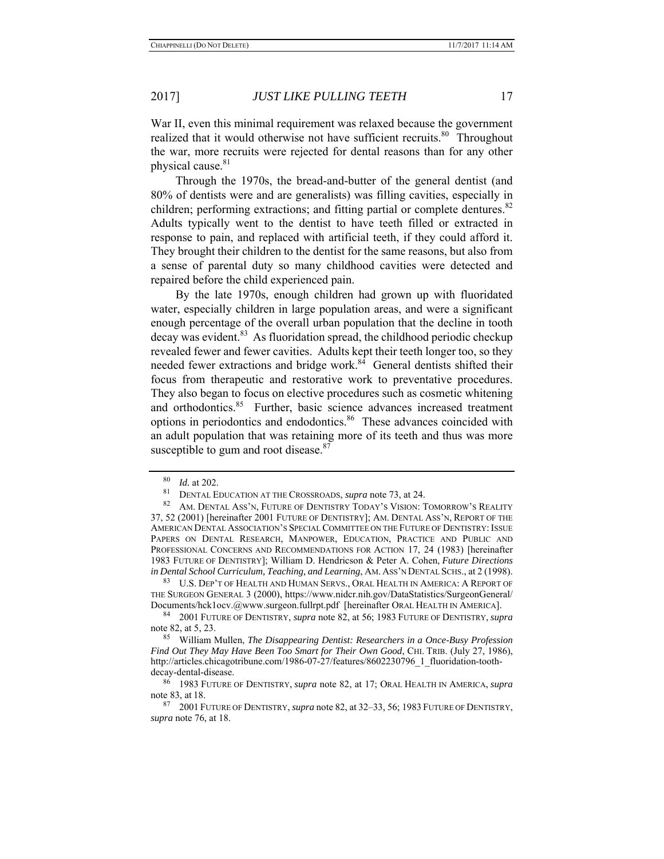War II, even this minimal requirement was relaxed because the government realized that it would otherwise not have sufficient recruits.<sup>80</sup> Throughout the war, more recruits were rejected for dental reasons than for any other physical cause.<sup>81</sup>

Through the 1970s, the bread-and-butter of the general dentist (and 80% of dentists were and are generalists) was filling cavities, especially in children; performing extractions; and fitting partial or complete dentures.<sup>82</sup> Adults typically went to the dentist to have teeth filled or extracted in response to pain, and replaced with artificial teeth, if they could afford it. They brought their children to the dentist for the same reasons, but also from a sense of parental duty so many childhood cavities were detected and repaired before the child experienced pain.

By the late 1970s, enough children had grown up with fluoridated water, especially children in large population areas, and were a significant enough percentage of the overall urban population that the decline in tooth  $\frac{1}{2}$  decay was evident.<sup>83</sup> As fluoridation spread, the childhood periodic checkup revealed fewer and fewer cavities. Adults kept their teeth longer too, so they needed fewer extractions and bridge work.<sup>84</sup> General dentists shifted their focus from therapeutic and restorative work to preventative procedures. They also began to focus on elective procedures such as cosmetic whitening and orthodontics.<sup>85</sup> Further, basic science advances increased treatment options in periodontics and endodontics.<sup>86</sup> These advances coincided with an adult population that was retaining more of its teeth and thus was more susceptible to gum and root disease.<sup>87</sup>

83 U.S. DEP'T OF HEALTH AND HUMAN SERVS., ORAL HEALTH IN AMERICA: A REPORT OF THE SURGEON GENERAL 3 (2000), https://www.nidcr.nih.gov/DataStatistics/SurgeonGeneral/ Documents/hck1ocv.@www.surgeon.fullrpt.pdf [hereinafter ORAL HEALTH IN AMERICA].

 $\frac{80}{81}$  *Id.* at 202.

<sup>81</sup> DENTAL EDUCATION AT THE CROSSROADS, *supra* note 73, at 24.

<sup>82</sup> AM. DENTAL ASS'N, FUTURE OF DENTISTRY TODAY'S VISION: TOMORROW'S REALITY 37, 52 (2001) [hereinafter 2001 FUTURE OF DENTISTRY]; AM. DENTAL ASS'N, REPORT OF THE AMERICAN DENTAL ASSOCIATION'S SPECIAL COMMITTEE ON THE FUTURE OF DENTISTRY: ISSUE PAPERS ON DENTAL RESEARCH, MANPOWER, EDUCATION, PRACTICE AND PUBLIC AND PROFESSIONAL CONCERNS AND RECOMMENDATIONS FOR ACTION 17, 24 (1983) [hereinafter 1983 FUTURE OF DENTISTRY]; William D. Hendricson & Peter A. Cohen, *Future Directions in Dental School Curriculum, Teaching, and Learning*, AM. ASS'N DENTAL SCHS., at 2 (1998).

<sup>84 2001</sup> FUTURE OF DENTISTRY, *supra* note 82, at 56; 1983 FUTURE OF DENTISTRY, *supra* note 82, at 5, 23.

<sup>85</sup> William Mullen, *The Disappearing Dentist: Researchers in a Once-Busy Profession Find Out They May Have Been Too Smart for Their Own Good*, CHI. TRIB. (July 27, 1986), http://articles.chicagotribune.com/1986-07-27/features/8602230796\_1\_fluoridation-toothdecay-dental-disease.

<sup>86 1983</sup> FUTURE OF DENTISTRY, *supra* note 82, at 17; ORAL HEALTH IN AMERICA, *supra* note 83, at 18.

<sup>87 2001</sup> FUTURE OF DENTISTRY, *supra* note 82, at 32–33, 56; 1983 FUTURE OF DENTISTRY, *supra* note 76, at 18.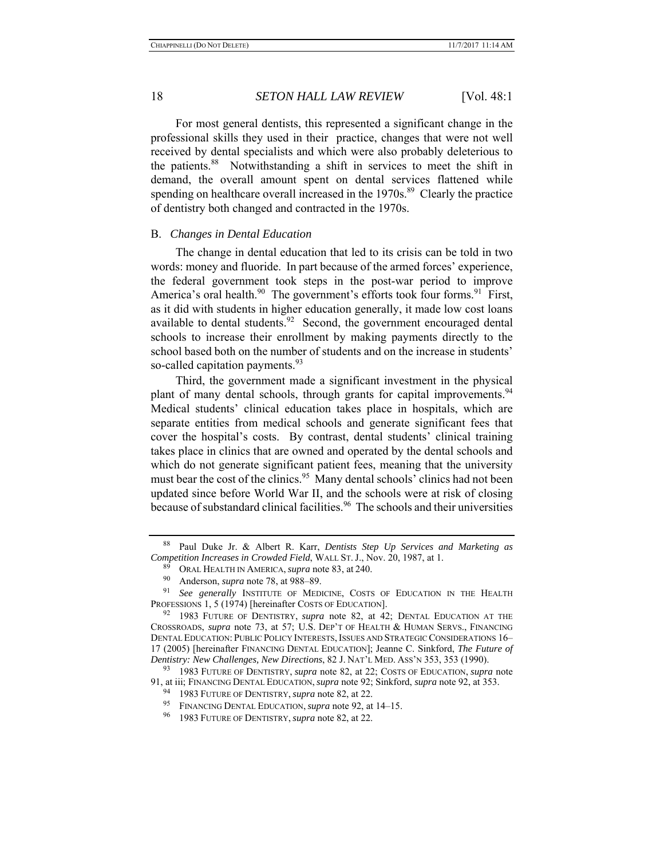For most general dentists, this represented a significant change in the professional skills they used in their practice, changes that were not well received by dental specialists and which were also probably deleterious to the patients.88 Notwithstanding a shift in services to meet the shift in demand, the overall amount spent on dental services flattened while spending on healthcare overall increased in the 1970s.<sup>89</sup> Clearly the practice of dentistry both changed and contracted in the 1970s.

#### B. *Changes in Dental Education*

The change in dental education that led to its crisis can be told in two words: money and fluoride. In part because of the armed forces' experience, the federal government took steps in the post-war period to improve America's oral health. $90$  The government's efforts took four forms. $91$  First, as it did with students in higher education generally, it made low cost loans available to dental students.<sup>92</sup> Second, the government encouraged dental schools to increase their enrollment by making payments directly to the school based both on the number of students and on the increase in students' so-called capitation payments.<sup>93</sup>

Third, the government made a significant investment in the physical plant of many dental schools, through grants for capital improvements.<sup>94</sup> Medical students' clinical education takes place in hospitals, which are separate entities from medical schools and generate significant fees that cover the hospital's costs. By contrast, dental students' clinical training takes place in clinics that are owned and operated by the dental schools and which do not generate significant patient fees, meaning that the university must bear the cost of the clinics.<sup>95</sup> Many dental schools' clinics had not been updated since before World War II, and the schools were at risk of closing because of substandard clinical facilities.<sup>96</sup> The schools and their universities

<sup>88</sup> Paul Duke Jr. & Albert R. Karr, *Dentists Step Up Services and Marketing as Competition Increases in Crowded Field*, WALL ST. J., Nov. 20, 1987, at 1.

<sup>&</sup>lt;sup>89</sup> ORAL HEALTH IN AMERICA, *supra* note 83, at 240.

Anderson, *supra* note 78, at 988-89.

<sup>91</sup> *See generally* INSTITUTE OF MEDICINE, COSTS OF EDUCATION IN THE HEALTH PROFESSIONS 1, 5 (1974) [hereinafter COSTS OF EDUCATION].

<sup>92 1983</sup> FUTURE OF DENTISTRY, *supra* note 82, at 42; DENTAL EDUCATION AT THE CROSSROADS, *supra* note 73, at 57; U.S. DEP'T OF HEALTH & HUMAN SERVS., FINANCING DENTAL EDUCATION: PUBLIC POLICY INTERESTS, ISSUES AND STRATEGIC CONSIDERATIONS 16-17 (2005) [hereinafter FINANCING DENTAL EDUCATION]; Jeanne C. Sinkford, *The Future of Dentistry: New Challenges, New Directions*, 82 J. NAT'L MED. ASS'N 353, 353 (1990).

<sup>93 1983</sup> FUTURE OF DENTISTRY, *supra* note 82, at 22; COSTS OF EDUCATION, *supra* note 91, at iii; FINANCING DENTAL EDUCATION, *supra* note 92; Sinkford, *supra* note 92, at 353.

<sup>94 1983</sup> FUTURE OF DENTISTRY, *supra* note 82, at 22.

<sup>95</sup> FINANCING DENTAL EDUCATION, *supra* note 92, at 14–15.

<sup>96 1983</sup> FUTURE OF DENTISTRY, *supra* note 82, at 22.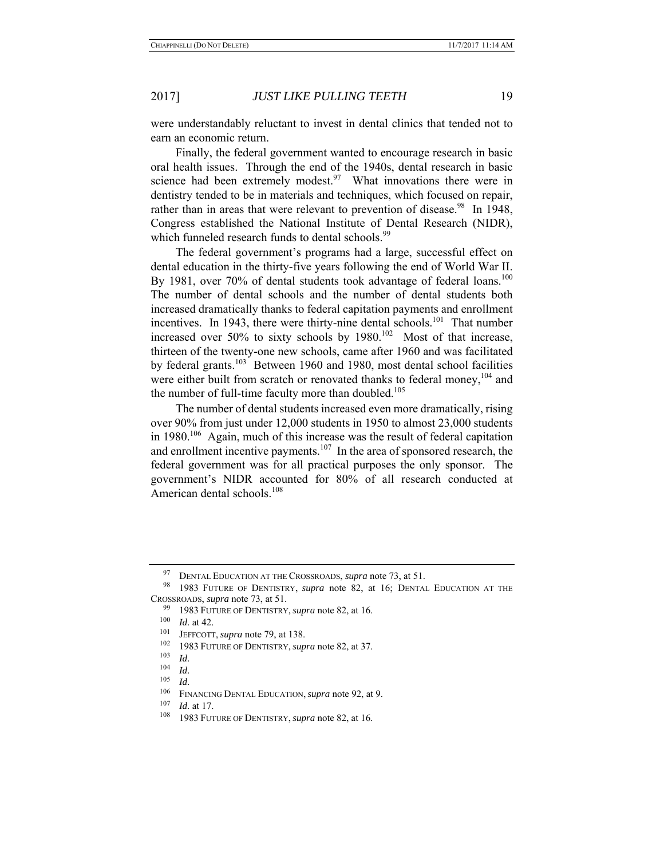were understandably reluctant to invest in dental clinics that tended not to earn an economic return.

Finally, the federal government wanted to encourage research in basic oral health issues. Through the end of the 1940s, dental research in basic science had been extremely modest. $97$  What innovations there were in dentistry tended to be in materials and techniques, which focused on repair, rather than in areas that were relevant to prevention of disease.<sup>98</sup> In 1948, Congress established the National Institute of Dental Research (NIDR), which funneled research funds to dental schools.<sup>99</sup>

The federal government's programs had a large, successful effect on dental education in the thirty-five years following the end of World War II. By 1981, over 70% of dental students took advantage of federal loans.<sup>100</sup> The number of dental schools and the number of dental students both increased dramatically thanks to federal capitation payments and enrollment incentives. In 1943, there were thirty-nine dental schools.<sup>101</sup> That number increased over  $50\%$  to sixty schools by  $1980$ .<sup>102</sup> Most of that increase, thirteen of the twenty-one new schools, came after 1960 and was facilitated by federal grants.<sup>103</sup> Between 1960 and 1980, most dental school facilities were either built from scratch or renovated thanks to federal money,  $104$  and the number of full-time faculty more than doubled. $105$ 

The number of dental students increased even more dramatically, rising over 90% from just under 12,000 students in 1950 to almost 23,000 students in  $1980$ <sup>106</sup> Again, much of this increase was the result of federal capitation and enrollment incentive payments.<sup>107</sup> In the area of sponsored research, the federal government was for all practical purposes the only sponsor. The government's NIDR accounted for 80% of all research conducted at American dental schools.<sup>108</sup>

<sup>97</sup> DENTAL EDUCATION AT THE CROSSROADS, *supra* note 73, at 51.<br>98 1983 FUTURE OF DENTISTRY *supra* note 82 at 16: DENTAL

<sup>1983</sup> FUTURE OF DENTISTRY, *supra* note 82, at 16; DENTAL EDUCATION AT THE CROSSROADS, *supra* note 73, at 51.

<sup>99 1983</sup> FUTURE OF DENTISTRY, *supra* note 82, at 16.

 $\frac{100}{101}$  *Id.* at 42.

<sup>&</sup>lt;sup>101</sup> JEFFCOTT, *supra* note 79, at 138.<br><sup>102</sup> 1083 FUTURE OF DENTISTRY *sup* 

<sup>&</sup>lt;sup>102</sup> 1983 FUTURE OF DENTISTRY, *supra* note 82, at 37.

<sup>103</sup> *Id.*<br>
104 *Id.*<br>
<sup>105</sup> *Id.*<br>
<sup>106</sup> FINANCING DENTAL EDUCATION, *supra* note 92, at 9.<br>
<sup>107</sup> *Id.* at 17

 $\frac{107}{108}$  *Id.* at 17.

<sup>108 1983</sup> FUTURE OF DENTISTRY, *supra* note 82, at 16.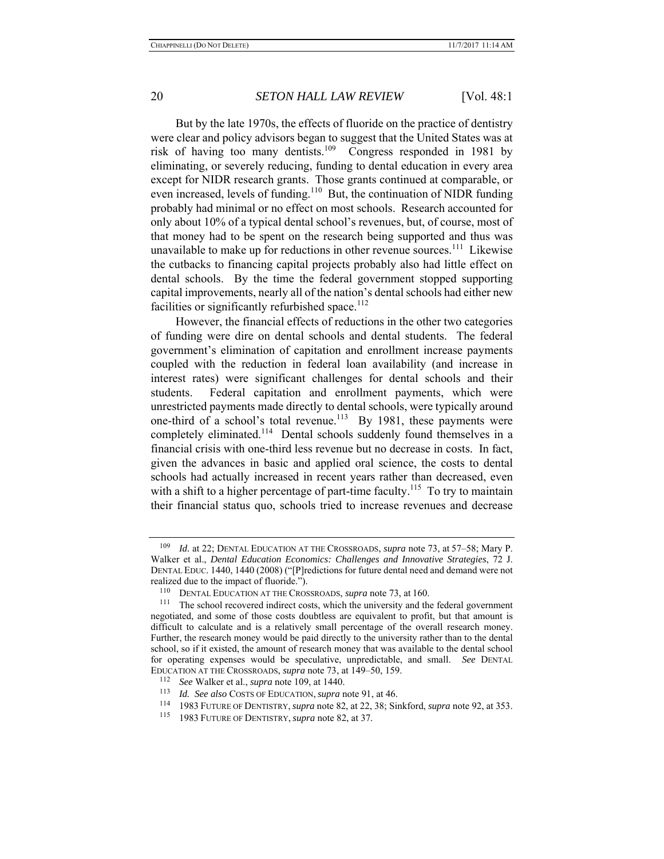But by the late 1970s, the effects of fluoride on the practice of dentistry were clear and policy advisors began to suggest that the United States was at risk of having too many dentists.<sup>109</sup> Congress responded in 1981 by eliminating, or severely reducing, funding to dental education in every area except for NIDR research grants. Those grants continued at comparable, or even increased, levels of funding.<sup>110</sup> But, the continuation of NIDR funding probably had minimal or no effect on most schools. Research accounted for only about 10% of a typical dental school's revenues, but, of course, most of that money had to be spent on the research being supported and thus was unavailable to make up for reductions in other revenue sources.<sup>111</sup> Likewise the cutbacks to financing capital projects probably also had little effect on dental schools. By the time the federal government stopped supporting capital improvements, nearly all of the nation's dental schools had either new facilities or significantly refurbished space.<sup>112</sup>

However, the financial effects of reductions in the other two categories of funding were dire on dental schools and dental students. The federal government's elimination of capitation and enrollment increase payments coupled with the reduction in federal loan availability (and increase in interest rates) were significant challenges for dental schools and their students. Federal capitation and enrollment payments, which were unrestricted payments made directly to dental schools, were typically around one-third of a school's total revenue.<sup>113</sup> By 1981, these payments were completely eliminated.<sup>114</sup> Dental schools suddenly found themselves in a financial crisis with one-third less revenue but no decrease in costs. In fact, given the advances in basic and applied oral science, the costs to dental schools had actually increased in recent years rather than decreased, even with a shift to a higher percentage of part-time faculty.<sup>115</sup> To try to maintain their financial status quo, schools tried to increase revenues and decrease

<sup>109</sup> *Id.* at 22; DENTAL EDUCATION AT THE CROSSROADS, *supra* note 73, at 57–58; Mary P. Walker et al., *Dental Education Economics: Challenges and Innovative Strategies*, 72 J. DENTAL EDUC. 1440, 1440 (2008) ("[P]redictions for future dental need and demand were not realized due to the impact of fluoride.").

<sup>&</sup>lt;sup>110</sup> DENTAL EDUCATION AT THE CROSSROADS, *supra* note 73, at 160.<br><sup>111</sup> The school recovered indirect costs, which the university and the federal government negotiated, and some of those costs doubtless are equivalent to profit, but that amount is difficult to calculate and is a relatively small percentage of the overall research money. Further, the research money would be paid directly to the university rather than to the dental school, so if it existed, the amount of research money that was available to the dental school for operating expenses would be speculative, unpredictable, and small. *See* DENTAL EDUCATION AT THE CROSSROADS, *supra* note 73, at 149–50, 159. 112 *See* Walker et al., *supra* note 109, at 1440.

<sup>113</sup>*Id. See also* COSTS OF EDUCATION, *supra* note 91, at 46. 114 1983 FUTURE OF DENTISTRY,*supra* note 82, at 22, 38; Sinkford, *supra* note 92, at 353.

<sup>115 1983</sup> FUTURE OF DENTISTRY, *supra* note 82, at 37.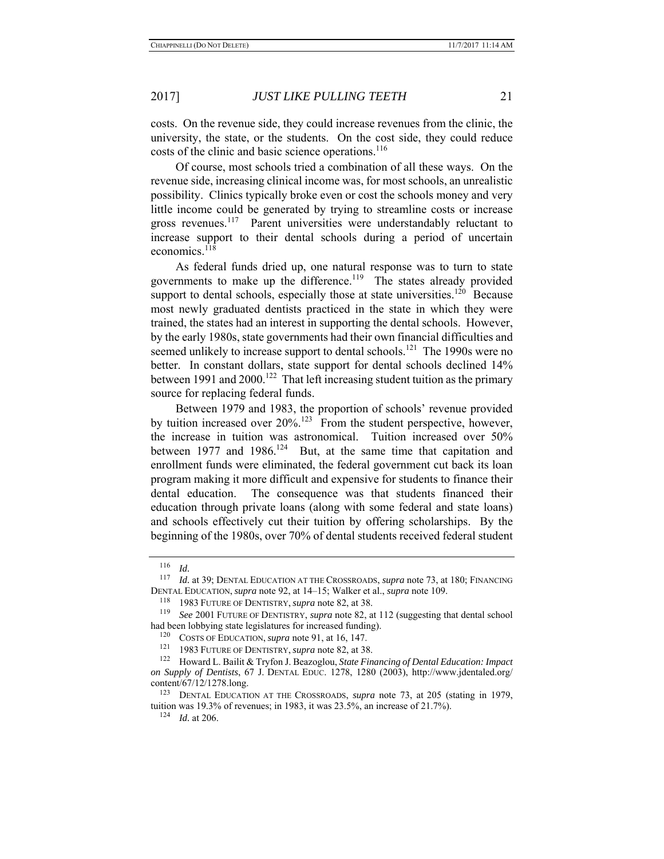costs. On the revenue side, they could increase revenues from the clinic, the university, the state, or the students. On the cost side, they could reduce costs of the clinic and basic science operations.<sup>116</sup>

Of course, most schools tried a combination of all these ways. On the revenue side, increasing clinical income was, for most schools, an unrealistic possibility. Clinics typically broke even or cost the schools money and very little income could be generated by trying to streamline costs or increase gross revenues.<sup>117</sup> Parent universities were understandably reluctant to increase support to their dental schools during a period of uncertain economics.<sup>118</sup>

As federal funds dried up, one natural response was to turn to state governments to make up the difference.<sup>119</sup> The states already provided support to dental schools, especially those at state universities.<sup>120</sup> Because most newly graduated dentists practiced in the state in which they were trained, the states had an interest in supporting the dental schools. However, by the early 1980s, state governments had their own financial difficulties and seemed unlikely to increase support to dental schools.<sup>121</sup> The 1990s were no better. In constant dollars, state support for dental schools declined 14% between 1991 and  $2000$ .<sup>122</sup> That left increasing student tuition as the primary source for replacing federal funds.

Between 1979 and 1983, the proportion of schools' revenue provided by tuition increased over  $20\%$ .<sup>123</sup> From the student perspective, however, the increase in tuition was astronomical. Tuition increased over 50% between 1977 and 1986.<sup>124</sup> But, at the same time that capitation and enrollment funds were eliminated, the federal government cut back its loan program making it more difficult and expensive for students to finance their dental education. The consequence was that students financed their education through private loans (along with some federal and state loans) and schools effectively cut their tuition by offering scholarships. By the beginning of the 1980s, over 70% of dental students received federal student

<sup>116</sup>*Id.* 117 *Id.* at 39; DENTAL EDUCATION AT THE CROSSROADS, *supra* note 73, at 180; FINANCING DENTAL EDUCATION, *supra* note 92, at 14–15; Walker et al., *supra* note 109.

<sup>118 1983</sup> FUTURE OF DENTISTRY, *supra* note 82, at 38.<br><sup>119</sup> See 2001 Furting of DENTISTRY, *supra* note 82, at

<sup>119</sup> *See* 2001 FUTURE OF DENTISTRY, *supra* note 82, at 112 (suggesting that dental school had been lobbying state legislatures for increased funding).

<sup>&</sup>lt;sup>120</sup> COSTS OF EDUCATION, *supra* note 91, at 16, 147.<br><sup>121</sup> 1983 FUTURE OF DENTISTRY, *supra* note 82, at 38.<br><sup>122</sup> Howard L. Bailit & Tryfon J. Beazoglou, *State Financing of Dental Education: Impact on Supply of Dentists*, 67 J. DENTAL EDUC. 1278, 1280 (2003), http://www.jdentaled.org/ content/67/12/1278.long.

<sup>123</sup> DENTAL EDUCATION AT THE CROSSROADS, *supra* note 73, at 205 (stating in 1979, tuition was 19.3% of revenues; in 1983, it was 23.5%, an increase of 21.7%). 124 *Id.* at 206.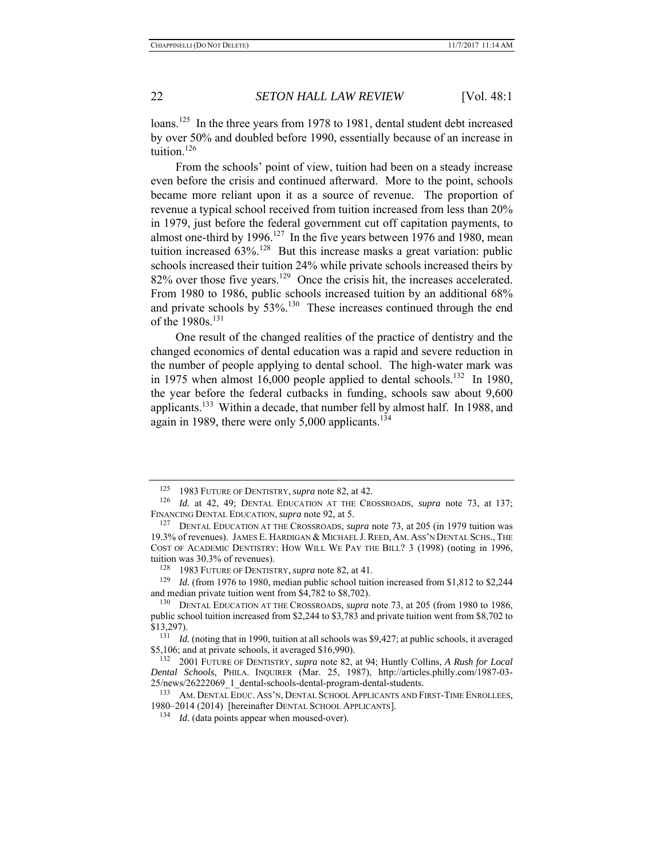loans.<sup>125</sup> In the three years from 1978 to 1981, dental student debt increased by over 50% and doubled before 1990, essentially because of an increase in tuition.<sup>126</sup>

From the schools' point of view, tuition had been on a steady increase even before the crisis and continued afterward. More to the point, schools became more reliant upon it as a source of revenue. The proportion of revenue a typical school received from tuition increased from less than 20% in 1979, just before the federal government cut off capitation payments, to almost one-third by 1996.<sup>127</sup> In the five years between 1976 and 1980, mean tuition increased  $63\%$ <sup>128</sup> But this increase masks a great variation: public schools increased their tuition 24% while private schools increased theirs by  $82\%$  over those five years.<sup>129</sup> Once the crisis hit, the increases accelerated. From 1980 to 1986, public schools increased tuition by an additional 68% and private schools by 53%.<sup>130</sup> These increases continued through the end of the 1980s.<sup>131</sup>

One result of the changed realities of the practice of dentistry and the changed economics of dental education was a rapid and severe reduction in the number of people applying to dental school. The high-water mark was in 1975 when almost 16,000 people applied to dental schools.<sup>132</sup> In 1980, the year before the federal cutbacks in funding, schools saw about 9,600 applicants.<sup>133</sup> Within a decade, that number fell by almost half. In 1988, and again in 1989, there were only  $5,000$  applicants.<sup>134</sup>

<sup>125 1983</sup> FUTURE OF DENTISTRY, *supra* note 82, at 42.

<sup>126</sup> *Id.* at 42, 49; DENTAL EDUCATION AT THE CROSSROADS, *supra* note 73, at 137; FINANCING DENTAL EDUCATION, *supra* note 92, at 5.

<sup>127</sup> DENTAL EDUCATION AT THE CROSSROADS, *supra* note 73, at 205 (in 1979 tuition was 19.3% of revenues). JAMES E. HARDIGAN & MICHAEL J.REED, AM. ASS'N DENTAL SCHS., THE COST OF ACADEMIC DENTISTRY: HOW WILL WE PAY THE BILL? 3 (1998) (noting in 1996, tuition was 30.3% of revenues).

<sup>128 1983</sup> FUTURE OF DENTISTRY, *supra* note 82, at 41.

*Id.* (from 1976 to 1980, median public school tuition increased from \$1,812 to \$2,244 and median private tuition went from \$4,782 to \$8,702).

<sup>130</sup> DENTAL EDUCATION AT THE CROSSROADS, *supra* note 73, at 205 (from 1980 to 1986, public school tuition increased from \$2,244 to \$3,783 and private tuition went from \$8,702 to \$13,297).

<sup>131</sup> *Id.* (noting that in 1990, tuition at all schools was \$9,427; at public schools, it averaged \$5,106; and at private schools, it averaged \$16,990).

<sup>132 2001</sup> FUTURE OF DENTISTRY, *supra* note 82, at 94; Huntly Collins, *A Rush for Local Dental Schools*, PHILA. INQUIRER (Mar. 25, 1987), http://articles.philly.com/1987-03- 25/news/26222069\_1\_dental-schools-dental-program-dental-students.<br><sup>133</sup> AM. DENTAL EDUC. ASS'N, DENTAL SCHOOL APPLICANTS AND FIRST-TIME ENROLLEES,

<sup>1980–2014 (2014) [</sup>hereinafter DENTAL SCHOOL APPLICANTS].

<sup>&</sup>lt;sup>134</sup> *Id.* (data points appear when moused-over).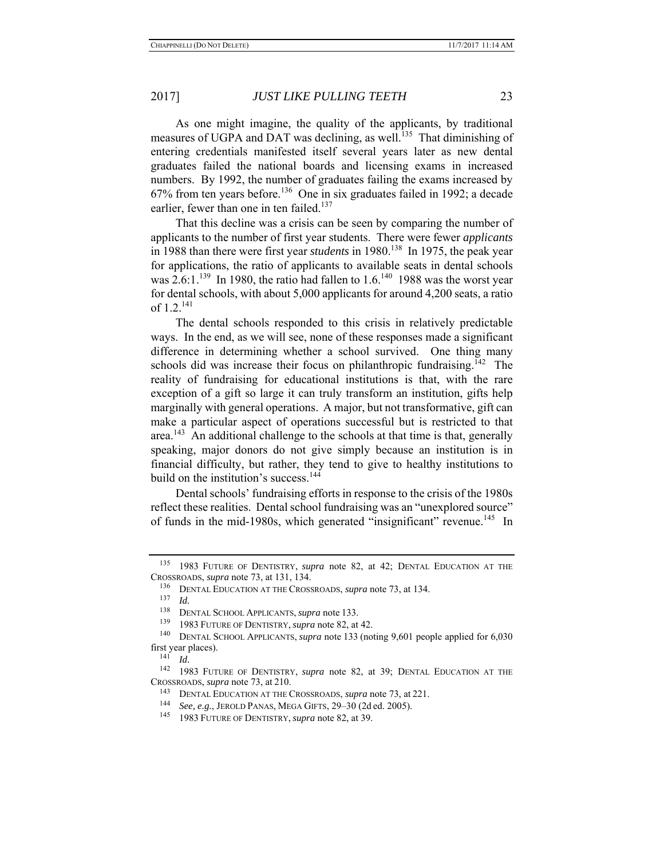As one might imagine, the quality of the applicants, by traditional measures of UGPA and DAT was declining, as well.<sup>135</sup> That diminishing of entering credentials manifested itself several years later as new dental graduates failed the national boards and licensing exams in increased numbers. By 1992, the number of graduates failing the exams increased by  $67\%$  from ten years before.<sup>136</sup> One in six graduates failed in 1992; a decade earlier, fewer than one in ten failed.<sup>137</sup>

That this decline was a crisis can be seen by comparing the number of applicants to the number of first year students. There were fewer *applicants* in 1988 than there were first year *students* in 1980.<sup>138</sup> In 1975, the peak year for applications, the ratio of applicants to available seats in dental schools was  $2.6:1$ .<sup>139</sup> In 1980, the ratio had fallen to  $1.6$ .<sup>140</sup> 1988 was the worst year for dental schools, with about 5,000 applicants for around 4,200 seats, a ratio of  $1.2^{141}$ 

The dental schools responded to this crisis in relatively predictable ways. In the end, as we will see, none of these responses made a significant difference in determining whether a school survived. One thing many schools did was increase their focus on philanthropic fundraising.<sup>142</sup> The reality of fundraising for educational institutions is that, with the rare exception of a gift so large it can truly transform an institution, gifts help marginally with general operations. A major, but not transformative, gift can make a particular aspect of operations successful but is restricted to that area.<sup>143</sup> An additional challenge to the schools at that time is that, generally speaking, major donors do not give simply because an institution is in financial difficulty, but rather, they tend to give to healthy institutions to build on the institution's success.<sup>144</sup>

Dental schools' fundraising efforts in response to the crisis of the 1980s reflect these realities. Dental school fundraising was an "unexplored source" of funds in the mid-1980s, which generated "insignificant" revenue.<sup>145</sup> In

<sup>135 1983</sup> FUTURE OF DENTISTRY, *supra* note 82, at 42; DENTAL EDUCATION AT THE CROSSROADS, *supra* note 73, at 131, 134.

<sup>&</sup>lt;sup>136</sup> DENTAL EDUCATION AT THE CROSSROADS, *supra* note 73, at 134.

<sup>138</sup> DENTAL SCHOOL APPLICANTS, *supra* note 133.<br>139 1083 EUTURE OF DENTISTRY, *supra* note 82, et

<sup>139 1983</sup> FUTURE OF DENTISTRY, *supra* note 82, at 42.

<sup>140</sup> DENTAL SCHOOL APPLICANTS, *supra* note 133 (noting 9,601 people applied for 6,030 first year places). 141 *Id.* 142 1983 FUTURE OF DENTISTRY, *supra* note 82, at 39; DENTAL EDUCATION AT THE

CROSSROADS, *supra* note 73, at 210.

<sup>143</sup> DENTAL EDUCATION AT THE CROSSROADS, *supra* note 73, at 221. 144 *See, e.g.*, JEROLD PANAS, MEGA GIFTS, 29–30 (2d ed. 2005).

<sup>145 1983</sup> FUTURE OF DENTISTRY, *supra* note 82, at 39.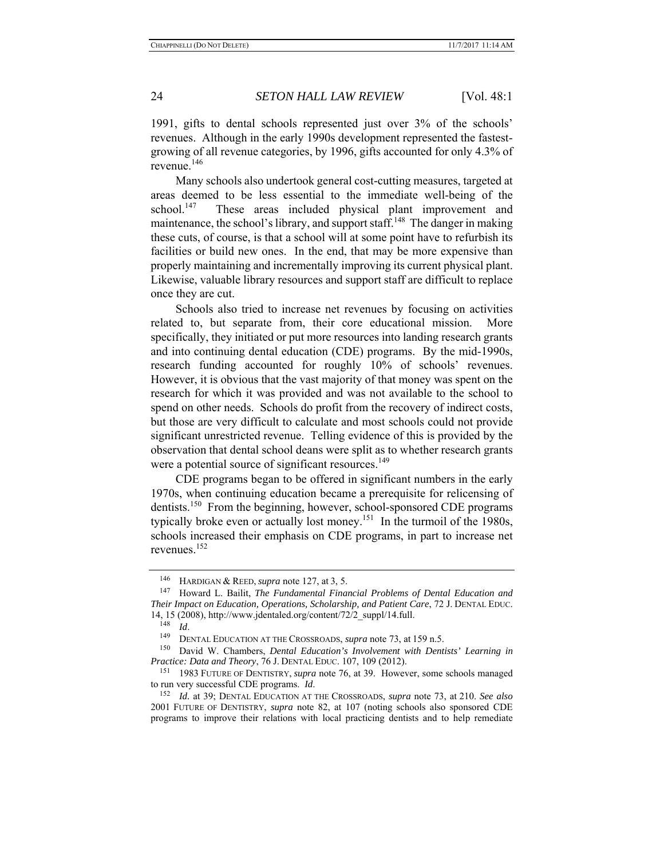1991, gifts to dental schools represented just over 3% of the schools' revenues. Although in the early 1990s development represented the fastestgrowing of all revenue categories, by 1996, gifts accounted for only 4.3% of revenue.<sup>146</sup>

Many schools also undertook general cost-cutting measures, targeted at areas deemed to be less essential to the immediate well-being of the school.<sup>147</sup> These areas included physical plant improvement and maintenance, the school's library, and support staff.<sup>148</sup> The danger in making these cuts, of course, is that a school will at some point have to refurbish its facilities or build new ones. In the end, that may be more expensive than properly maintaining and incrementally improving its current physical plant. Likewise, valuable library resources and support staff are difficult to replace once they are cut.

Schools also tried to increase net revenues by focusing on activities related to, but separate from, their core educational mission. specifically, they initiated or put more resources into landing research grants and into continuing dental education (CDE) programs. By the mid-1990s, research funding accounted for roughly 10% of schools' revenues. However, it is obvious that the vast majority of that money was spent on the research for which it was provided and was not available to the school to spend on other needs. Schools do profit from the recovery of indirect costs, but those are very difficult to calculate and most schools could not provide significant unrestricted revenue. Telling evidence of this is provided by the observation that dental school deans were split as to whether research grants were a potential source of significant resources.<sup>149</sup>

CDE programs began to be offered in significant numbers in the early 1970s, when continuing education became a prerequisite for relicensing of dentists.<sup>150</sup> From the beginning, however, school-sponsored CDE programs typically broke even or actually lost money.<sup>151</sup> In the turmoil of the 1980s, schools increased their emphasis on CDE programs, in part to increase net revenues.<sup>152</sup>

<sup>146</sup> HARDIGAN & REED, *supra* note 127, at 3, 5.

<sup>147</sup> Howard L. Bailit, *The Fundamental Financial Problems of Dental Education and Their Impact on Education, Operations, Scholarship, and Patient Care*, 72 J. DENTAL EDUC. 14, 15 (2008), http://www.jdentaled.org/content/72/2\_suppl/14.full.<br><sup>148</sup>  $Id$ .

<sup>149</sup> DENTAL EDUCATION AT THE CROSSROADS, *supra* note 73, at 159 n.5.<br><sup>150</sup> Devid W. Chambers, *Devid Education's Jumphement with Devid* 

David W. Chambers, *Dental Education's Involvement with Dentists' Learning in Practice: Data and Theory*, 76 J. DENTAL EDUC. 107, 109 (2012).

<sup>151 1983</sup> FUTURE OF DENTISTRY, *supra* note 76, at 39. However, some schools managed to run very successful CDE programs. *Id.* 152 *Id.* at 39; DENTAL EDUCATION AT THE CROSSROADS, *supra* note 73, at 210. *See also* 

<sup>2001</sup> FUTURE OF DENTISTRY, *supra* note 82, at 107 (noting schools also sponsored CDE programs to improve their relations with local practicing dentists and to help remediate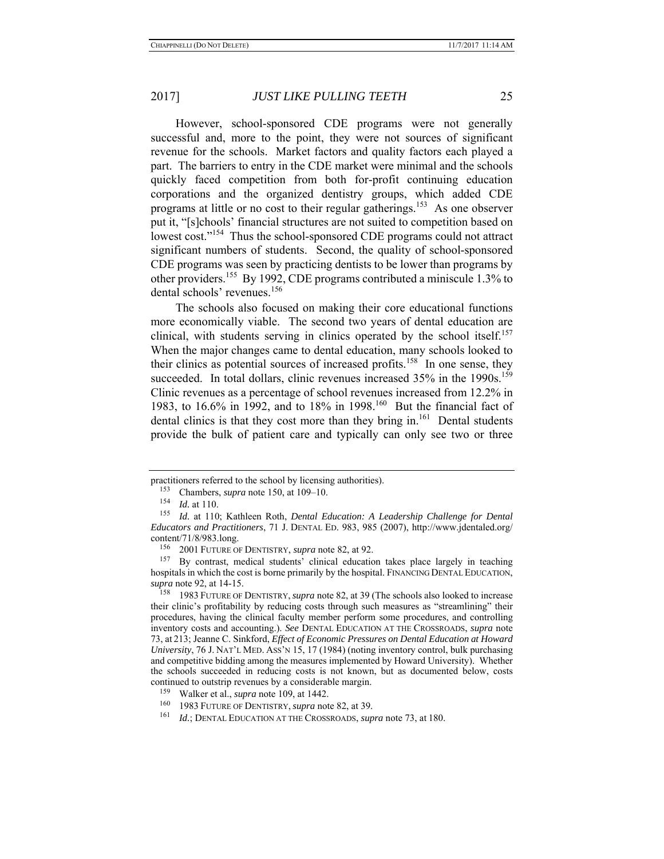However, school-sponsored CDE programs were not generally successful and, more to the point, they were not sources of significant revenue for the schools. Market factors and quality factors each played a part. The barriers to entry in the CDE market were minimal and the schools quickly faced competition from both for-profit continuing education corporations and the organized dentistry groups, which added CDE programs at little or no cost to their regular gatherings.<sup>153</sup> As one observer put it, "[s]chools' financial structures are not suited to competition based on lowest cost."<sup>154</sup> Thus the school-sponsored CDE programs could not attract significant numbers of students. Second, the quality of school-sponsored CDE programs was seen by practicing dentists to be lower than programs by other providers.155 By 1992, CDE programs contributed a miniscule 1.3% to dental schools' revenues.<sup>156</sup>

The schools also focused on making their core educational functions more economically viable. The second two years of dental education are clinical, with students serving in clinics operated by the school itself.<sup>157</sup> When the major changes came to dental education, many schools looked to their clinics as potential sources of increased profits.<sup>158</sup> In one sense, they succeeded. In total dollars, clinic revenues increased 35% in the 1990s.<sup>159</sup> Clinic revenues as a percentage of school revenues increased from 12.2% in 1983, to 16.6% in 1992, and to 18% in 1998.160 But the financial fact of dental clinics is that they cost more than they bring in.<sup>161</sup> Dental students provide the bulk of patient care and typically can only see two or three

practitioners referred to the school by licensing authorities).<br><sup>153</sup> Chambers, *supra* note 150, at 109–10.<br><sup>154</sup> *Id.* at 110.

 $\frac{154}{155}$  *Id.* at 110.

Id. at 110; Kathleen Roth, *Dental Education: A Leadership Challenge for Dental Educators and Practitioners*, 71 J. DENTAL ED. 983, 985 (2007), http://www.jdentaled.org/ content/71/8/983.long.

<sup>156 2001</sup> FUTURE OF DENTISTRY, *supra* note 82, at 92.

By contrast, medical students' clinical education takes place largely in teaching hospitals in which the cost is borne primarily by the hospital. FINANCING DENTAL EDUCATION, *supra* note 92, at 14-15.

<sup>158 1983</sup> FUTURE OF DENTISTRY,*supra* note 82, at 39 (The schools also looked to increase their clinic's profitability by reducing costs through such measures as "streamlining" their procedures, having the clinical faculty member perform some procedures, and controlling inventory costs and accounting.). *See* DENTAL EDUCATION AT THE CROSSROADS, *supra* note 73, at 213; Jeanne C. Sinkford, *Effect of Economic Pressures on Dental Education at Howard University*, 76 J. NAT'L MED. ASS'N 15, 17 (1984) (noting inventory control, bulk purchasing and competitive bidding among the measures implemented by Howard University). Whether the schools succeeded in reducing costs is not known, but as documented below, costs continued to outstrip revenues by a considerable margin.

<sup>&</sup>lt;sup>159</sup> Walker et al., *supra* note 109, at 1442.

<sup>160 1983</sup> FUTURE OF DENTISTRY, *supra* note 82, at 39.

Id.; DENTAL EDUCATION AT THE CROSSROADS, *supra* note 73, at 180.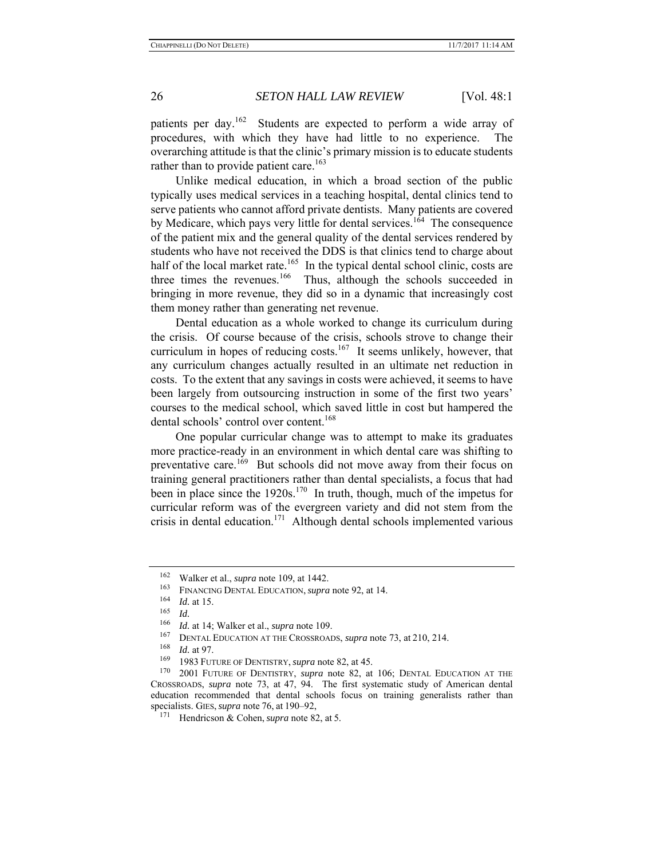patients per day.<sup>162</sup> Students are expected to perform a wide array of procedures, with which they have had little to no experience. The overarching attitude is that the clinic's primary mission is to educate students rather than to provide patient care.<sup>163</sup>

Unlike medical education, in which a broad section of the public typically uses medical services in a teaching hospital, dental clinics tend to serve patients who cannot afford private dentists. Many patients are covered by Medicare, which pays very little for dental services.<sup>164</sup> The consequence of the patient mix and the general quality of the dental services rendered by students who have not received the DDS is that clinics tend to charge about half of the local market rate.<sup>165</sup> In the typical dental school clinic, costs are three times the revenues.<sup>166</sup> Thus, although the schools succeeded in bringing in more revenue, they did so in a dynamic that increasingly cost them money rather than generating net revenue.

Dental education as a whole worked to change its curriculum during the crisis. Of course because of the crisis, schools strove to change their curriculum in hopes of reducing costs.<sup>167</sup> It seems unlikely, however, that any curriculum changes actually resulted in an ultimate net reduction in costs. To the extent that any savings in costs were achieved, it seems to have been largely from outsourcing instruction in some of the first two years' courses to the medical school, which saved little in cost but hampered the dental schools' control over content.<sup>168</sup>

One popular curricular change was to attempt to make its graduates more practice-ready in an environment in which dental care was shifting to preventative care.<sup>169</sup> But schools did not move away from their focus on training general practitioners rather than dental specialists, a focus that had been in place since the  $1920s$ .<sup>170</sup> In truth, though, much of the impetus for curricular reform was of the evergreen variety and did not stem from the crisis in dental education.171 Although dental schools implemented various

<sup>162</sup> Walker et al., *supra* note 109, at 1442.

<sup>163</sup> FINANCING DENTAL EDUCATION, *supra* note 92, at 14.

*Id.* at 15.

<sup>165</sup>*Id.* 166 *Id.* at 14; Walker et al., *supra* note 109.

<sup>&</sup>lt;sup>167</sup> DENTAL EDUCATION AT THE CROSSROADS, *supra* note 73, at 210, 214.

*Id.* at 97.

<sup>169 1983</sup> FUTURE OF DENTISTRY, *supra* note 82, at 45.

<sup>170 2001</sup> FUTURE OF DENTISTRY, *supra* note 82, at 106; DENTAL EDUCATION AT THE CROSSROADS, *supra* note 73, at 47, 94. The first systematic study of American dental education recommended that dental schools focus on training generalists rather than specialists. GIES,*supra* note 76, at 190–92,

<sup>171</sup> Hendricson & Cohen, *supra* note 82, at 5.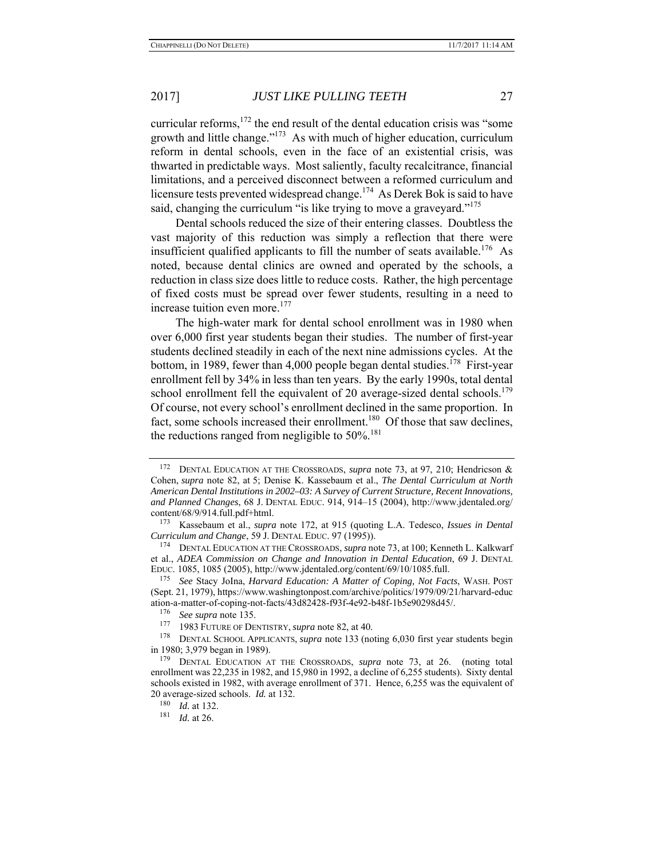curricular reforms, $172$  the end result of the dental education crisis was "some growth and little change." $173$  As with much of higher education, curriculum reform in dental schools, even in the face of an existential crisis, was thwarted in predictable ways. Most saliently, faculty recalcitrance, financial limitations, and a perceived disconnect between a reformed curriculum and licensure tests prevented widespread change.<sup>174</sup> As Derek Bok is said to have said, changing the curriculum "is like trying to move a graveyard."<sup>175</sup>

Dental schools reduced the size of their entering classes. Doubtless the vast majority of this reduction was simply a reflection that there were insufficient qualified applicants to fill the number of seats available.<sup>176</sup> As noted, because dental clinics are owned and operated by the schools, a reduction in class size does little to reduce costs. Rather, the high percentage of fixed costs must be spread over fewer students, resulting in a need to increase tuition even more.<sup>177</sup>

The high-water mark for dental school enrollment was in 1980 when over 6,000 first year students began their studies. The number of first-year students declined steadily in each of the next nine admissions cycles. At the bottom, in 1989, fewer than 4,000 people began dental studies.<sup>178</sup> First-year enrollment fell by 34% in less than ten years. By the early 1990s, total dental school enrollment fell the equivalent of 20 average-sized dental schools.<sup>179</sup> Of course, not every school's enrollment declined in the same proportion. In fact, some schools increased their enrollment.<sup>180</sup> Of those that saw declines, the reductions ranged from negligible to  $50\%$ .<sup>181</sup>

<sup>172</sup> DENTAL EDUCATION AT THE CROSSROADS, *supra* note 73, at 97, 210; Hendricson & Cohen, *supra* note 82, at 5; Denise K. Kassebaum et al., *The Dental Curriculum at North American Dental Institutions in 2002–03: A Survey of Current Structure, Recent Innovations, and Planned Changes*, 68 J. DENTAL EDUC. 914, 914–15 (2004), http://www.jdentaled.org/ content/68/9/914.full.pdf+html.

<sup>173</sup> Kassebaum et al., *supra* note 172, at 915 (quoting L.A. Tedesco, *Issues in Dental Curriculum and Change*, 59 J. DENTAL EDUC. 97 (1995)).

<sup>174</sup> DENTAL EDUCATION AT THE CROSSROADS, *supra* note 73, at 100; Kenneth L. Kalkwarf et al., *ADEA Commission on Change and Innovation in Dental Education*, 69 J. DENTAL EDUC. 1085, 1085 (2005), http://www.jdentaled.org/content/69/10/1085.full.

<sup>175</sup> *See* Stacy JoIna, *Harvard Education: A Matter of Coping, Not Facts*, WASH. POST (Sept. 21, 1979), https://www.washingtonpost.com/archive/politics/1979/09/21/harvard-educ ation-a-matter-of-coping-not-facts/43d82428-f93f-4e92-b48f-1b5e90298d45/.<br><sup>176</sup> See sunns note 135

<sup>&</sup>lt;sup>176</sup> *See supra* note 135.<br><sup>177</sup> **1983** FUTURE OF DE

<sup>177 1983</sup> FUTURE OF DENTISTRY, *supra* note 82, at 40.

DENTAL SCHOOL APPLICANTS, *supra* note 133 (noting 6,030 first year students begin in 1980; 3,979 began in 1989).

<sup>&</sup>lt;sup>179</sup> DENTAL EDUCATION AT THE CROSSROADS, *supra* note 73, at 26. (noting total enrollment was 22,235 in 1982, and 15,980 in 1992, a decline of 6,255 students). Sixty dental schools existed in 1982, with average enrollment of 371. Hence, 6,255 was the equivalent of 20 average-sized schools. *Id.* at 132.

<sup>180</sup> *Id.* at 132.

<sup>181</sup> *Id.* at 26.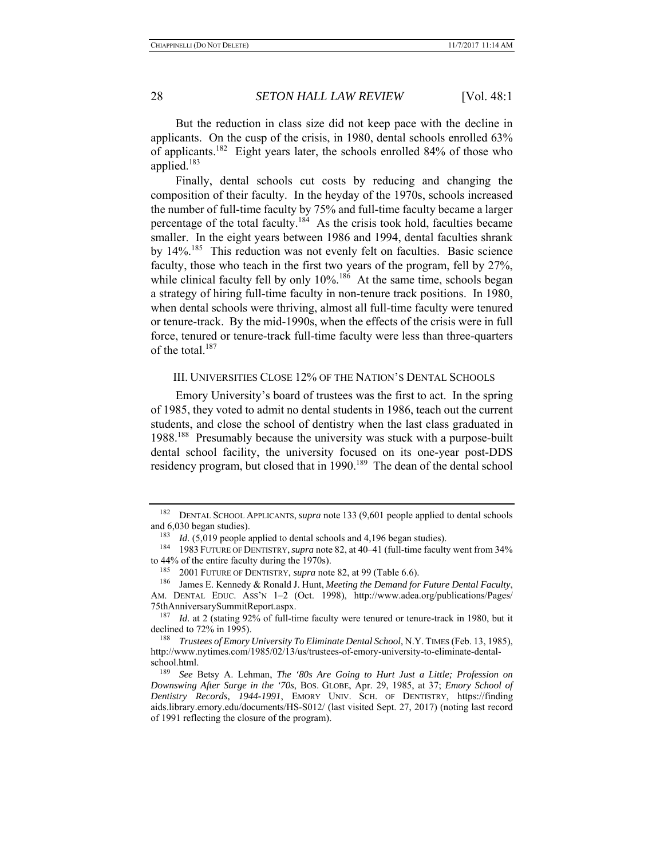But the reduction in class size did not keep pace with the decline in applicants. On the cusp of the crisis, in 1980, dental schools enrolled 63% of applicants.182 Eight years later, the schools enrolled 84% of those who applied. $183$ 

Finally, dental schools cut costs by reducing and changing the composition of their faculty. In the heyday of the 1970s, schools increased the number of full-time faculty by 75% and full-time faculty became a larger percentage of the total faculty.<sup>184</sup> As the crisis took hold, faculties became smaller. In the eight years between 1986 and 1994, dental faculties shrank by 14%.<sup>185</sup> This reduction was not evenly felt on faculties. Basic science faculty, those who teach in the first two years of the program, fell by 27%, while clinical faculty fell by only  $10\%$ .<sup>186</sup> At the same time, schools began a strategy of hiring full-time faculty in non-tenure track positions. In 1980, when dental schools were thriving, almost all full-time faculty were tenured or tenure-track. By the mid-1990s, when the effects of the crisis were in full force, tenured or tenure-track full-time faculty were less than three-quarters of the total. $187$ 

#### III. UNIVERSITIES CLOSE 12% OF THE NATION'S DENTAL SCHOOLS

Emory University's board of trustees was the first to act. In the spring of 1985, they voted to admit no dental students in 1986, teach out the current students, and close the school of dentistry when the last class graduated in 1988.188 Presumably because the university was stuck with a purpose-built dental school facility, the university focused on its one-year post-DDS residency program, but closed that in 1990.<sup>189</sup> The dean of the dental school

<sup>182</sup> DENTAL SCHOOL APPLICANTS, *supra* note 133 (9,601 people applied to dental schools and 6,030 began studies).

<sup>&</sup>lt;sup>183</sup> *Id.* (5,019 people applied to dental schools and 4,196 began studies).

<sup>184 1983</sup> FUTURE OF DENTISTRY,*supra* note 82, at 40–41 (full-time faculty went from 34% to 44% of the entire faculty during the 1970s).

<sup>185 2001</sup> FUTURE OF DENTISTRY, *supra* note 82, at 99 (Table 6.6).

<sup>186</sup> James E. Kennedy & Ronald J. Hunt, *Meeting the Demand for Future Dental Faculty*, AM. DENTAL EDUC. ASS'N 1–2 (Oct. 1998), http://www.adea.org/publications/Pages/ 75thAnniversarySummitReport.aspx.

<sup>&</sup>lt;sup>187</sup> *Id.* at 2 (stating 92% of full-time faculty were tenured or tenure-track in 1980, but it declined to 72% in 1995).

<sup>188</sup> *Trustees of Emory University To Eliminate Dental School*, N.Y.TIMES (Feb. 13, 1985), http://www.nytimes.com/1985/02/13/us/trustees-of-emory-university-to-eliminate-dentalschool.html.

<sup>189</sup> *See* Betsy A. Lehman, *The '80s Are Going to Hurt Just a Little; Profession on Downswing After Surge in the '70s*, BOS. GLOBE, Apr. 29, 1985, at 37; *Emory School of Dentistry Records, 1944-1991*, EMORY UNIV. SCH. OF DENTISTRY, https://finding aids.library.emory.edu/documents/HS-S012/ (last visited Sept. 27, 2017) (noting last record of 1991 reflecting the closure of the program).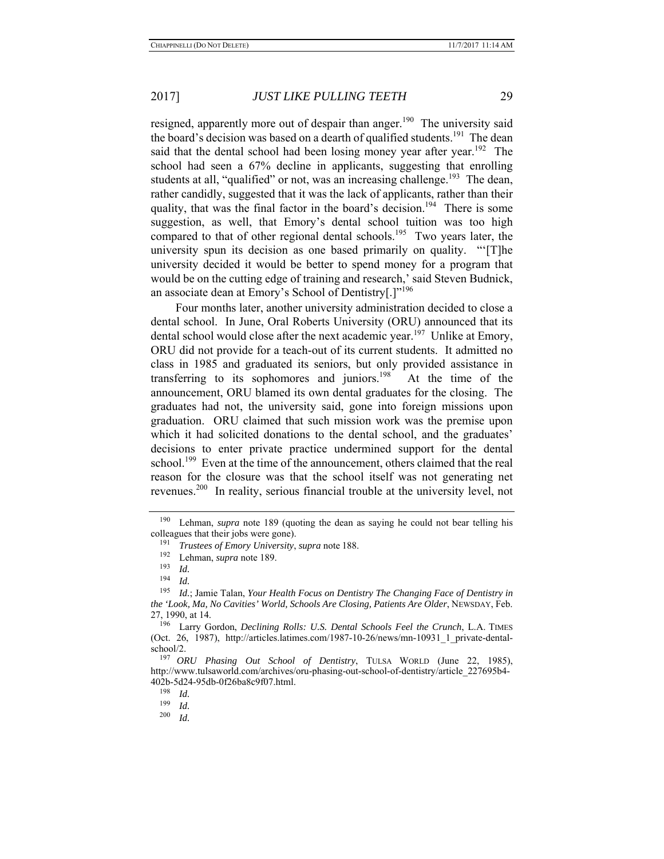resigned, apparently more out of despair than anger.<sup>190</sup> The university said the board's decision was based on a dearth of qualified students.<sup>191</sup> The dean said that the dental school had been losing money year after year.<sup>192</sup> The school had seen a 67% decline in applicants, suggesting that enrolling students at all, "qualified" or not, was an increasing challenge.<sup>193</sup> The dean, rather candidly, suggested that it was the lack of applicants, rather than their quality, that was the final factor in the board's decision.<sup>194</sup> There is some suggestion, as well, that Emory's dental school tuition was too high compared to that of other regional dental schools.<sup>195</sup> Two years later, the university spun its decision as one based primarily on quality. "'[T]he university decided it would be better to spend money for a program that would be on the cutting edge of training and research,' said Steven Budnick, an associate dean at Emory's School of Dentistry[.]"<sup>196</sup>

Four months later, another university administration decided to close a dental school. In June, Oral Roberts University (ORU) announced that its dental school would close after the next academic year.<sup>197</sup> Unlike at Emory, ORU did not provide for a teach-out of its current students. It admitted no class in 1985 and graduated its seniors, but only provided assistance in transferring to its sophomores and juniors.<sup>198</sup> At the time of the announcement, ORU blamed its own dental graduates for the closing. The graduates had not, the university said, gone into foreign missions upon graduation. ORU claimed that such mission work was the premise upon which it had solicited donations to the dental school, and the graduates' decisions to enter private practice undermined support for the dental school.<sup>199</sup> Even at the time of the announcement, others claimed that the real reason for the closure was that the school itself was not generating net revenues.<sup>200</sup> In reality, serious financial trouble at the university level, not

<sup>190</sup> Lehman, *supra* note 189 (quoting the dean as saying he could not bear telling his colleagues that their jobs were gone).

<sup>191</sup> *Trustees of Emory University*, *supra* note 188.

 $^{192}$  Lehman, *supra* note 189.

<sup>193</sup>*Id.* 194 *Id.* 195 *Id.*; Jamie Talan, *Your Health Focus on Dentistry The Changing Face of Dentistry in the 'Look, Ma, No Cavities' World, Schools Are Closing, Patients Are Older*, NEWSDAY, Feb. 27, 1990, at 14.

<sup>196</sup> Larry Gordon, *Declining Rolls: U.S. Dental Schools Feel the Crunch*, L.A. TIMES (Oct. 26, 1987), http://articles.latimes.com/1987-10-26/news/mn-10931\_1\_private-dentalschool/2.

<sup>197</sup> *ORU Phasing Out School of Dentistry*, TULSA WORLD (June 22, 1985), http://www.tulsaworld.com/archives/oru-phasing-out-school-of-dentistry/article\_227695b4- 402b-5d24-95db-0f26ba8c9f07.html.

<sup>198</sup> *Id.* 199 *Id.* 200 *Id.*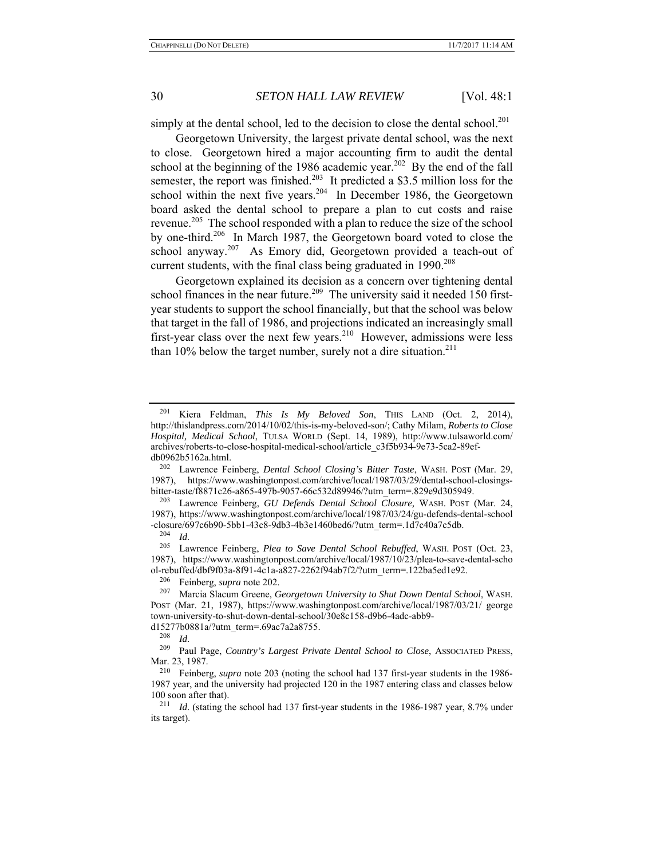simply at the dental school, led to the decision to close the dental school.<sup>201</sup>

Georgetown University, the largest private dental school, was the next to close. Georgetown hired a major accounting firm to audit the dental school at the beginning of the 1986 academic year.<sup>202</sup> By the end of the fall semester, the report was finished.<sup>203</sup> It predicted a \$3.5 million loss for the school within the next five years.<sup>204</sup> In December 1986, the Georgetown board asked the dental school to prepare a plan to cut costs and raise revenue.<sup>205</sup> The school responded with a plan to reduce the size of the school by one-third.<sup>206</sup> In March 1987, the Georgetown board voted to close the school anyway.<sup>207</sup> As Emory did, Georgetown provided a teach-out of current students, with the final class being graduated in  $1990.<sup>208</sup>$ 

Georgetown explained its decision as a concern over tightening dental school finances in the near future.<sup>209</sup> The university said it needed 150 firstyear students to support the school financially, but that the school was below that target in the fall of 1986, and projections indicated an increasingly small first-year class over the next few years.<sup>210</sup> However, admissions were less than  $10\%$  below the target number, surely not a dire situation.<sup>211</sup>

<sup>204</sup>*Id.* 205 Lawrence Feinberg, *Plea to Save Dental School Rebuffed*, WASH. POST (Oct. 23, 1987), https://www.washingtonpost.com/archive/local/1987/10/23/plea-to-save-dental-scho ol-rebuffed/dbf9f03a-8f91-4c1a-a827-2262f94ab7f2/?utm\_term=.122ba5ed1e92.

<sup>206</sup> Feinberg, *supra* note 202.<br><sup>207</sup> Marcia Slacum Greene, G

d15277b0881a/?utm\_term=.69ac7a2a8755.<br> $\frac{208}{14}$ 

<sup>201</sup> Kiera Feldman, *This Is My Beloved Son*, THIS LAND (Oct. 2, 2014), http://thislandpress.com/2014/10/02/this-is-my-beloved-son/; Cathy Milam, *Roberts to Close Hospital, Medical School*, TULSA WORLD (Sept. 14, 1989), http://www.tulsaworld.com/ archives/roberts-to-close-hospital-medical-school/article\_c3f5b934-9e73-5ca2-89efdb0962b5162a.html.

<sup>202</sup> Lawrence Feinberg, *Dental School Closing's Bitter Taste*, WASH. POST (Mar. 29, 1987), https://www.washingtonpost.com/archive/local/1987/03/29/dental-school-closingsbitter-taste/f8871c26-a865-497b-9057-66c532d89946/?utm\_term=.829e9d305949.

<sup>203</sup> Lawrence Feinberg, *GU Defends Dental School Closure,* WASH. POST (Mar. 24, 1987), https://www.washingtonpost.com/archive/local/1987/03/24/gu-defends-dental-school  $-{\text{closure}}/697c6b90-5bb1-43c8-9db3-4b3e1460bed6/?utm_tterm=.1d7c40a7c5db.$ 

<sup>207</sup> Marcia Slacum Greene, *Georgetown University to Shut Down Dental School*, WASH. POST (Mar. 21, 1987), https://www.washingtonpost.com/archive/local/1987/03/21/ george town-university-to-shut-down-dental-school/30e8c158-d9b6-4adc-abb9-

<sup>208</sup>*Id.* 209 Paul Page, *Country's Largest Private Dental School to Close*, ASSOCIATED PRESS, Mar. 23, 1987.

<sup>210</sup> Feinberg, *supra* note 203 (noting the school had 137 first-year students in the 1986- 1987 year, and the university had projected 120 in the 1987 entering class and classes below 100 soon after that).<br><sup>211</sup> *Id.* (stating the school had 137 first-year students in the 1986-1987 year, 8.7% under

its target).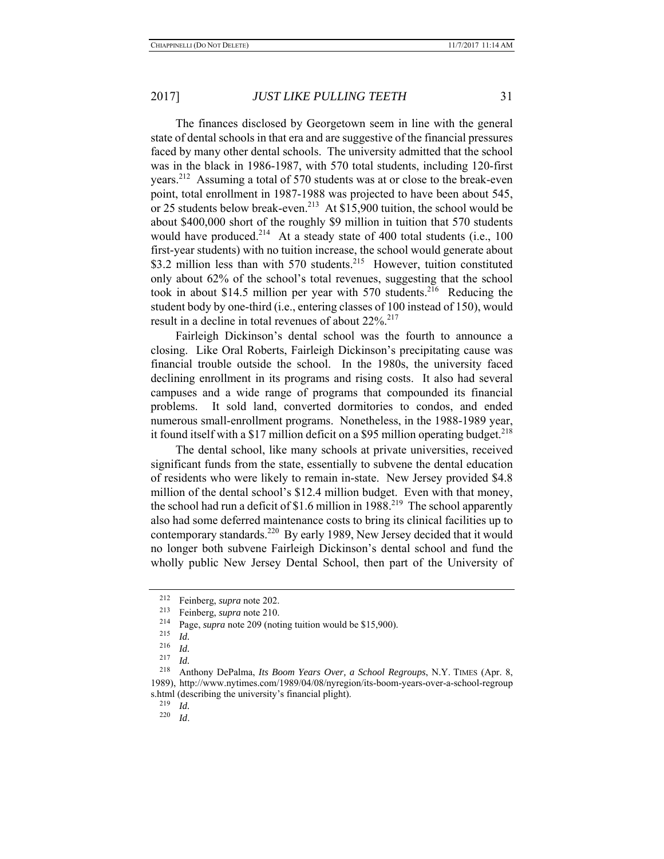The finances disclosed by Georgetown seem in line with the general state of dental schools in that era and are suggestive of the financial pressures faced by many other dental schools. The university admitted that the school was in the black in 1986-1987, with 570 total students, including 120-first years.<sup>212</sup> Assuming a total of 570 students was at or close to the break-even point, total enrollment in 1987-1988 was projected to have been about 545, or 25 students below break-even.<sup>213</sup> At \$15,900 tuition, the school would be about \$400,000 short of the roughly \$9 million in tuition that 570 students would have produced.<sup>214</sup> At a steady state of 400 total students (i.e., 100) first-year students) with no tuition increase, the school would generate about \$3.2 million less than with 570 students.<sup>215</sup> However, tuition constituted only about 62% of the school's total revenues, suggesting that the school took in about \$14.5 million per year with  $570$  students.<sup>216</sup> Reducing the student body by one-third (i.e., entering classes of 100 instead of 150), would result in a decline in total revenues of about 22%.<sup>217</sup>

Fairleigh Dickinson's dental school was the fourth to announce a closing. Like Oral Roberts, Fairleigh Dickinson's precipitating cause was financial trouble outside the school. In the 1980s, the university faced declining enrollment in its programs and rising costs. It also had several campuses and a wide range of programs that compounded its financial problems. It sold land, converted dormitories to condos, and ended numerous small-enrollment programs. Nonetheless, in the 1988-1989 year, it found itself with a \$17 million deficit on a \$95 million operating budget.<sup>218</sup>

The dental school, like many schools at private universities, received significant funds from the state, essentially to subvene the dental education of residents who were likely to remain in-state. New Jersey provided \$4.8 million of the dental school's \$12.4 million budget. Even with that money, the school had run a deficit of \$1.6 million in 1988.<sup>219</sup> The school apparently also had some deferred maintenance costs to bring its clinical facilities up to contemporary standards.<sup>220</sup> By early 1989, New Jersey decided that it would no longer both subvene Fairleigh Dickinson's dental school and fund the wholly public New Jersey Dental School, then part of the University of

<sup>212</sup> Feinberg, *supra* note 202.

<sup>&</sup>lt;sup>213</sup> Feinberg, *supra* note 210.<br><sup>214</sup> Page, *supra* note 209 (noting tuition would be \$15,900).<br><sup>215</sup> Id

<sup>215</sup>*Id.* 216 *Id.* 217 *Id.* 218 Anthony DePalma, *Its Boom Years Over, a School Regroups*, N.Y. TIMES (Apr. 8, 1989), http://www.nytimes.com/1989/04/08/nyregion/its-boom-years-over-a-school-regroup s.html (describing the university's financial plight).

<sup>219</sup>*Id.* 220 *Id*.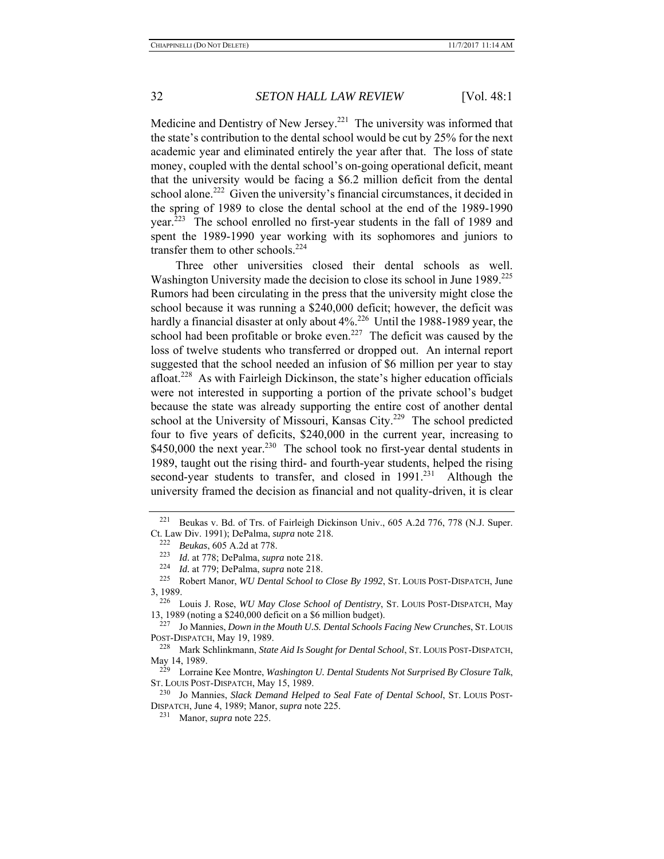Medicine and Dentistry of New Jersey.<sup>221</sup> The university was informed that the state's contribution to the dental school would be cut by 25% for the next academic year and eliminated entirely the year after that. The loss of state money, coupled with the dental school's on-going operational deficit, meant that the university would be facing a \$6.2 million deficit from the dental school alone.<sup>222</sup> Given the university's financial circumstances, it decided in the spring of 1989 to close the dental school at the end of the 1989-1990 year.223 The school enrolled no first-year students in the fall of 1989 and spent the 1989-1990 year working with its sophomores and juniors to transfer them to other schools. $224$ 

Three other universities closed their dental schools as well. Washington University made the decision to close its school in June 1989.<sup>225</sup> Rumors had been circulating in the press that the university might close the school because it was running a \$240,000 deficit; however, the deficit was hardly a financial disaster at only about 4%.<sup>226</sup> Until the 1988-1989 year, the school had been profitable or broke even.<sup>227</sup> The deficit was caused by the loss of twelve students who transferred or dropped out. An internal report suggested that the school needed an infusion of \$6 million per year to stay afloat.<sup>228</sup> As with Fairleigh Dickinson, the state's higher education officials were not interested in supporting a portion of the private school's budget because the state was already supporting the entire cost of another dental school at the University of Missouri, Kansas City.<sup>229</sup> The school predicted four to five years of deficits, \$240,000 in the current year, increasing to \$450,000 the next year.<sup>230</sup> The school took no first-year dental students in 1989, taught out the rising third- and fourth-year students, helped the rising second-year students to transfer, and closed in 1991.<sup>231</sup> Although the university framed the decision as financial and not quality-driven, it is clear

<sup>&</sup>lt;sup>221</sup> Beukas v. Bd. of Trs. of Fairleigh Dickinson Univ., 605 A.2d 776, 778 (N.J. Super. Ct. Law Div. 1991); DePalma, *supra* note 218. 222 *Beukas*, 605 A.2d at 778.

<sup>223</sup>*Id.* at 778; DePalma, *supra* note 218. 224 *Id.* at 779; DePalma, *supra* note 218.

<sup>225</sup> Robert Manor, *WU Dental School to Close By 1992*, ST. LOUIS POST-DISPATCH, June  $3, 1989.$ <br> $226$ 

<sup>226</sup> Louis J. Rose, *WU May Close School of Dentistry*, ST. LOUIS POST-DISPATCH, May 13, 1989 (noting a \$240,000 deficit on a \$6 million budget).<br> $\frac{227}{12}$  In Magnise, Dawn in the Mauth II S. Daytal Schools.

Jo Mannies, *Down in the Mouth U.S. Dental Schools Facing New Crunches*, St. Louis POST-DISPATCH, May 19, 1989.

<sup>228</sup> Mark Schlinkmann, *State Aid Is Sought for Dental School*, ST. LOUIS POST-DISPATCH, May 14, 1989.<br><sup>229</sup> I orrain

<sup>229</sup> Lorraine Kee Montre, *Washington U. Dental Students Not Surprised By Closure Talk*, ST. LOUIS POST-DISPATCH, May 15, 1989.

<sup>230</sup> Jo Mannies, *Slack Demand Helped to Seal Fate of Dental School*, ST. LOUIS POST-DISPATCH, June 4, 1989; Manor, *supra* note 225.

<sup>231</sup> Manor, *supra* note 225.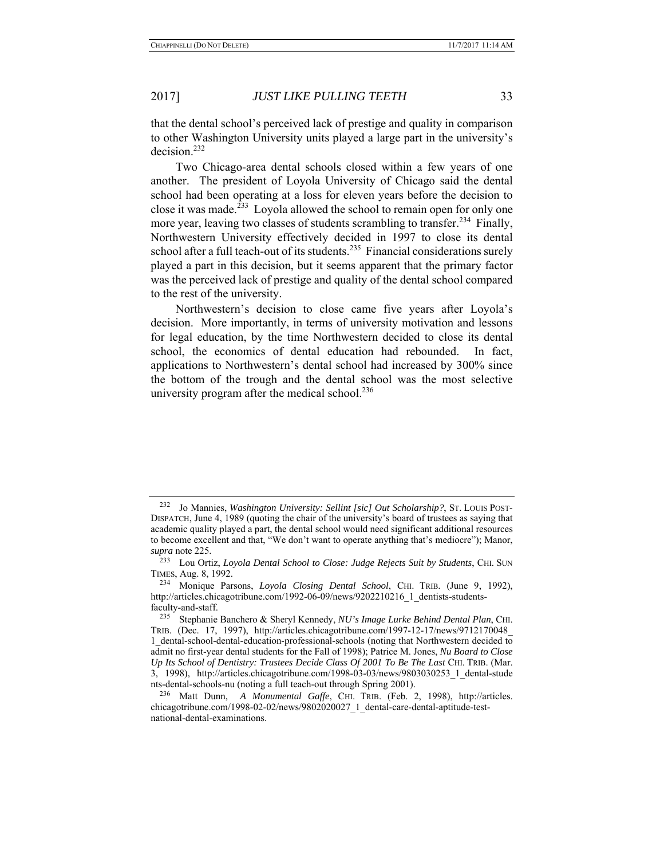that the dental school's perceived lack of prestige and quality in comparison to other Washington University units played a large part in the university's decision.232

Two Chicago-area dental schools closed within a few years of one another. The president of Loyola University of Chicago said the dental school had been operating at a loss for eleven years before the decision to close it was made.<sup>233</sup> Loyola allowed the school to remain open for only one more year, leaving two classes of students scrambling to transfer.<sup>234</sup> Finally, Northwestern University effectively decided in 1997 to close its dental school after a full teach-out of its students.<sup>235</sup> Financial considerations surely played a part in this decision, but it seems apparent that the primary factor was the perceived lack of prestige and quality of the dental school compared to the rest of the university.

Northwestern's decision to close came five years after Loyola's decision. More importantly, in terms of university motivation and lessons for legal education, by the time Northwestern decided to close its dental school, the economics of dental education had rebounded. In fact, applications to Northwestern's dental school had increased by 300% since the bottom of the trough and the dental school was the most selective university program after the medical school. $236$ 

<sup>232</sup> Jo Mannies, *Washington University: Sellint [sic] Out Scholarship?*, ST. LOUIS POST-DISPATCH, June 4, 1989 (quoting the chair of the university's board of trustees as saying that academic quality played a part, the dental school would need significant additional resources to become excellent and that, "We don't want to operate anything that's mediocre"); Manor, *supra* note 225.

<sup>233</sup> Lou Ortiz, *Loyola Dental School to Close: Judge Rejects Suit by Students*, CHI. SUN TIMES, Aug. 8, 1992.

<sup>234</sup> Monique Parsons, *Loyola Closing Dental School*, CHI. TRIB. (June 9, 1992), http://articles.chicagotribune.com/1992-06-09/news/9202210216\_1\_dentists-studentsfaculty-and-staff.

<sup>235</sup> Stephanie Banchero & Sheryl Kennedy, *NU's Image Lurke Behind Dental Plan*, CHI. TRIB. (Dec. 17, 1997), http://articles.chicagotribune.com/1997-12-17/news/9712170048\_ 1\_dental-school-dental-education-professional-schools (noting that Northwestern decided to admit no first-year dental students for the Fall of 1998); Patrice M. Jones, *Nu Board to Close Up Its School of Dentistry: Trustees Decide Class Of 2001 To Be The Last* CHI. TRIB. (Mar. 3, 1998), http://articles.chicagotribune.com/1998-03-03/news/9803030253\_1\_dental-stude nts-dental-schools-nu (noting a full teach-out through Spring 2001).

<sup>236</sup> Matt Dunn, *A Monumental Gaffe*, CHI. TRIB. (Feb. 2, 1998), http://articles. chicagotribune.com/1998-02-02/news/9802020027\_1\_dental-care-dental-aptitude-testnational-dental-examinations.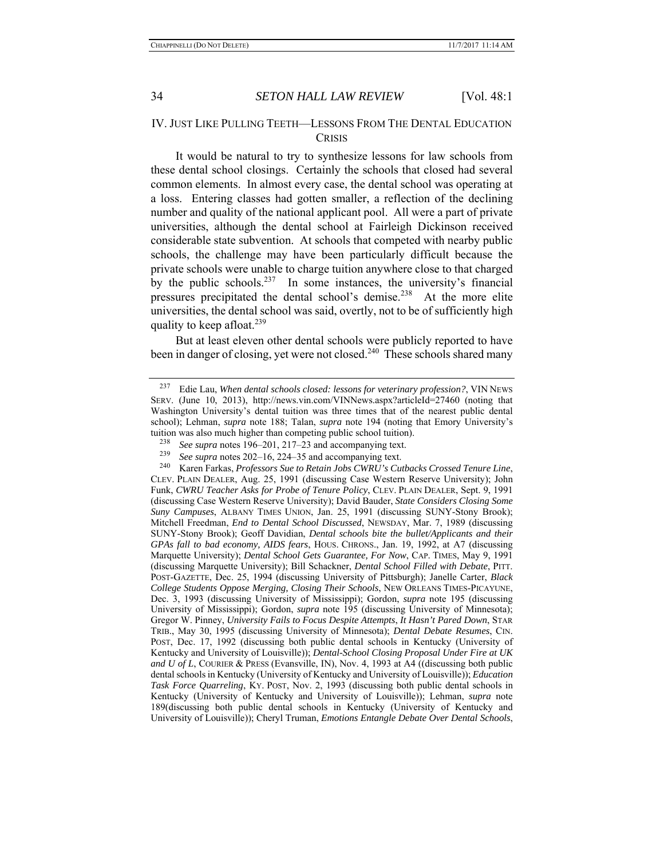## IV. JUST LIKE PULLING TEETH—LESSONS FROM THE DENTAL EDUCATION **CRISIS**

It would be natural to try to synthesize lessons for law schools from these dental school closings. Certainly the schools that closed had several common elements. In almost every case, the dental school was operating at a loss. Entering classes had gotten smaller, a reflection of the declining number and quality of the national applicant pool. All were a part of private universities, although the dental school at Fairleigh Dickinson received considerable state subvention. At schools that competed with nearby public schools, the challenge may have been particularly difficult because the private schools were unable to charge tuition anywhere close to that charged by the public schools.<sup>237</sup> In some instances, the university's financial pressures precipitated the dental school's demise.<sup>238</sup> At the more elite universities, the dental school was said, overtly, not to be of sufficiently high quality to keep afloat.<sup>239</sup>

But at least eleven other dental schools were publicly reported to have been in danger of closing, yet were not closed.<sup>240</sup> These schools shared many

<sup>237</sup> Edie Lau, *When dental schools closed: lessons for veterinary profession?*, VIN NEWS SERV. (June 10, 2013), http://news.vin.com/VINNews.aspx?articleId=27460 (noting that Washington University's dental tuition was three times that of the nearest public dental school); Lehman, *supra* note 188; Talan, *supra* note 194 (noting that Emory University's tuition was also much higher than competing public school tuition).

<sup>238</sup> *See supra* notes 196–201, 217–23 and accompanying text.

<sup>&</sup>lt;sup>239</sup> *See supra* notes 202–16, 224–35 and accompanying text.<br><sup>240</sup> Karen Earkas *Professors Sue to Retain Jobs CWRU's Cu* 

<sup>240</sup> Karen Farkas, *Professors Sue to Retain Jobs CWRU's Cutbacks Crossed Tenure Line*, CLEV. PLAIN DEALER, Aug. 25, 1991 (discussing Case Western Reserve University); John Funk, *CWRU Teacher Asks for Probe of Tenure Policy*, CLEV. PLAIN DEALER, Sept. 9, 1991 (discussing Case Western Reserve University); David Bauder, *State Considers Closing Some Suny Campuses*, ALBANY TIMES UNION, Jan. 25, 1991 (discussing SUNY-Stony Brook); Mitchell Freedman, *End to Dental School Discussed*, NEWSDAY, Mar. 7, 1989 (discussing SUNY-Stony Brook); Geoff Davidian, *Dental schools bite the bullet/Applicants and their GPAs fall to bad economy, AIDS fears*, HOUS. CHRONS., Jan. 19, 1992, at A7 (discussing Marquette University); *Dental School Gets Guarantee, For Now*, CAP. TIMES, May 9, 1991 (discussing Marquette University); Bill Schackner, *Dental School Filled with Debate*, PITT. POST-GAZETTE, Dec. 25, 1994 (discussing University of Pittsburgh); Janelle Carter, *Black College Students Oppose Merging, Closing Their Schools*, NEW ORLEANS TIMES-PICAYUNE, Dec. 3, 1993 (discussing University of Mississippi); Gordon, *supra* note 195 (discussing University of Mississippi); Gordon, *supra* note 195 (discussing University of Minnesota); Gregor W. Pinney, *University Fails to Focus Despite Attempts*, *It Hasn't Pared Down*, STAR TRIB., May 30, 1995 (discussing University of Minnesota); *Dental Debate Resumes*, CIN. POST, Dec. 17, 1992 (discussing both public dental schools in Kentucky (University of Kentucky and University of Louisville)); *Dental-School Closing Proposal Under Fire at UK and U of L*, COURIER & PRESS (Evansville, IN), Nov. 4, 1993 at A4 ((discussing both public dental schools in Kentucky (University of Kentucky and University of Louisville)); *Education Task Force Quarreling*, KY. POST, Nov. 2, 1993 (discussing both public dental schools in Kentucky (University of Kentucky and University of Louisville)); Lehman, *supra* note 189(discussing both public dental schools in Kentucky (University of Kentucky and University of Louisville)); Cheryl Truman, *Emotions Entangle Debate Over Dental Schools*,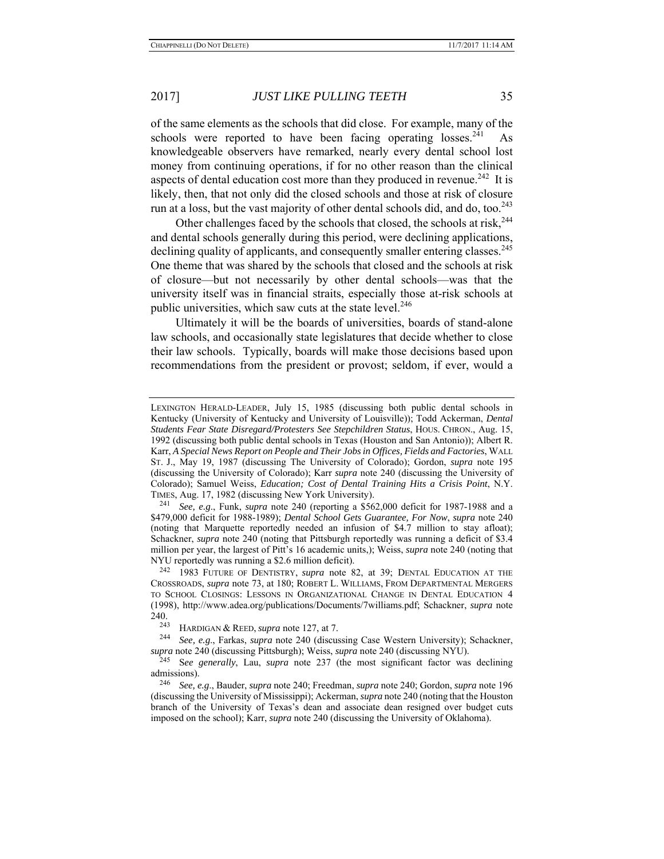of the same elements as the schools that did close. For example, many of the schools were reported to have been facing operating losses.<sup>241</sup> knowledgeable observers have remarked, nearly every dental school lost money from continuing operations, if for no other reason than the clinical aspects of dental education cost more than they produced in revenue.<sup>242</sup> It is likely, then, that not only did the closed schools and those at risk of closure run at a loss, but the vast majority of other dental schools did, and do, too.<sup>243</sup>

Other challenges faced by the schools that closed, the schools at risk.<sup>244</sup> and dental schools generally during this period, were declining applications, declining quality of applicants, and consequently smaller entering classes.<sup>245</sup> One theme that was shared by the schools that closed and the schools at risk of closure—but not necessarily by other dental schools—was that the university itself was in financial straits, especially those at-risk schools at public universities, which saw cuts at the state level.<sup>246</sup>

Ultimately it will be the boards of universities, boards of stand-alone law schools, and occasionally state legislatures that decide whether to close their law schools. Typically, boards will make those decisions based upon recommendations from the president or provost; seldom, if ever, would a

LEXINGTON HERALD-LEADER, July 15, 1985 (discussing both public dental schools in Kentucky (University of Kentucky and University of Louisville)); Todd Ackerman, *Dental Students Fear State Disregard/Protesters See Stepchildren Status*, HOUS. CHRON., Aug. 15, 1992 (discussing both public dental schools in Texas (Houston and San Antonio)); Albert R. Karr, *A Special News Report on People and Their Jobs in Offices, Fields and Factories*, WALL ST. J., May 19, 1987 (discussing The University of Colorado); Gordon, *supra* note 195 (discussing the University of Colorado); Karr *supra* note 240 (discussing the University of Colorado); Samuel Weiss, *Education; Cost of Dental Training Hits a Crisis Point*, N.Y. TIMES, Aug. 17, 1982 (discussing New York University). 241 *See, e.g*., Funk, *supra* note 240 (reporting a \$562,000 deficit for 1987-1988 and a

<sup>\$479,000</sup> deficit for 1988-1989); *Dental School Gets Guarantee, For Now*, *supra* note 240 (noting that Marquette reportedly needed an infusion of \$4.7 million to stay afloat); Schackner, *supra* note 240 (noting that Pittsburgh reportedly was running a deficit of \$3.4 million per year, the largest of Pitt's 16 academic units,); Weiss, *supra* note 240 (noting that NYU reportedly was running a \$2.6 million deficit). 242 1983 FUTURE OF DENTISTRY, *supra* note 82, at 39; DENTAL EDUCATION AT THE

CROSSROADS, *supra* note 73, at 180; ROBERT L. WILLIAMS, FROM DEPARTMENTAL MERGERS TO SCHOOL CLOSINGS: LESSONS IN ORGANIZATIONAL CHANGE IN DENTAL EDUCATION 4 (1998), http://www.adea.org/publications/Documents/7williams.pdf; Schackner, *supra* note  $240.243$ 

<sup>243</sup> HARDIGAN & REED, *supra* note 127, at 7. 244 *See, e.g*., Farkas, *supra* note 240 (discussing Case Western University); Schackner, *supra* note 240 (discussing Pittsburgh); Weiss, *supra* note 240 (discussing NYU).

See generally, Lau, *supra* note 237 (the most significant factor was declining admissions).

<sup>246</sup> *See, e.g*., Bauder, *supra* note 240; Freedman, *supra* note 240; Gordon, *supra* note 196 (discussing the University of Mississippi); Ackerman, *supra* note 240 (noting that the Houston branch of the University of Texas's dean and associate dean resigned over budget cuts imposed on the school); Karr, *supra* note 240 (discussing the University of Oklahoma).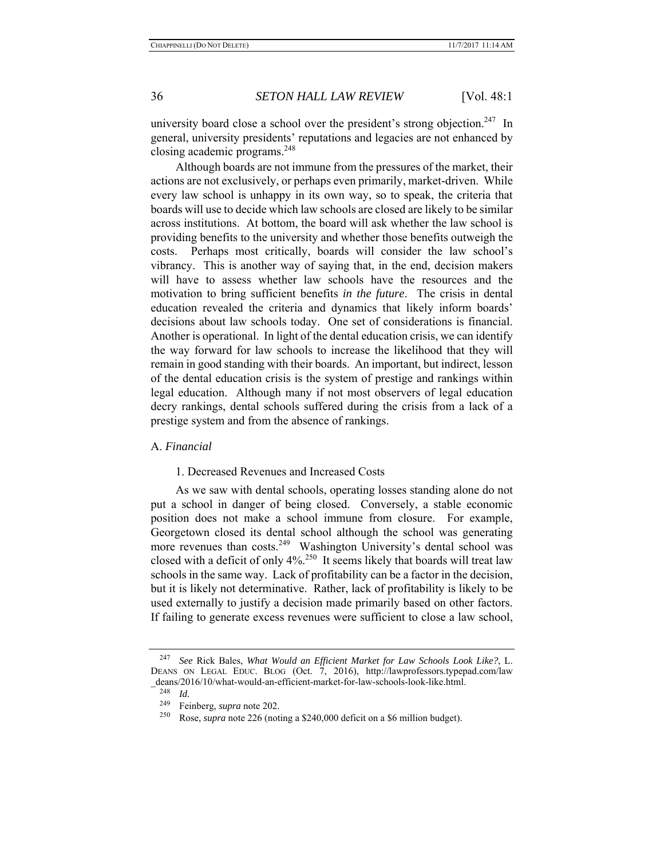university board close a school over the president's strong objection.<sup>247</sup> In general, university presidents' reputations and legacies are not enhanced by closing academic programs.<sup>248</sup>

Although boards are not immune from the pressures of the market, their actions are not exclusively, or perhaps even primarily, market-driven. While every law school is unhappy in its own way, so to speak, the criteria that boards will use to decide which law schools are closed are likely to be similar across institutions. At bottom, the board will ask whether the law school is providing benefits to the university and whether those benefits outweigh the costs. Perhaps most critically, boards will consider the law school's vibrancy. This is another way of saying that, in the end, decision makers will have to assess whether law schools have the resources and the motivation to bring sufficient benefits *in the future*. The crisis in dental education revealed the criteria and dynamics that likely inform boards' decisions about law schools today. One set of considerations is financial. Another is operational. In light of the dental education crisis, we can identify the way forward for law schools to increase the likelihood that they will remain in good standing with their boards. An important, but indirect, lesson of the dental education crisis is the system of prestige and rankings within legal education. Although many if not most observers of legal education decry rankings, dental schools suffered during the crisis from a lack of a prestige system and from the absence of rankings.

## A. *Financial*

#### 1. Decreased Revenues and Increased Costs

As we saw with dental schools, operating losses standing alone do not put a school in danger of being closed. Conversely, a stable economic position does not make a school immune from closure. For example, Georgetown closed its dental school although the school was generating more revenues than costs.<sup>249</sup> Washington University's dental school was closed with a deficit of only  $4\frac{250}{1}$  It seems likely that boards will treat law schools in the same way. Lack of profitability can be a factor in the decision, but it is likely not determinative. Rather, lack of profitability is likely to be used externally to justify a decision made primarily based on other factors. If failing to generate excess revenues were sufficient to close a law school,

<sup>247</sup> *See* Rick Bales, *What Would an Efficient Market for Law Schools Look Like?*, L. DEANS ON LEGAL EDUC. BLOG (Oct. 7, 2016), http://lawprofessors.typepad.com/law  $-\frac{1}{248}$   $\frac{1}{d}$  deans/2016/10/what-would-an-efficient-market-for-law-schools-look-like.html.

<sup>&</sup>lt;sup>249</sup> Feinberg, *supra* note 202.<br><sup>250</sup> Pose, *supra* note 226 (pot

Rose, *supra* note 226 (noting a \$240,000 deficit on a \$6 million budget).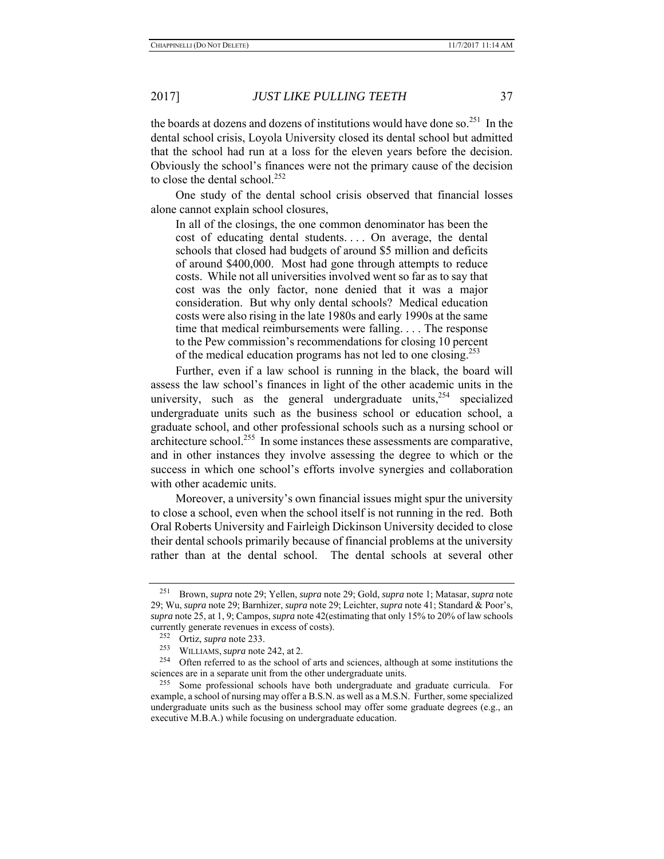the boards at dozens and dozens of institutions would have done so.<sup>251</sup> In the dental school crisis, Loyola University closed its dental school but admitted that the school had run at a loss for the eleven years before the decision. Obviously the school's finances were not the primary cause of the decision to close the dental school.<sup>252</sup>

One study of the dental school crisis observed that financial losses alone cannot explain school closures,

In all of the closings, the one common denominator has been the cost of educating dental students.... On average, the dental schools that closed had budgets of around \$5 million and deficits of around \$400,000. Most had gone through attempts to reduce costs. While not all universities involved went so far as to say that cost was the only factor, none denied that it was a major consideration. But why only dental schools? Medical education costs were also rising in the late 1980s and early 1990s at the same time that medical reimbursements were falling. . . . The response to the Pew commission's recommendations for closing 10 percent of the medical education programs has not led to one closing.253

Further, even if a law school is running in the black, the board will assess the law school's finances in light of the other academic units in the university, such as the general undergraduate units,  $254$  specialized undergraduate units such as the business school or education school, a graduate school, and other professional schools such as a nursing school or architecture school.<sup>255</sup> In some instances these assessments are comparative, and in other instances they involve assessing the degree to which or the success in which one school's efforts involve synergies and collaboration with other academic units.

Moreover, a university's own financial issues might spur the university to close a school, even when the school itself is not running in the red. Both Oral Roberts University and Fairleigh Dickinson University decided to close their dental schools primarily because of financial problems at the university rather than at the dental school. The dental schools at several other

<sup>251</sup> Brown, *supra* note 29; Yellen, *supra* note 29; Gold, *supra* note 1; Matasar, *supra* note 29; Wu, *supra* note 29; Barnhizer, *supra* note 29; Leichter, *supra* note 41; Standard & Poor's, *supra* note 25, at 1, 9; Campos, *supra* note 42(estimating that only 15% to 20% of law schools currently generate revenues in excess of costs).

<sup>252</sup> Ortiz, *supra* note 233.

<sup>&</sup>lt;sup>253</sup> WILLIAMS, *supra* note 242, at 2.<br><sup>254</sup> Often referred to as the school

Often referred to as the school of arts and sciences, although at some institutions the sciences are in a separate unit from the other undergraduate units.

<sup>&</sup>lt;sup>255</sup> Some professional schools have both undergraduate and graduate curricula. For example, a school of nursing may offer a B.S.N. as well as a M.S.N. Further, some specialized undergraduate units such as the business school may offer some graduate degrees (e.g., an executive M.B.A.) while focusing on undergraduate education.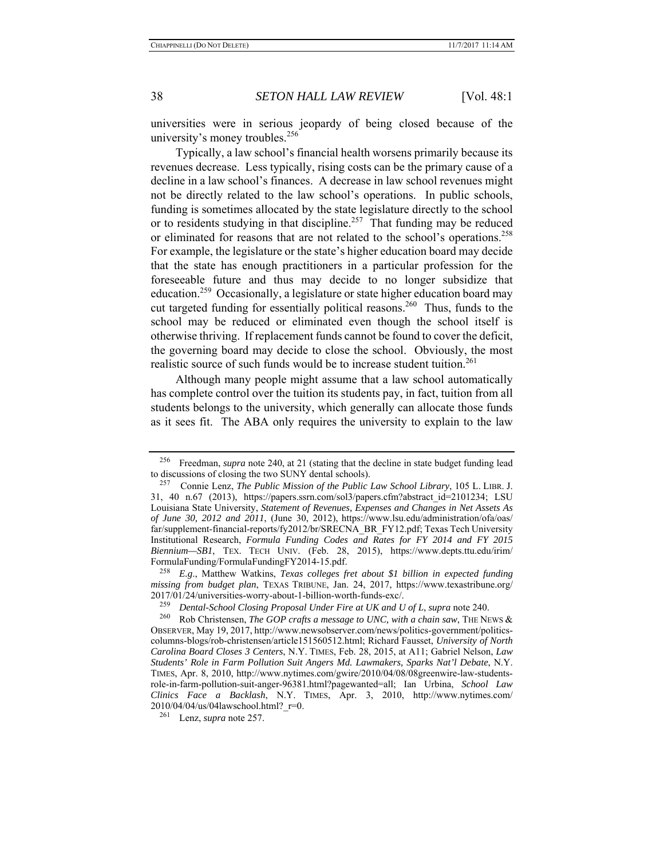universities were in serious jeopardy of being closed because of the university's money troubles.<sup>256</sup>

Typically, a law school's financial health worsens primarily because its revenues decrease. Less typically, rising costs can be the primary cause of a decline in a law school's finances. A decrease in law school revenues might not be directly related to the law school's operations. In public schools, funding is sometimes allocated by the state legislature directly to the school or to residents studying in that discipline.<sup>257</sup> That funding may be reduced or eliminated for reasons that are not related to the school's operations.<sup>258</sup> For example, the legislature or the state's higher education board may decide that the state has enough practitioners in a particular profession for the foreseeable future and thus may decide to no longer subsidize that education.<sup>259</sup> Occasionally, a legislature or state higher education board may cut targeted funding for essentially political reasons.<sup>260</sup> Thus, funds to the school may be reduced or eliminated even though the school itself is otherwise thriving. If replacement funds cannot be found to cover the deficit, the governing board may decide to close the school. Obviously, the most realistic source of such funds would be to increase student tuition.<sup>261</sup>

Although many people might assume that a law school automatically has complete control over the tuition its students pay, in fact, tuition from all students belongs to the university, which generally can allocate those funds as it sees fit. The ABA only requires the university to explain to the law

<sup>256</sup> Freedman, *supra* note 240, at 21 (stating that the decline in state budget funding lead to discussions of closing the two SUNY dental schools).

<sup>257</sup> Connie Lenz, *The Public Mission of the Public Law School Library*, 105 L. LIBR. J. 31, 40 n.67 (2013), https://papers.ssrn.com/sol3/papers.cfm?abstract\_id=2101234; LSU Louisiana State University, *Statement of Revenues, Expenses and Changes in Net Assets As of June 30, 2012 and 2011*, (June 30, 2012), https://www.lsu.edu/administration/ofa/oas/ far/supplement-financial-reports/fy2012/br/SRECNA\_BR\_FY12.pdf; Texas Tech University Institutional Research, *Formula Funding Codes and Rates for FY 2014 and FY 2015 Biennium—SB1*, TEX. TECH UNIV. (Feb. 28, 2015), https://www.depts.ttu.edu/irim/ FormulaFunding/FormulaFundingFY2014-15.pdf.

<sup>258</sup> *E.g*., Matthew Watkins, *Texas colleges fret about \$1 billion in expected funding missing from budget plan*, TEXAS TRIBUNE, Jan. 24, 2017, https://www.texastribune.org/ 2017/01/24/universities-worry-about-1-billion-worth-funds-exc/.<br><sup>259</sup> *Dental-School Closing Proposal Under Fire at UK and U of L, supra* note 240.<br><sup>260</sup> Rob Christensen *The GOP crafts a message to UNC, with a chain saw*.

Rob Christensen, *The GOP crafts a message to UNC, with a chain saw*, THE NEWS & OBSERVER, May 19, 2017, http://www.newsobserver.com/news/politics-government/politicscolumns-blogs/rob-christensen/article151560512.html; Richard Fausset, *University of North Carolina Board Closes 3 Centers*, N.Y. TIMES, Feb. 28, 2015, at A11; Gabriel Nelson, *Law Students' Role in Farm Pollution Suit Angers Md. Lawmakers, Sparks Nat'l Debate*, N.Y. TIMES, Apr. 8, 2010, http://www.nytimes.com/gwire/2010/04/08/08greenwire-law-studentsrole-in-farm-pollution-suit-anger-96381.html?pagewanted=all; Ian Urbina, *School Law Clinics Face a Backlash*, N.Y. TIMES, Apr. 3, 2010, http://www.nytimes.com/  $2010/04/04/us/04$ lawschool.html?  $r=0$ .

<sup>261</sup> Lenz, *supra* note 257.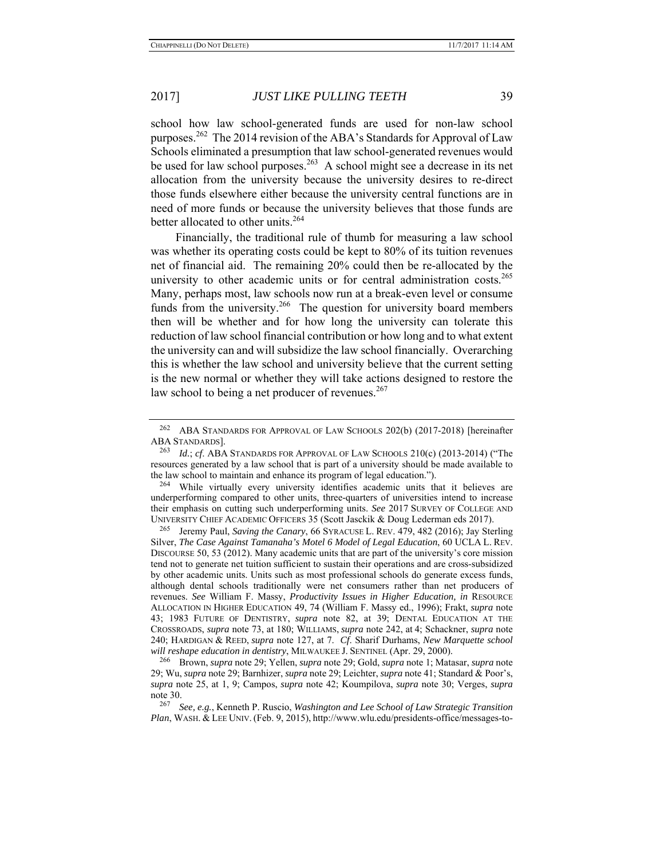school how law school-generated funds are used for non-law school purposes.<sup>262</sup> The 2014 revision of the ABA's Standards for Approval of Law Schools eliminated a presumption that law school-generated revenues would be used for law school purposes.<sup>263</sup> A school might see a decrease in its net allocation from the university because the university desires to re-direct those funds elsewhere either because the university central functions are in need of more funds or because the university believes that those funds are better allocated to other units.<sup>264</sup>

Financially, the traditional rule of thumb for measuring a law school was whether its operating costs could be kept to 80% of its tuition revenues net of financial aid. The remaining 20% could then be re-allocated by the university to other academic units or for central administration costs.<sup>265</sup> Many, perhaps most, law schools now run at a break-even level or consume funds from the university.<sup>266</sup> The question for university board members then will be whether and for how long the university can tolerate this reduction of law school financial contribution or how long and to what extent the university can and will subsidize the law school financially. Overarching this is whether the law school and university believe that the current setting is the new normal or whether they will take actions designed to restore the law school to being a net producer of revenues. $267$ 

<sup>&</sup>lt;sup>262</sup> ABA STANDARDS FOR APPROVAL OF LAW SCHOOLS 202(b) (2017-2018) [hereinafter ABA STANDARDS].

<sup>263</sup> *Id.*; *cf*. ABA STANDARDS FOR APPROVAL OF LAW SCHOOLS 210(c) (2013-2014) ("The resources generated by a law school that is part of a university should be made available to the law school to maintain and enhance its program of legal education.").

<sup>264</sup> While virtually every university identifies academic units that it believes are underperforming compared to other units, three-quarters of universities intend to increase their emphasis on cutting such underperforming units. *See* 2017 SURVEY OF COLLEGE AND UNIVERSITY CHIEF ACADEMIC OFFICERS 35 (Scott Jasckik & Doug Lederman eds 2017).

<sup>265</sup> Jeremy Paul, *Saving the Canary*, 66 SYRACUSE L. REV. 479, 482 (2016); Jay Sterling Silver, *The Case Against Tamanaha's Motel 6 Model of Legal Education*, 60 UCLA L. REV. DISCOURSE 50, 53 (2012). Many academic units that are part of the university's core mission tend not to generate net tuition sufficient to sustain their operations and are cross-subsidized by other academic units. Units such as most professional schools do generate excess funds, although dental schools traditionally were net consumers rather than net producers of revenues. *See* William F. Massy, *Productivity Issues in Higher Education, in* RESOURCE ALLOCATION IN HIGHER EDUCATION 49, 74 (William F. Massy ed., 1996); Frakt, *supra* note 43; 1983 FUTURE OF DENTISTRY, *supra* note 82, at 39; DENTAL EDUCATION AT THE CROSSROADS, *supra* note 73, at 180; WILLIAMS, *supra* note 242, at 4; Schackner, *supra* note 240; HARDIGAN & REED, *supra* note 127, at 7. *Cf*. Sharif Durhams, *New Marquette school will reshape education in dentistry*, MILWAUKEE J. SENTINEL (Apr. 29, 2000).

<sup>266</sup> Brown, *supra* note 29; Yellen, *supra* note 29; Gold, *supra* note 1; Matasar, *supra* note 29; Wu, *supra* note 29; Barnhizer, *supra* note 29; Leichter, *supra* note 41; Standard & Poor's, *supra* note 25, at 1, 9; Campos, *supra* note 42; Koumpilova, *supra* note 30; Verges, *supra* note 30.

<sup>267</sup> *See, e.g.*, Kenneth P. Ruscio, *Washington and Lee School of Law Strategic Transition Plan*, WASH. & LEE UNIV. (Feb. 9, 2015), http://www.wlu.edu/presidents-office/messages-to-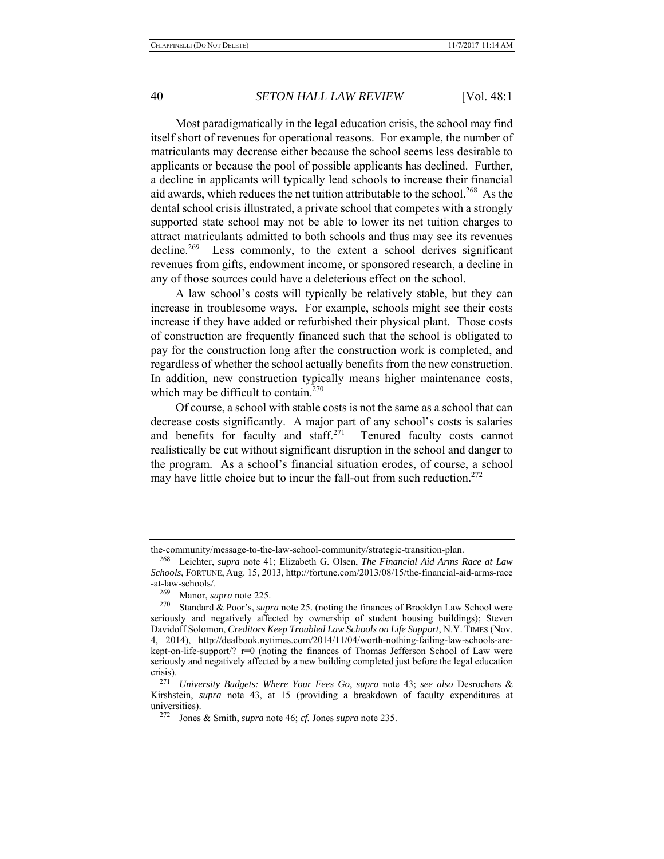Most paradigmatically in the legal education crisis, the school may find itself short of revenues for operational reasons. For example, the number of matriculants may decrease either because the school seems less desirable to applicants or because the pool of possible applicants has declined. Further, a decline in applicants will typically lead schools to increase their financial aid awards, which reduces the net tuition attributable to the school.<sup>268</sup> As the dental school crisis illustrated, a private school that competes with a strongly supported state school may not be able to lower its net tuition charges to attract matriculants admitted to both schools and thus may see its revenues decline.<sup>269</sup> Less commonly, to the extent a school derives significant revenues from gifts, endowment income, or sponsored research, a decline in any of those sources could have a deleterious effect on the school.

A law school's costs will typically be relatively stable, but they can increase in troublesome ways. For example, schools might see their costs increase if they have added or refurbished their physical plant. Those costs of construction are frequently financed such that the school is obligated to pay for the construction long after the construction work is completed, and regardless of whether the school actually benefits from the new construction. In addition, new construction typically means higher maintenance costs, which may be difficult to contain. $270$ 

Of course, a school with stable costs is not the same as a school that can decrease costs significantly. A major part of any school's costs is salaries and benefits for faculty and staff. $271$  Tenured faculty costs cannot realistically be cut without significant disruption in the school and danger to the program. As a school's financial situation erodes, of course, a school may have little choice but to incur the fall-out from such reduction.  $272$ 

the-community/message-to-the-law-school-community/strategic-transition-plan.

<sup>268</sup> Leichter, *supra* note 41; Elizabeth G. Olsen, *The Financial Aid Arms Race at Law Schools*, FORTUNE, Aug. 15, 2013, http://fortune.com/2013/08/15/the-financial-aid-arms-race -at-law-schools/.

<sup>&</sup>lt;sup>269</sup> Manor, *supra* note 225.<br><sup>270</sup> Standard & Poor's supp

Standard & Poor's, *supra* note 25. (noting the finances of Brooklyn Law School were seriously and negatively affected by ownership of student housing buildings); Steven Davidoff Solomon, *Creditors Keep Troubled Law Schools on Life Support*, N.Y. TIMES (Nov. 4, 2014), http://dealbook.nytimes.com/2014/11/04/worth-nothing-failing-law-schools-arekept-on-life-support/? r=0 (noting the finances of Thomas Jefferson School of Law were seriously and negatively affected by a new building completed just before the legal education crisis).

<sup>271</sup> *University Budgets: Where Your Fees Go*, *supra* note 43; *see also* Desrochers & Kirshstein, *supra* note 43, at 15 (providing a breakdown of faculty expenditures at universities).<br> $^{272}$  Longs

Jones & Smith, *supra* note 46; *cf.* Jones *supra* note 235.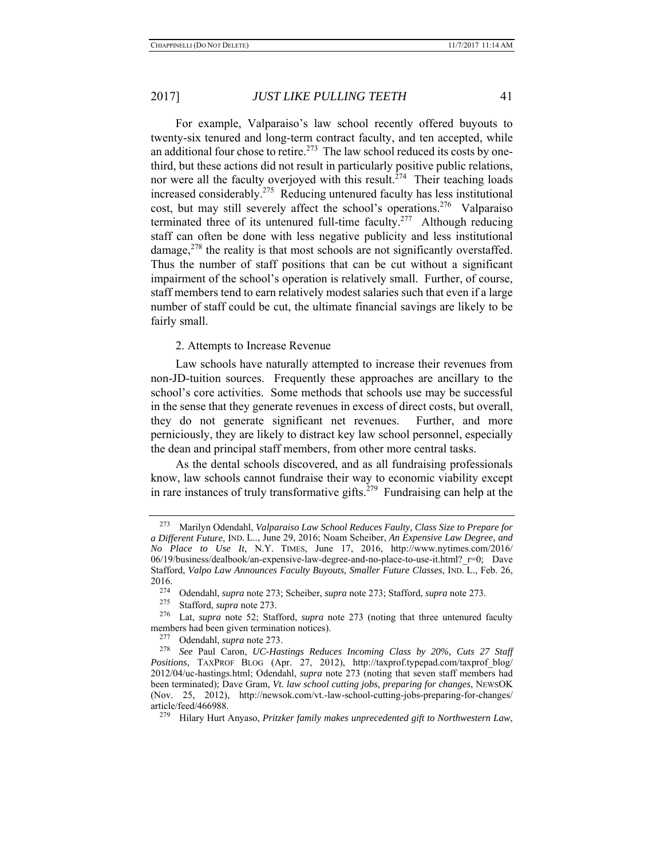For example, Valparaiso's law school recently offered buyouts to twenty-six tenured and long-term contract faculty, and ten accepted, while an additional four chose to retire.<sup>273</sup> The law school reduced its costs by onethird, but these actions did not result in particularly positive public relations, nor were all the faculty overjoyed with this result.<sup> $274$ </sup> Their teaching loads increased considerably.275 Reducing untenured faculty has less institutional cost, but may still severely affect the school's operations.<sup>276</sup> Valparaiso terminated three of its untenured full-time faculty.<sup>277</sup> Although reducing staff can often be done with less negative publicity and less institutional damage, $278$  the reality is that most schools are not significantly overstaffed. Thus the number of staff positions that can be cut without a significant impairment of the school's operation is relatively small. Further, of course, staff members tend to earn relatively modest salaries such that even if a large number of staff could be cut, the ultimate financial savings are likely to be fairly small.

### 2. Attempts to Increase Revenue

Law schools have naturally attempted to increase their revenues from non-JD-tuition sources. Frequently these approaches are ancillary to the school's core activities. Some methods that schools use may be successful in the sense that they generate revenues in excess of direct costs, but overall, they do not generate significant net revenues. Further, and more perniciously, they are likely to distract key law school personnel, especially the dean and principal staff members, from other more central tasks.

As the dental schools discovered, and as all fundraising professionals know, law schools cannot fundraise their way to economic viability except in rare instances of truly transformative gifts.<sup>279</sup> Fundraising can help at the

<sup>273</sup> Marilyn Odendahl, *Valparaiso Law School Reduces Faulty, Class Size to Prepare for a Different Future*, IND. L.., June 29, 2016; Noam Scheiber, *An Expensive Law Degree, and No Place to Use It*, N.Y. TIMES, June 17, 2016, http://www.nytimes.com/2016/ 06/19/business/dealbook/an-expensive-law-degree-and-no-place-to-use-it.html?\_r=0; Dave Stafford, *Valpo Law Announces Faculty Buyouts, Smaller Future Classes*, IND. L., Feb. 26, 2016.

<sup>274</sup> Odendahl, *supra* note 273; Scheiber, *supra* note 273; Stafford, *supra* note 273.

<sup>&</sup>lt;sup>275</sup> Stafford, *supra* note 273.<br><sup>276</sup> Let *supra* note 52: Stol

<sup>276</sup> Lat, *supra* note 52; Stafford, *supra* note 273 (noting that three untenured faculty members had been given termination notices).<br> $^{277}$  Odendabl, sung note 273

Odendahl, *supra* note 273.

<sup>278</sup> *See* Paul Caron, *UC-Hastings Reduces Incoming Class by 20%, Cuts 27 Staff Positions*, TAXPROF BLOG (Apr. 27, 2012), http://taxprof.typepad.com/taxprof\_blog/ 2012/04/uc-hastings.html; Odendahl, *supra* note 273 (noting that seven staff members had been terminated); Dave Gram, *Vt. law school cutting jobs, preparing for changes*, NEWSOK (Nov. 25, 2012), http://newsok.com/vt.-law-school-cutting-jobs-preparing-for-changes/ article/feed/466988.

<sup>279</sup> Hilary Hurt Anyaso, *Pritzker family makes unprecedented gift to Northwestern Law*,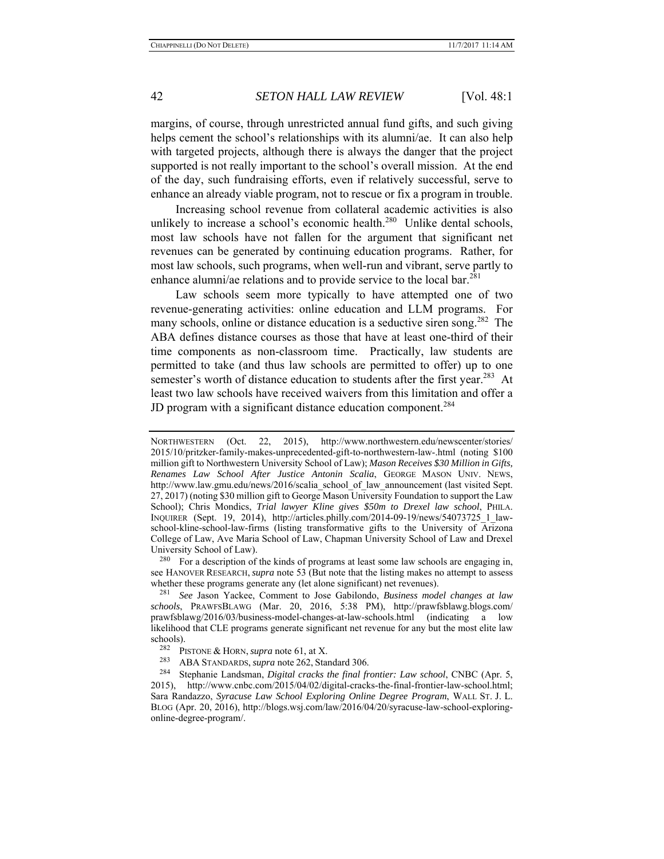margins, of course, through unrestricted annual fund gifts, and such giving helps cement the school's relationships with its alumni/ae. It can also help with targeted projects, although there is always the danger that the project supported is not really important to the school's overall mission. At the end of the day, such fundraising efforts, even if relatively successful, serve to enhance an already viable program, not to rescue or fix a program in trouble.

Increasing school revenue from collateral academic activities is also unlikely to increase a school's economic health.<sup>280</sup> Unlike dental schools, most law schools have not fallen for the argument that significant net revenues can be generated by continuing education programs. Rather, for most law schools, such programs, when well-run and vibrant, serve partly to enhance alumni/ae relations and to provide service to the local bar.<sup>281</sup>

Law schools seem more typically to have attempted one of two revenue-generating activities: online education and LLM programs. For many schools, online or distance education is a seductive siren song.<sup>282</sup> The ABA defines distance courses as those that have at least one-third of their time components as non-classroom time. Practically, law students are permitted to take (and thus law schools are permitted to offer) up to one semester's worth of distance education to students after the first year.<sup>283</sup> At least two law schools have received waivers from this limitation and offer a JD program with a significant distance education component.<sup>284</sup>

<sup>280</sup> For a description of the kinds of programs at least some law schools are engaging in, see HANOVER RESEARCH, *supra* note 53 (But note that the listing makes no attempt to assess whether these programs generate any (let alone significant) net revenues).

NORTHWESTERN (Oct. 22, 2015), http://www.northwestern.edu/newscenter/stories/ 2015/10/pritzker-family-makes-unprecedented-gift-to-northwestern-law-.html (noting \$100 million gift to Northwestern University School of Law); *Mason Receives \$30 Million in Gifts, Renames Law School After Justice Antonin Scalia*, GEORGE MASON UNIV. NEWS, http://www.law.gmu.edu/news/2016/scalia\_school\_of\_law\_announcement (last visited Sept. 27, 2017) (noting \$30 million gift to George Mason University Foundation to support the Law School); Chris Mondics, *Trial lawyer Kline gives \$50m to Drexel law school*, PHILA. INQUIRER (Sept. 19, 2014), http://articles.philly.com/2014-09-19/news/54073725\_1\_lawschool-kline-school-law-firms (listing transformative gifts to the University of Arizona College of Law, Ave Maria School of Law, Chapman University School of Law and Drexel University School of Law).

<sup>281</sup> *See* Jason Yackee, Comment to Jose Gabilondo, *Business model changes at law schools*, PRAWFSBLAWG (Mar. 20, 2016, 5:38 PM), http://prawfsblawg.blogs.com/ prawfsblawg/2016/03/business-model-changes-at-law-schools.html (indicating a low likelihood that CLE programs generate significant net revenue for any but the most elite law schools).<br> $282$  D<sub>1</sub>

<sup>&</sup>lt;sup>282</sup> PISTONE & HORN, *supra* note 61, at X.

<sup>283</sup> ABA STANDARDS, *supra* note 262, Standard 306.

<sup>284</sup> Stephanie Landsman, *Digital cracks the final frontier: Law school*, CNBC (Apr. 5, 2015), http://www.cnbc.com/2015/04/02/digital-cracks-the-final-frontier-law-school.html; Sara Randazzo, *Syracuse Law School Exploring Online Degree Program*, WALL ST. J. L. BLOG (Apr. 20, 2016), http://blogs.wsj.com/law/2016/04/20/syracuse-law-school-exploringonline-degree-program/.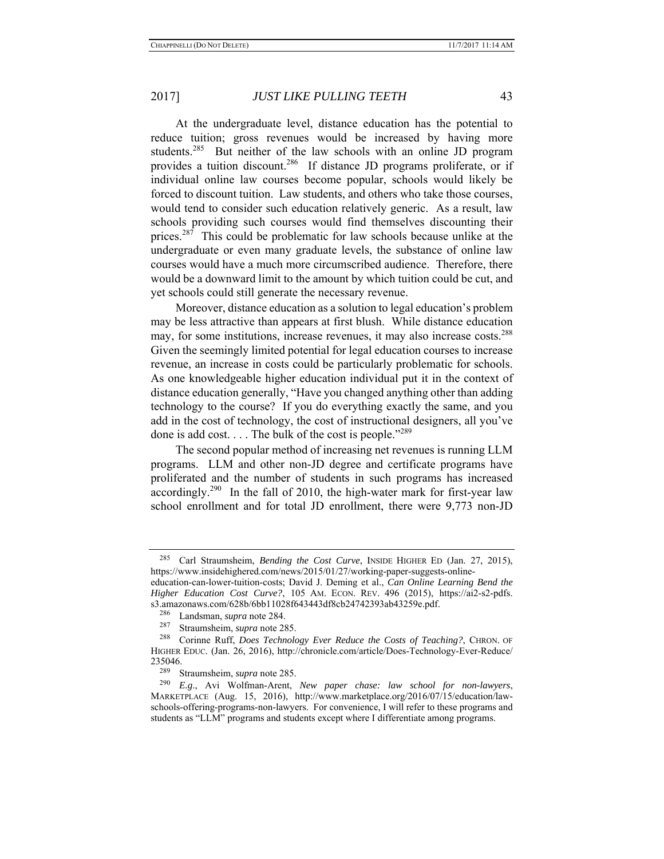At the undergraduate level, distance education has the potential to reduce tuition; gross revenues would be increased by having more students.<sup>285</sup> But neither of the law schools with an online JD program provides a tuition discount.<sup>286</sup> If distance JD programs proliferate, or if individual online law courses become popular, schools would likely be forced to discount tuition. Law students, and others who take those courses, would tend to consider such education relatively generic. As a result, law schools providing such courses would find themselves discounting their prices.<sup>287</sup> This could be problematic for law schools because unlike at the undergraduate or even many graduate levels, the substance of online law courses would have a much more circumscribed audience. Therefore, there would be a downward limit to the amount by which tuition could be cut, and yet schools could still generate the necessary revenue.

Moreover, distance education as a solution to legal education's problem may be less attractive than appears at first blush. While distance education may, for some institutions, increase revenues, it may also increase costs.<sup>288</sup> Given the seemingly limited potential for legal education courses to increase revenue, an increase in costs could be particularly problematic for schools. As one knowledgeable higher education individual put it in the context of distance education generally, "Have you changed anything other than adding technology to the course? If you do everything exactly the same, and you add in the cost of technology, the cost of instructional designers, all you've done is add cost. . . . The bulk of the cost is people."<sup>289</sup>

The second popular method of increasing net revenues is running LLM programs. LLM and other non-JD degree and certificate programs have proliferated and the number of students in such programs has increased accordingly.290 In the fall of 2010, the high-water mark for first-year law school enrollment and for total JD enrollment, there were 9,773 non-JD

Carl Straumsheim, *Bending the Cost Curve*, INSIDE HIGHER ED (Jan. 27, 2015), https://www.insidehighered.com/news/2015/01/27/working-paper-suggests-online-

education-can-lower-tuition-costs; David J. Deming et al., *Can Online Learning Bend the Higher Education Cost Curve?*, 105 AM. ECON. REV. 496 (2015), https://ai2-s2-pdfs. s3.amazonaws.com/628b/6bb11028f643443df8cb24742393ab43259e.pdf. 286 Landsman, *supra* note 284.

<sup>&</sup>lt;sup>287</sup> Straumsheim, *supra* note 285.<br><sup>288</sup> Corinne Puff, Does Technole

<sup>288</sup> Corinne Ruff, *Does Technology Ever Reduce the Costs of Teaching?*, CHRON. OF HIGHER EDUC. (Jan. 26, 2016), http://chronicle.com/article/Does-Technology-Ever-Reduce/ 235046.

Straumsheim, *supra* note 285.

<sup>290</sup> *E.g*., Avi Wolfman-Arent, *New paper chase: law school for non-lawyers*, MARKETPLACE (Aug. 15, 2016), http://www.marketplace.org/2016/07/15/education/lawschools-offering-programs-non-lawyers. For convenience, I will refer to these programs and students as "LLM" programs and students except where I differentiate among programs.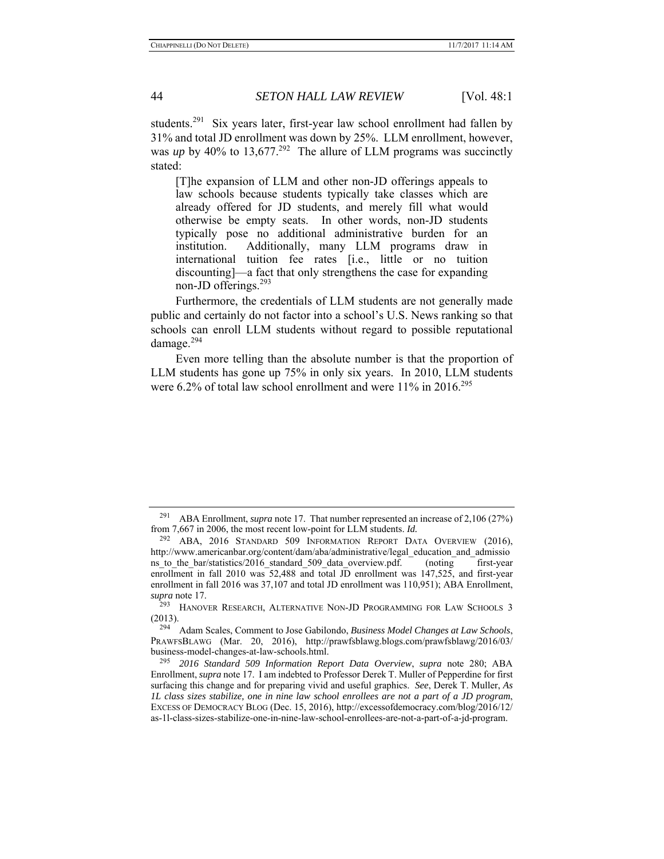students.<sup>291</sup> Six years later, first-year law school enrollment had fallen by 31% and total JD enrollment was down by 25%. LLM enrollment, however, was *up* by 40% to 13,677.<sup>292</sup> The allure of LLM programs was succinctly stated:

[T]he expansion of LLM and other non‐JD offerings appeals to law schools because students typically take classes which are already offered for JD students, and merely fill what would otherwise be empty seats. In other words, non‐JD students typically pose no additional administrative burden for an institution. Additionally, many LLM programs draw in international tuition fee rates [i.e., little or no tuition discounting]—a fact that only strengthens the case for expanding non‐JD offerings.<sup>293</sup>

Furthermore, the credentials of LLM students are not generally made public and certainly do not factor into a school's U.S. News ranking so that schools can enroll LLM students without regard to possible reputational damage.<sup>294</sup>

Even more telling than the absolute number is that the proportion of LLM students has gone up 75% in only six years. In 2010, LLM students were 6.2% of total law school enrollment and were 11% in 2016.<sup>295</sup>

<sup>291</sup> ABA Enrollment, *supra* note 17. That number represented an increase of 2,106 (27%) from 7,667 in 2006, the most recent low-point for LLM students. *Id.* 292 ABA, <sup>2016</sup> STANDARD 509 INFORMATION REPORT DATA OVERVIEW (2016),

http://www.americanbar.org/content/dam/aba/administrative/legal\_education\_and\_admissio ns to the bar/statistics/2016 standard 509 data overview.pdf. (noting first-year enrollment in fall 2010 was 52,488 and total JD enrollment was 147,525, and first-year enrollment in fall 2016 was 37,107 and total JD enrollment was 110,951); ABA Enrollment, *supra* note 17.

<sup>&</sup>lt;sup>293</sup> HANOVER RESEARCH, ALTERNATIVE NON-JD PROGRAMMING FOR LAW SCHOOLS 3 (2013).

<sup>294</sup> Adam Scales, Comment to Jose Gabilondo, *Business Model Changes at Law Schools*, PRAWFSBLAWG (Mar. 20, 2016), http://prawfsblawg.blogs.com/prawfsblawg/2016/03/ business-model-changes-at-law-schools.html.

<sup>295</sup> *2016 Standard 509 Information Report Data Overview*, *supra* note 280; ABA Enrollment, *supra* note 17. I am indebted to Professor Derek T. Muller of Pepperdine for first surfacing this change and for preparing vivid and useful graphics. *See*, Derek T. Muller, *As 1L class sizes stabilize, one in nine law school enrollees are not a part of a JD program*, EXCESS OF DEMOCRACY BLOG (Dec. 15, 2016), http://excessofdemocracy.com/blog/2016/12/ as-1l-class-sizes-stabilize-one-in-nine-law-school-enrollees-are-not-a-part-of-a-jd-program.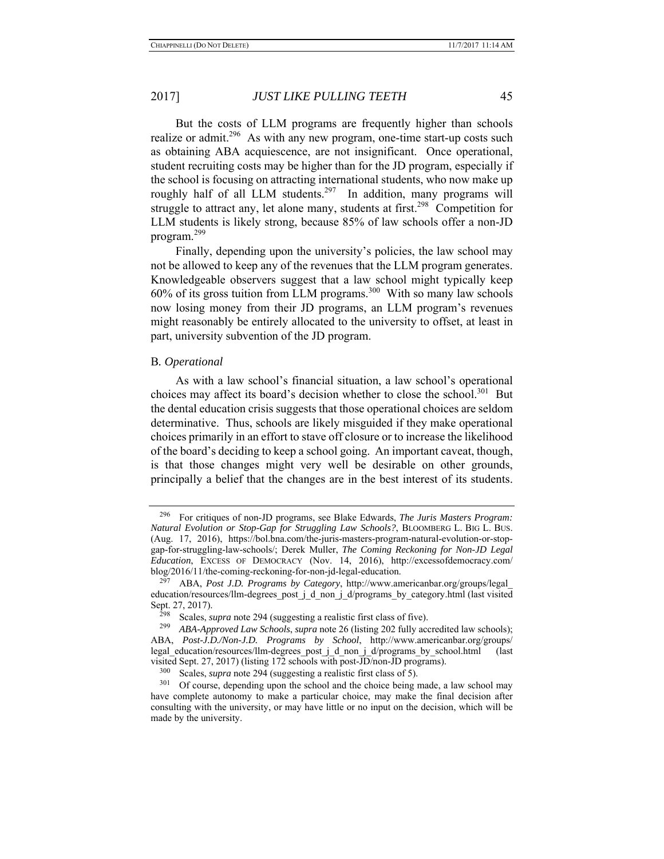But the costs of LLM programs are frequently higher than schools realize or admit.<sup>296</sup> As with any new program, one-time start-up costs such as obtaining ABA acquiescence, are not insignificant. Once operational, student recruiting costs may be higher than for the JD program, especially if the school is focusing on attracting international students, who now make up roughly half of all LLM students.<sup>297</sup> In addition, many programs will struggle to attract any, let alone many, students at first.<sup>298</sup> Competition for LLM students is likely strong, because 85% of law schools offer a non-JD program.<sup>299</sup>

Finally, depending upon the university's policies, the law school may not be allowed to keep any of the revenues that the LLM program generates. Knowledgeable observers suggest that a law school might typically keep  $60\%$  of its gross tuition from LLM programs.<sup>300</sup> With so many law schools now losing money from their JD programs, an LLM program's revenues might reasonably be entirely allocated to the university to offset, at least in part, university subvention of the JD program.

#### B*. Operational*

As with a law school's financial situation, a law school's operational choices may affect its board's decision whether to close the school.<sup>301</sup> But the dental education crisis suggests that those operational choices are seldom determinative. Thus, schools are likely misguided if they make operational choices primarily in an effort to stave off closure or to increase the likelihood of the board's deciding to keep a school going. An important caveat, though, is that those changes might very well be desirable on other grounds, principally a belief that the changes are in the best interest of its students.

<sup>296</sup> For critiques of non-JD programs, see Blake Edwards, *The Juris Masters Program: Natural Evolution or Stop-Gap for Struggling Law Schools?*, BLOOMBERG L. BIG L. BUS. (Aug. 17, 2016), https://bol.bna.com/the-juris-masters-program-natural-evolution-or-stopgap-for-struggling-law-schools/; Derek Muller, *The Coming Reckoning for Non-JD Legal Education*, EXCESS OF DEMOCRACY (Nov. 14, 2016), http://excessofdemocracy.com/ blog/2016/11/the-coming-reckoning-for-non-jd-legal-education.

<sup>297</sup> ABA, *Post J.D. Programs by Category*, http://www.americanbar.org/groups/legal\_ education/resources/llm-degrees\_post\_j\_d\_non\_j\_d/programs\_by\_category.html (last visited Sept. 27, 2017).

Scales, *supra* note 294 (suggesting a realistic first class of five).

<sup>299</sup> *ABA-Approved Law Schools*, *supra* note 26 (listing 202 fully accredited law schools); ABA, *Post-J.D./Non-J.D. Programs by School*, http://www.americanbar.org/groups/ legal\_education/resources/llm-degrees\_post\_j\_d\_non\_j\_d/programs\_by\_school.html (last visited Sept. 27, 2017) (listing 172 schools with post-JD/non-JD programs).

<sup>&</sup>lt;sup>300</sup> Scales, *supra* note 294 (suggesting a realistic first class of 5).<br><sup>301</sup> Of course depending upon the school and the choice being t

Of course, depending upon the school and the choice being made, a law school may have complete autonomy to make a particular choice, may make the final decision after consulting with the university, or may have little or no input on the decision, which will be made by the university.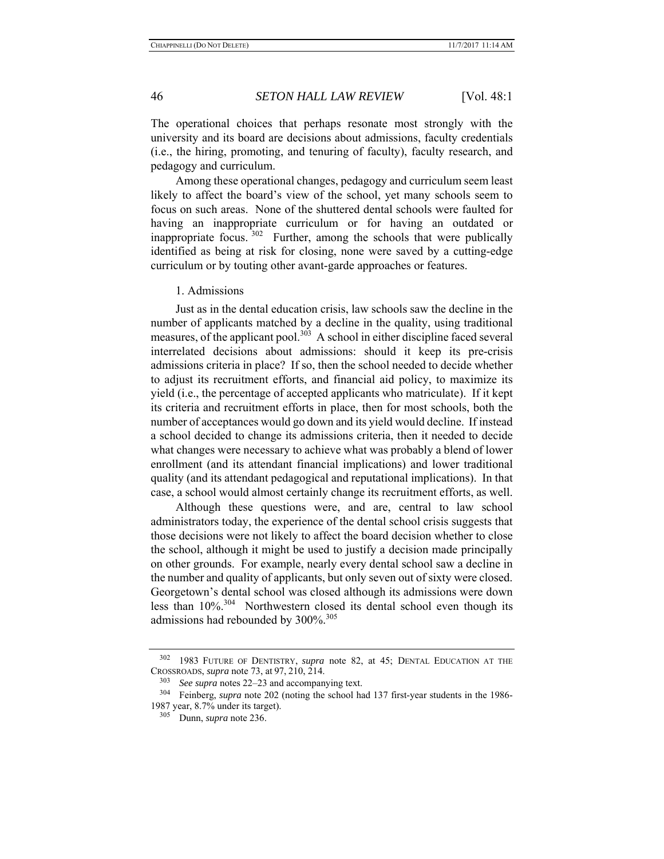The operational choices that perhaps resonate most strongly with the university and its board are decisions about admissions, faculty credentials (i.e., the hiring, promoting, and tenuring of faculty), faculty research, and pedagogy and curriculum.

Among these operational changes, pedagogy and curriculum seem least likely to affect the board's view of the school, yet many schools seem to focus on such areas. None of the shuttered dental schools were faulted for having an inappropriate curriculum or for having an outdated or inappropriate focus. <sup>302</sup> Further, among the schools that were publically identified as being at risk for closing, none were saved by a cutting-edge curriculum or by touting other avant-garde approaches or features.

1. Admissions

Just as in the dental education crisis, law schools saw the decline in the number of applicants matched by a decline in the quality, using traditional measures, of the applicant pool. $303$  A school in either discipline faced several interrelated decisions about admissions: should it keep its pre-crisis admissions criteria in place? If so, then the school needed to decide whether to adjust its recruitment efforts, and financial aid policy, to maximize its yield (i.e., the percentage of accepted applicants who matriculate). If it kept its criteria and recruitment efforts in place, then for most schools, both the number of acceptances would go down and its yield would decline. If instead a school decided to change its admissions criteria, then it needed to decide what changes were necessary to achieve what was probably a blend of lower enrollment (and its attendant financial implications) and lower traditional quality (and its attendant pedagogical and reputational implications). In that case, a school would almost certainly change its recruitment efforts, as well.

Although these questions were, and are, central to law school administrators today, the experience of the dental school crisis suggests that those decisions were not likely to affect the board decision whether to close the school, although it might be used to justify a decision made principally on other grounds. For example, nearly every dental school saw a decline in the number and quality of applicants, but only seven out of sixty were closed. Georgetown's dental school was closed although its admissions were down less than 10%.304 Northwestern closed its dental school even though its admissions had rebounded by 300%.<sup>305</sup>

<sup>302 1983</sup> FUTURE OF DENTISTRY, *supra* note 82, at 45; DENTAL EDUCATION AT THE CROSSROADS, *supra* note 73, at 97, 210, 214.

<sup>&</sup>lt;sup>303</sup> *See supra* notes 22–23 and accompanying text.

<sup>304</sup> Feinberg, *supra* note 202 (noting the school had 137 first-year students in the 1986- 1987 year, 8.7% under its target).

<sup>305</sup> Dunn, *supra* note 236.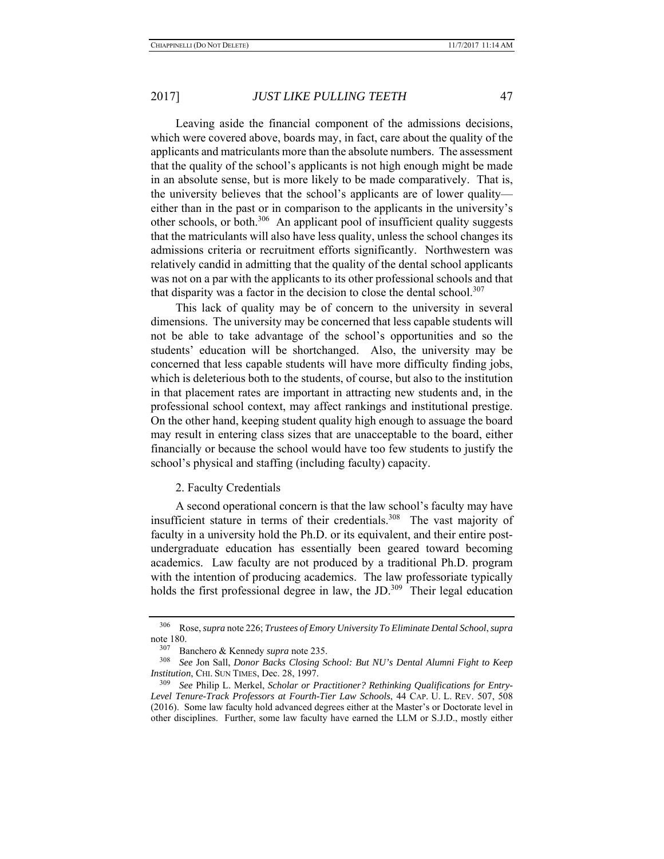Leaving aside the financial component of the admissions decisions, which were covered above, boards may, in fact, care about the quality of the applicants and matriculants more than the absolute numbers. The assessment that the quality of the school's applicants is not high enough might be made in an absolute sense, but is more likely to be made comparatively. That is, the university believes that the school's applicants are of lower quality either than in the past or in comparison to the applicants in the university's other schools, or both.<sup>306</sup> An applicant pool of insufficient quality suggests that the matriculants will also have less quality, unless the school changes its admissions criteria or recruitment efforts significantly. Northwestern was relatively candid in admitting that the quality of the dental school applicants was not on a par with the applicants to its other professional schools and that that disparity was a factor in the decision to close the dental school. $307$ 

This lack of quality may be of concern to the university in several dimensions. The university may be concerned that less capable students will not be able to take advantage of the school's opportunities and so the students' education will be shortchanged. Also, the university may be concerned that less capable students will have more difficulty finding jobs, which is deleterious both to the students, of course, but also to the institution in that placement rates are important in attracting new students and, in the professional school context, may affect rankings and institutional prestige. On the other hand, keeping student quality high enough to assuage the board may result in entering class sizes that are unacceptable to the board, either financially or because the school would have too few students to justify the school's physical and staffing (including faculty) capacity.

#### 2. Faculty Credentials

A second operational concern is that the law school's faculty may have insufficient stature in terms of their credentials.<sup>308</sup> The vast majority of faculty in a university hold the Ph.D. or its equivalent, and their entire postundergraduate education has essentially been geared toward becoming academics. Law faculty are not produced by a traditional Ph.D. program with the intention of producing academics. The law professoriate typically holds the first professional degree in law, the JD.<sup>309</sup> Their legal education

<sup>306</sup> Rose, *supra* note 226; *Trustees of Emory University To Eliminate Dental School*, *supra* note 180.<br> $\frac{307}{P}$ 

<sup>307</sup> Banchero & Kennedy *supra* note 235.

<sup>308</sup> *See* Jon Sall, *Donor Backs Closing School: But NU's Dental Alumni Fight to Keep Institution*, CHI. SUN TIMES, Dec. 28, 1997.

<sup>309</sup> *See* Philip L. Merkel, *Scholar or Practitioner? Rethinking Qualifications for Entry-Level Tenure-Track Professors at Fourth-Tier Law Schools*, 44 CAP. U. L. REV. 507, 508 (2016). Some law faculty hold advanced degrees either at the Master's or Doctorate level in other disciplines. Further, some law faculty have earned the LLM or S.J.D., mostly either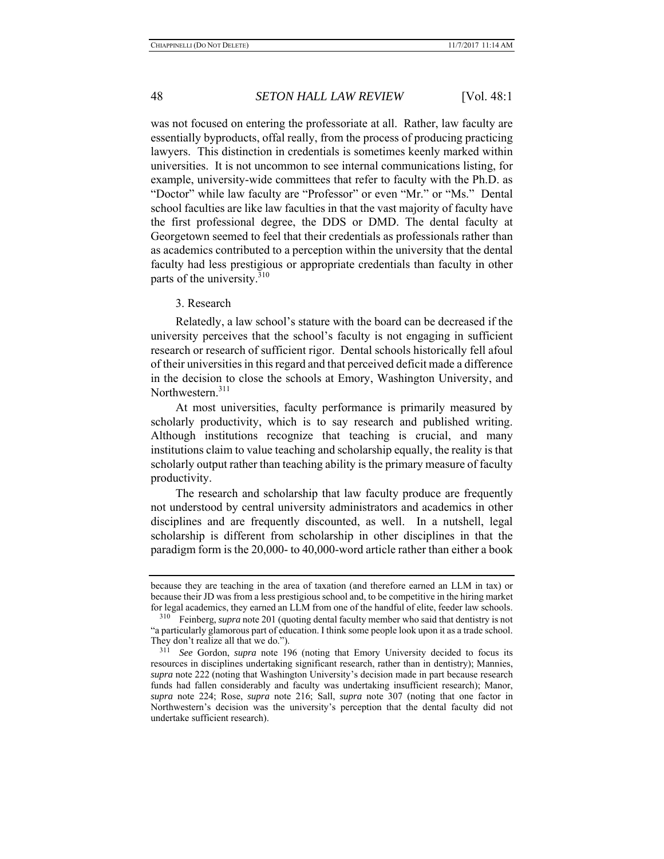was not focused on entering the professoriate at all. Rather, law faculty are essentially byproducts, offal really, from the process of producing practicing lawyers. This distinction in credentials is sometimes keenly marked within universities. It is not uncommon to see internal communications listing, for example, university-wide committees that refer to faculty with the Ph.D. as "Doctor" while law faculty are "Professor" or even "Mr." or "Ms." Dental school faculties are like law faculties in that the vast majority of faculty have the first professional degree, the DDS or DMD. The dental faculty at Georgetown seemed to feel that their credentials as professionals rather than as academics contributed to a perception within the university that the dental faculty had less prestigious or appropriate credentials than faculty in other parts of the university.<sup>310</sup>

#### 3. Research

Relatedly, a law school's stature with the board can be decreased if the university perceives that the school's faculty is not engaging in sufficient research or research of sufficient rigor. Dental schools historically fell afoul of their universities in this regard and that perceived deficit made a difference in the decision to close the schools at Emory, Washington University, and Northwestern.<sup>311</sup>

At most universities, faculty performance is primarily measured by scholarly productivity, which is to say research and published writing. Although institutions recognize that teaching is crucial, and many institutions claim to value teaching and scholarship equally, the reality is that scholarly output rather than teaching ability is the primary measure of faculty productivity.

The research and scholarship that law faculty produce are frequently not understood by central university administrators and academics in other disciplines and are frequently discounted, as well. In a nutshell, legal scholarship is different from scholarship in other disciplines in that the paradigm form is the 20,000- to 40,000-word article rather than either a book

because they are teaching in the area of taxation (and therefore earned an LLM in tax) or because their JD was from a less prestigious school and, to be competitive in the hiring market for legal academics, they earned an LLM from one of the handful of elite, feeder law schools.

<sup>310</sup> Feinberg, *supra* note 201 (quoting dental faculty member who said that dentistry is not "a particularly glamorous part of education. I think some people look upon it as a trade school. They don't realize all that we do.").

<sup>311</sup> *See* Gordon, *supra* note 196 (noting that Emory University decided to focus its resources in disciplines undertaking significant research, rather than in dentistry); Mannies, *supra* note 222 (noting that Washington University's decision made in part because research funds had fallen considerably and faculty was undertaking insufficient research); Manor, *supra* note 224; Rose, *supra* note 216; Sall, *supra* note 307 (noting that one factor in Northwestern's decision was the university's perception that the dental faculty did not undertake sufficient research).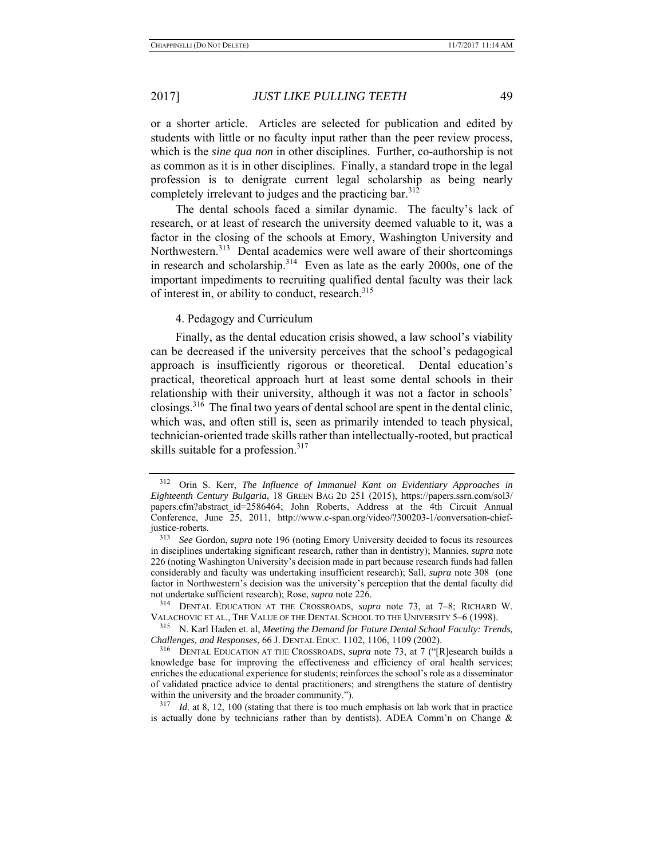or a shorter article. Articles are selected for publication and edited by students with little or no faculty input rather than the peer review process, which is the *sine qua non* in other disciplines. Further, co-authorship is not as common as it is in other disciplines. Finally, a standard trope in the legal profession is to denigrate current legal scholarship as being nearly completely irrelevant to judges and the practicing bar.<sup>312</sup>

The dental schools faced a similar dynamic. The faculty's lack of research, or at least of research the university deemed valuable to it, was a factor in the closing of the schools at Emory, Washington University and Northwestern.<sup>313</sup> Dental academics were well aware of their shortcomings in research and scholarship. $314$  Even as late as the early 2000s, one of the important impediments to recruiting qualified dental faculty was their lack of interest in, or ability to conduct, research.<sup>315</sup>

4. Pedagogy and Curriculum

Finally, as the dental education crisis showed, a law school's viability can be decreased if the university perceives that the school's pedagogical approach is insufficiently rigorous or theoretical. Dental education's practical, theoretical approach hurt at least some dental schools in their relationship with their university, although it was not a factor in schools' closings.316 The final two years of dental school are spent in the dental clinic, which was, and often still is, seen as primarily intended to teach physical, technician-oriented trade skills rather than intellectually-rooted, but practical skills suitable for a profession.<sup>317</sup>

315 N. Karl Haden et. al, *Meeting the Demand for Future Dental School Faculty: Trends, Challenges, and Responses*, 66 J. DENTAL EDUC. 1102, 1106, 1109 (2002).

<sup>312</sup> Orin S. Kerr, *The Influence of Immanuel Kant on Evidentiary Approaches in Eighteenth Century Bulgaria*, 18 GREEN BAG 2D 251 (2015), https://papers.ssrn.com/sol3/ papers.cfm?abstract\_id=2586464; John Roberts, Address at the 4th Circuit Annual Conference, June 25, 2011, http://www.c-span.org/video/?300203-1/conversation-chiefjustice-roberts.

<sup>313</sup> *See* Gordon, *supra* note 196 (noting Emory University decided to focus its resources in disciplines undertaking significant research, rather than in dentistry); Mannies, *supra* note 226 (noting Washington University's decision made in part because research funds had fallen considerably and faculty was undertaking insufficient research); Sall, *supra* note 308 (one factor in Northwestern's decision was the university's perception that the dental faculty did not undertake sufficient research); Rose, *supra* note 226.

<sup>314</sup> DENTAL EDUCATION AT THE CROSSROADS, *supra* note 73, at 7–8; RICHARD W. VALACHOVIC ET AL., THE VALUE OF THE DENTAL SCHOOL TO THE UNIVERSITY 5–6 (1998).

<sup>316</sup> DENTAL EDUCATION AT THE CROSSROADS, *supra* note 73, at 7 ("[R]esearch builds a knowledge base for improving the effectiveness and efficiency of oral health services; enriches the educational experience for students; reinforces the school's role as a disseminator of validated practice advice to dental practitioners; and strengthens the stature of dentistry within the university and the broader community.").

<sup>&</sup>lt;sup>317</sup> *Id.* at 8, 12, 100 (stating that there is too much emphasis on lab work that in practice is actually done by technicians rather than by dentists). ADEA Comm'n on Change  $\&$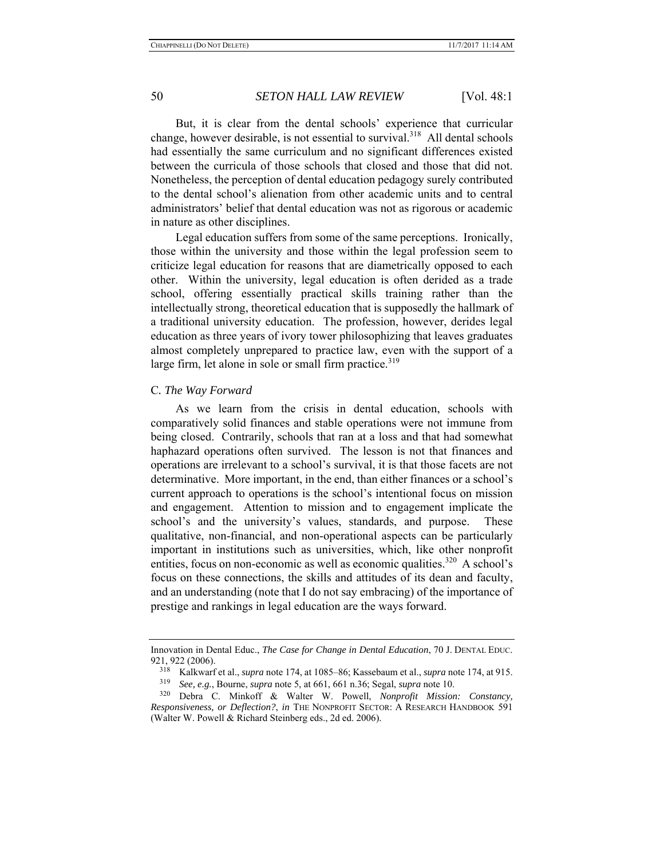But, it is clear from the dental schools' experience that curricular change, however desirable, is not essential to survival.<sup>318</sup> All dental schools had essentially the same curriculum and no significant differences existed between the curricula of those schools that closed and those that did not. Nonetheless, the perception of dental education pedagogy surely contributed to the dental school's alienation from other academic units and to central administrators' belief that dental education was not as rigorous or academic in nature as other disciplines.

Legal education suffers from some of the same perceptions. Ironically, those within the university and those within the legal profession seem to criticize legal education for reasons that are diametrically opposed to each other. Within the university, legal education is often derided as a trade school, offering essentially practical skills training rather than the intellectually strong, theoretical education that is supposedly the hallmark of a traditional university education. The profession, however, derides legal education as three years of ivory tower philosophizing that leaves graduates almost completely unprepared to practice law, even with the support of a large firm, let alone in sole or small firm practice. $319$ 

#### C*. The Way Forward*

As we learn from the crisis in dental education, schools with comparatively solid finances and stable operations were not immune from being closed. Contrarily, schools that ran at a loss and that had somewhat haphazard operations often survived. The lesson is not that finances and operations are irrelevant to a school's survival, it is that those facets are not determinative. More important, in the end, than either finances or a school's current approach to operations is the school's intentional focus on mission and engagement. Attention to mission and to engagement implicate the school's and the university's values, standards, and purpose. These qualitative, non-financial, and non-operational aspects can be particularly important in institutions such as universities, which, like other nonprofit entities, focus on non-economic as well as economic qualities.<sup>320</sup> A school's focus on these connections, the skills and attitudes of its dean and faculty, and an understanding (note that I do not say embracing) of the importance of prestige and rankings in legal education are the ways forward.

Innovation in Dental Educ., *The Case for Change in Dental Education*, 70 J. DENTAL EDUC. 921, 922 (2006).

<sup>318</sup> Kalkwarf et al., *supra* note 174, at 1085–86; Kassebaum et al., *supra* note 174, at 915.

<sup>319</sup> *See, e.g.*, Bourne, *supra* note 5, at 661, 661 n.36; Segal, *supra* note 10.

<sup>320</sup> Debra C. Minkoff & Walter W. Powell, *Nonprofit Mission: Constancy, Responsiveness, or Deflection?*, *in* THE NONPROFIT SECTOR: A RESEARCH HANDBOOK 591 (Walter W. Powell & Richard Steinberg eds., 2d ed. 2006).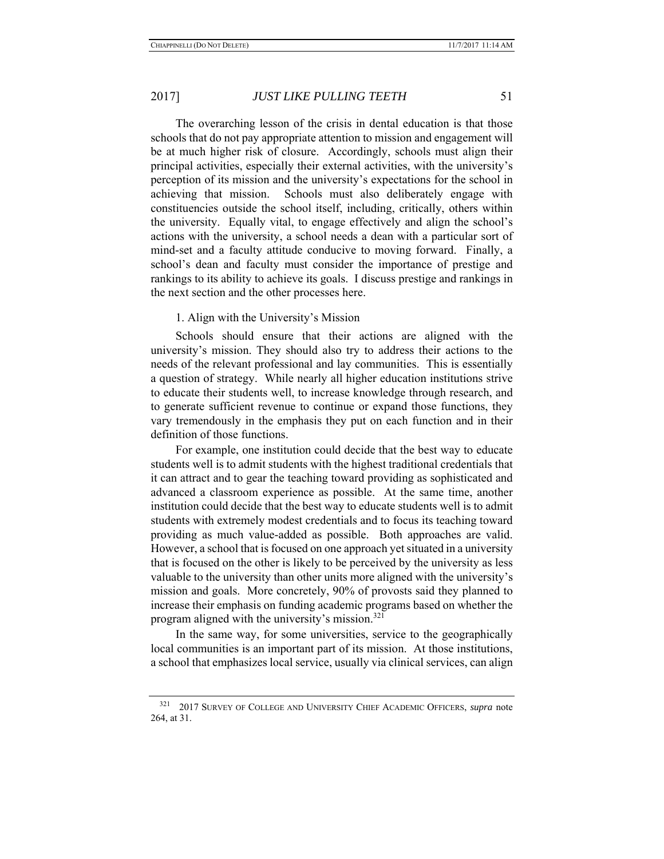The overarching lesson of the crisis in dental education is that those schools that do not pay appropriate attention to mission and engagement will be at much higher risk of closure. Accordingly, schools must align their principal activities, especially their external activities, with the university's perception of its mission and the university's expectations for the school in achieving that mission. Schools must also deliberately engage with constituencies outside the school itself, including, critically, others within the university. Equally vital, to engage effectively and align the school's actions with the university, a school needs a dean with a particular sort of mind-set and a faculty attitude conducive to moving forward. Finally, a school's dean and faculty must consider the importance of prestige and rankings to its ability to achieve its goals. I discuss prestige and rankings in the next section and the other processes here.

#### 1. Align with the University's Mission

Schools should ensure that their actions are aligned with the university's mission. They should also try to address their actions to the needs of the relevant professional and lay communities. This is essentially a question of strategy. While nearly all higher education institutions strive to educate their students well, to increase knowledge through research, and to generate sufficient revenue to continue or expand those functions, they vary tremendously in the emphasis they put on each function and in their definition of those functions.

For example, one institution could decide that the best way to educate students well is to admit students with the highest traditional credentials that it can attract and to gear the teaching toward providing as sophisticated and advanced a classroom experience as possible. At the same time, another institution could decide that the best way to educate students well is to admit students with extremely modest credentials and to focus its teaching toward providing as much value-added as possible. Both approaches are valid. However, a school that is focused on one approach yet situated in a university that is focused on the other is likely to be perceived by the university as less valuable to the university than other units more aligned with the university's mission and goals. More concretely, 90% of provosts said they planned to increase their emphasis on funding academic programs based on whether the program aligned with the university's mission. $321$ 

In the same way, for some universities, service to the geographically local communities is an important part of its mission. At those institutions, a school that emphasizes local service, usually via clinical services, can align

<sup>321 2017</sup> SURVEY OF COLLEGE AND UNIVERSITY CHIEF ACADEMIC OFFICERS, *supra* note 264, at 31.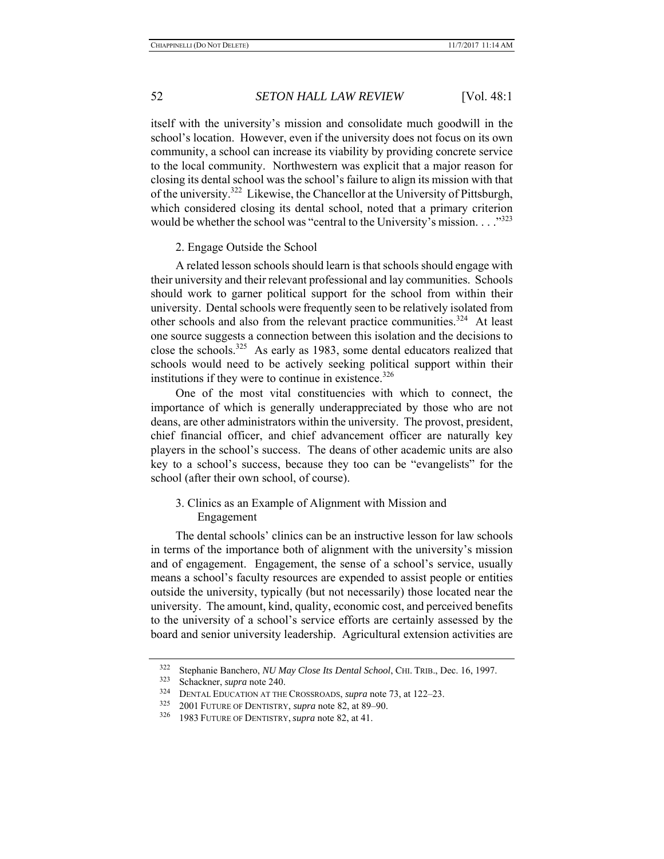itself with the university's mission and consolidate much goodwill in the school's location. However, even if the university does not focus on its own community, a school can increase its viability by providing concrete service to the local community. Northwestern was explicit that a major reason for closing its dental school was the school's failure to align its mission with that of the university.<sup>322</sup> Likewise, the Chancellor at the University of Pittsburgh, which considered closing its dental school, noted that a primary criterion would be whether the school was "central to the University's mission. . . ."323

#### 2. Engage Outside the School

A related lesson schools should learn is that schools should engage with their university and their relevant professional and lay communities. Schools should work to garner political support for the school from within their university. Dental schools were frequently seen to be relatively isolated from other schools and also from the relevant practice communities.<sup>324</sup> At least one source suggests a connection between this isolation and the decisions to close the schools.<sup>325</sup> As early as 1983, some dental educators realized that schools would need to be actively seeking political support within their institutions if they were to continue in existence. $326$ 

One of the most vital constituencies with which to connect, the importance of which is generally underappreciated by those who are not deans, are other administrators within the university. The provost, president, chief financial officer, and chief advancement officer are naturally key players in the school's success. The deans of other academic units are also key to a school's success, because they too can be "evangelists" for the school (after their own school, of course).

## 3. Clinics as an Example of Alignment with Mission and Engagement

The dental schools' clinics can be an instructive lesson for law schools in terms of the importance both of alignment with the university's mission and of engagement. Engagement, the sense of a school's service, usually means a school's faculty resources are expended to assist people or entities outside the university, typically (but not necessarily) those located near the university. The amount, kind, quality, economic cost, and perceived benefits to the university of a school's service efforts are certainly assessed by the board and senior university leadership. Agricultural extension activities are

<sup>322</sup> Stephanie Banchero, *NU May Close Its Dental School*, CHI. TRIB., Dec. 16, 1997.

Schackner, *supra* note 240.

<sup>&</sup>lt;sup>324</sup> DENTAL EDUCATION AT THE CROSSROADS, *supra* note 73, at 122–23.<br><sup>325</sup> 2001 EUTURE OF DENTISTRY, supra note 82, at 80, 00

<sup>325 2001</sup> FUTURE OF DENTISTRY, *supra* note 82, at 89–90.

<sup>326 1983</sup> FUTURE OF DENTISTRY, *supra* note 82, at 41.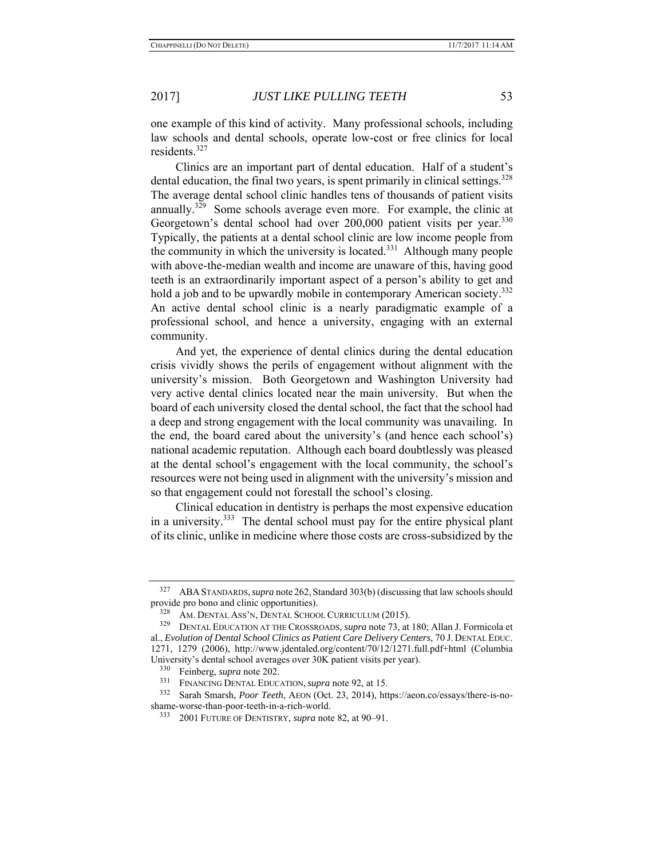one example of this kind of activity. Many professional schools, including law schools and dental schools, operate low-cost or free clinics for local residents.<sup>327</sup>

Clinics are an important part of dental education. Half of a student's dental education, the final two years, is spent primarily in clinical settings.<sup>328</sup> The average dental school clinic handles tens of thousands of patient visits annually.<sup>329</sup> Some schools average even more. For example, the clinic at Georgetown's dental school had over 200,000 patient visits per year.<sup>330</sup> Typically, the patients at a dental school clinic are low income people from the community in which the university is located.<sup>331</sup> Although many people with above-the-median wealth and income are unaware of this, having good teeth is an extraordinarily important aspect of a person's ability to get and hold a job and to be upwardly mobile in contemporary American society.<sup>332</sup> An active dental school clinic is a nearly paradigmatic example of a professional school, and hence a university, engaging with an external community.

And yet, the experience of dental clinics during the dental education crisis vividly shows the perils of engagement without alignment with the university's mission. Both Georgetown and Washington University had very active dental clinics located near the main university. But when the board of each university closed the dental school, the fact that the school had a deep and strong engagement with the local community was unavailing. In the end, the board cared about the university's (and hence each school's) national academic reputation. Although each board doubtlessly was pleased at the dental school's engagement with the local community, the school's resources were not being used in alignment with the university's mission and so that engagement could not forestall the school's closing.

Clinical education in dentistry is perhaps the most expensive education in a university. $333$  The dental school must pay for the entire physical plant of its clinic, unlike in medicine where those costs are cross-subsidized by the

<sup>327</sup> ABA STANDARDS,*supra* note 262, Standard 303(b) (discussing that law schools should provide pro bono and clinic opportunities).<br>
<sup>328</sup> AM DENTAL ASS<sup>2</sup>N DENTAL SCUOC

 $328$  AM. DENTAL ASS'N, DENTAL SCHOOL CURRICULUM (2015).

DENTAL EDUCATION AT THE CROSSROADS, *supra* note 73, at 180; Allan J. Formicola et al., *Evolution of Dental School Clinics as Patient Care Delivery Centers*, 70 J. DENTAL EDUC. 1271, 1279 (2006), http://www.jdentaled.org/content/70/12/1271.full.pdf+html (Columbia University's dental school averages over 30K patient visits per year).

<sup>&</sup>lt;sup>330</sup> Feinberg, *supra* note 202.<br><sup>331</sup> FINANCING DENTAL FOUC

<sup>331</sup> FINANCING DENTAL EDUCATION, *supra* note 92, at 15.

<sup>332</sup> Sarah Smarsh, *Poor Teeth*, AEON (Oct. 23, 2014), https://aeon.co/essays/there-is-noshame-worse-than-poor-teeth-in-a-rich-world.

<sup>333 2001</sup> FUTURE OF DENTISTRY, *supra* note 82, at 90–91.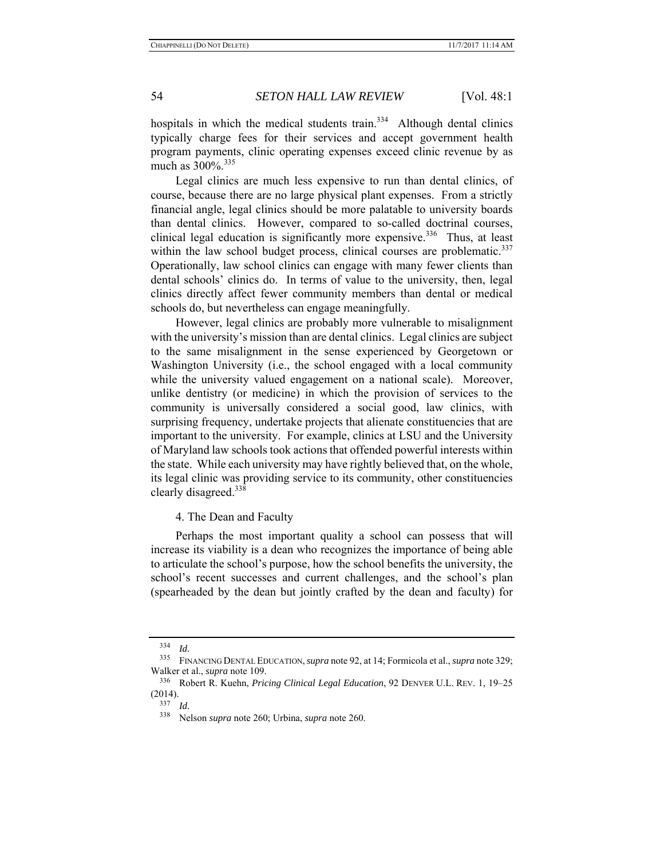hospitals in which the medical students train. $334$  Although dental clinics typically charge fees for their services and accept government health program payments, clinic operating expenses exceed clinic revenue by as much as  $300\%$ <sup>335</sup>

Legal clinics are much less expensive to run than dental clinics, of course, because there are no large physical plant expenses. From a strictly financial angle, legal clinics should be more palatable to university boards than dental clinics. However, compared to so-called doctrinal courses, clinical legal education is significantly more expensive.<sup>336</sup> Thus, at least within the law school budget process, clinical courses are problematic. $337$ Operationally, law school clinics can engage with many fewer clients than dental schools' clinics do. In terms of value to the university, then, legal clinics directly affect fewer community members than dental or medical schools do, but nevertheless can engage meaningfully.

However, legal clinics are probably more vulnerable to misalignment with the university's mission than are dental clinics. Legal clinics are subject to the same misalignment in the sense experienced by Georgetown or Washington University (i.e., the school engaged with a local community while the university valued engagement on a national scale). Moreover, unlike dentistry (or medicine) in which the provision of services to the community is universally considered a social good, law clinics, with surprising frequency, undertake projects that alienate constituencies that are important to the university. For example, clinics at LSU and the University of Maryland law schools took actions that offended powerful interests within the state. While each university may have rightly believed that, on the whole, its legal clinic was providing service to its community, other constituencies clearly disagreed.<sup>338</sup>

#### 4. The Dean and Faculty

Perhaps the most important quality a school can possess that will increase its viability is a dean who recognizes the importance of being able to articulate the school's purpose, how the school benefits the university, the school's recent successes and current challenges, and the school's plan (spearheaded by the dean but jointly crafted by the dean and faculty) for

<sup>334</sup>*Id.* 335 FINANCING DENTAL EDUCATION,*supra* note 92, at 14; Formicola et al., *supra* note 329; Walker et al., *supra* note 109.

<sup>336</sup> Robert R. Kuehn, *Pricing Clinical Legal Education*, 92 DENVER U.L. REV. 1, 19–25  $(2014).$ <sup>337</sup> Id.

<sup>337</sup>*Id.* 338 Nelson *supra* note 260; Urbina, *supra* note 260.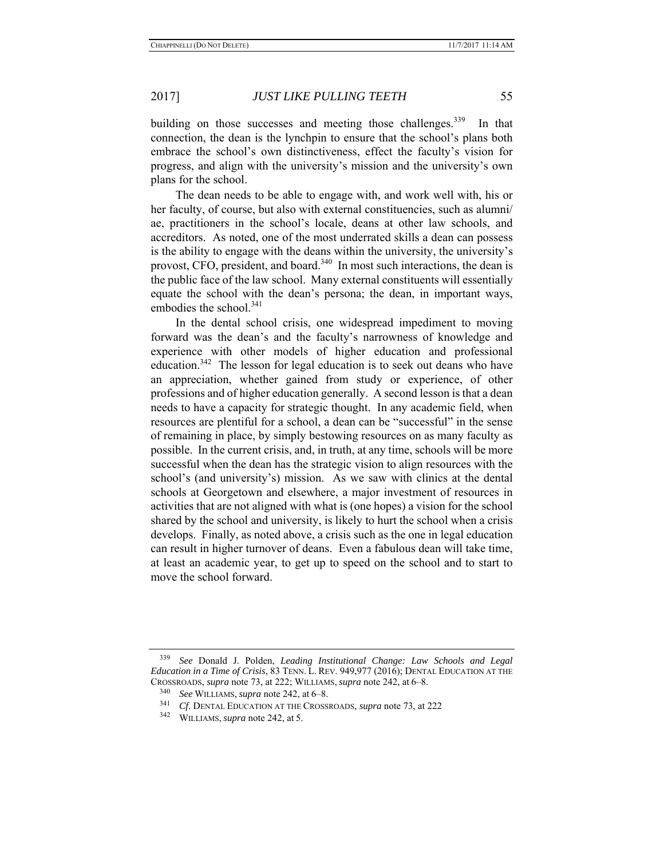plans for the school.

# 2017] *JUST LIKE PULLING TEETH* 55

building on those successes and meeting those challenges.<sup>339</sup> In that connection, the dean is the lynchpin to ensure that the school's plans both embrace the school's own distinctiveness, effect the faculty's vision for

The dean needs to be able to engage with, and work well with, his or her faculty, of course, but also with external constituencies, such as alumni/ ae, practitioners in the school's locale, deans at other law schools, and accreditors. As noted, one of the most underrated skills a dean can possess is the ability to engage with the deans within the university, the university's provost, CFO, president, and board.<sup>340</sup> In most such interactions, the dean is the public face of the law school. Many external constituents will essentially equate the school with the dean's persona; the dean, in important ways, embodies the school.<sup>341</sup>

progress, and align with the university's mission and the university's own

In the dental school crisis, one widespread impediment to moving forward was the dean's and the faculty's narrowness of knowledge and experience with other models of higher education and professional education.<sup>342</sup> The lesson for legal education is to seek out deans who have an appreciation, whether gained from study or experience, of other professions and of higher education generally. A second lesson is that a dean needs to have a capacity for strategic thought. In any academic field, when resources are plentiful for a school, a dean can be "successful" in the sense of remaining in place, by simply bestowing resources on as many faculty as possible. In the current crisis, and, in truth, at any time, schools will be more successful when the dean has the strategic vision to align resources with the school's (and university's) mission. As we saw with clinics at the dental schools at Georgetown and elsewhere, a major investment of resources in activities that are not aligned with what is (one hopes) a vision for the school shared by the school and university, is likely to hurt the school when a crisis develops. Finally, as noted above, a crisis such as the one in legal education can result in higher turnover of deans. Even a fabulous dean will take time, at least an academic year, to get up to speed on the school and to start to move the school forward.

<sup>339</sup> *See* Donald J. Polden, *Leading Institutional Change: Law Schools and Legal Education in a Time of Crisis*, 83 TENN. L. REV. 949,977 (2016); DENTAL EDUCATION AT THE CROSSROADS, *supra* note 73, at 222; WILLIAMS, *supra* note 242, at 6–8.

<sup>340</sup> *See* WILLIAMS, *supra* note 242, at 6–8.

<sup>341</sup> *Cf*. DENTAL EDUCATION AT THE CROSSROADS, *supra* note 73, at 222

<sup>342</sup> WILLIAMS, *supra* note 242, at 5.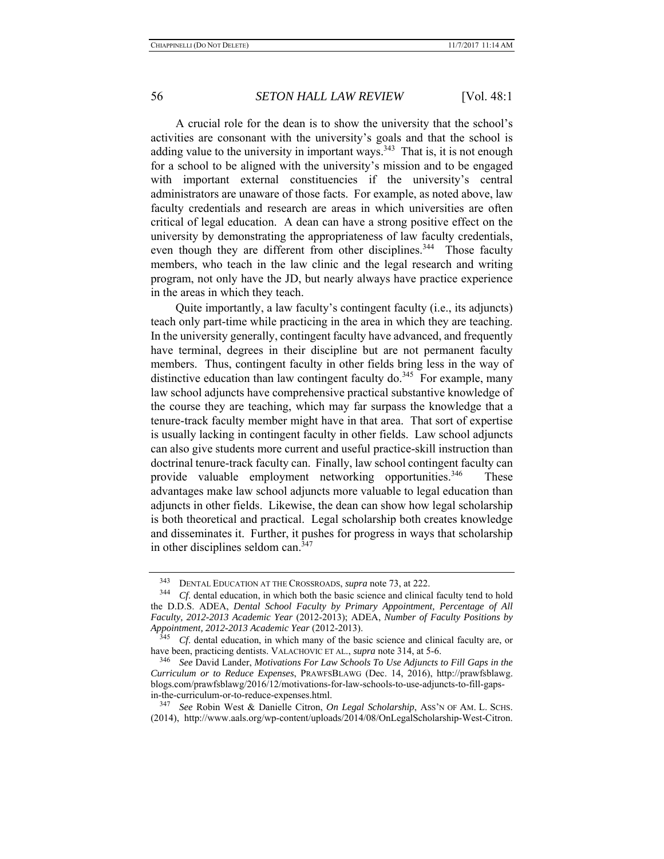A crucial role for the dean is to show the university that the school's activities are consonant with the university's goals and that the school is adding value to the university in important ways.<sup>343</sup> That is, it is not enough for a school to be aligned with the university's mission and to be engaged with important external constituencies if the university's central administrators are unaware of those facts. For example, as noted above, law faculty credentials and research are areas in which universities are often critical of legal education. A dean can have a strong positive effect on the university by demonstrating the appropriateness of law faculty credentials, even though they are different from other disciplines.<sup>344</sup> Those faculty members, who teach in the law clinic and the legal research and writing program, not only have the JD, but nearly always have practice experience in the areas in which they teach.

Quite importantly, a law faculty's contingent faculty (i.e., its adjuncts) teach only part-time while practicing in the area in which they are teaching. In the university generally, contingent faculty have advanced, and frequently have terminal, degrees in their discipline but are not permanent faculty members. Thus, contingent faculty in other fields bring less in the way of distinctive education than law contingent faculty do.<sup>345</sup> For example, many law school adjuncts have comprehensive practical substantive knowledge of the course they are teaching, which may far surpass the knowledge that a tenure-track faculty member might have in that area. That sort of expertise is usually lacking in contingent faculty in other fields. Law school adjuncts can also give students more current and useful practice-skill instruction than doctrinal tenure-track faculty can. Finally, law school contingent faculty can provide valuable employment networking opportunities.<sup>346</sup> These advantages make law school adjuncts more valuable to legal education than adjuncts in other fields. Likewise, the dean can show how legal scholarship is both theoretical and practical. Legal scholarship both creates knowledge and disseminates it. Further, it pushes for progress in ways that scholarship in other disciplines seldom can.<sup>347</sup>

<sup>&</sup>lt;sup>343</sup> DENTAL EDUCATION AT THE CROSSROADS, *supra* note 73, at 222.<br><sup>344</sup> Cf dental education in which both the basic science and clinical

Cf. dental education, in which both the basic science and clinical faculty tend to hold the D.D.S. ADEA, *Dental School Faculty by Primary Appointment, Percentage of All Faculty, 2012-2013 Academic Year* (2012-2013); ADEA, *Number of Faculty Positions by Appointment, 2012-2013 Academic Year* (2012-2013).

<sup>345</sup> *Cf*. dental education, in which many of the basic science and clinical faculty are, or have been, practicing dentists. VALACHOVIC ET AL., *supra* note 314, at 5-6.

<sup>346</sup> *See* David Lander, *Motivations For Law Schools To Use Adjuncts to Fill Gaps in the Curriculum or to Reduce Expenses*, PRAWFSBLAWG (Dec. 14, 2016), http://prawfsblawg. blogs.com/prawfsblawg/2016/12/motivations-for-law-schools-to-use-adjuncts-to-fill-gapsin-the-curriculum-or-to-reduce-expenses.html.

<sup>347</sup> *See* Robin West & Danielle Citron, *On Legal Scholarship*, ASS'N OF AM. L. SCHS. (2014), http://www.aals.org/wp-content/uploads/2014/08/OnLegalScholarship-West-Citron.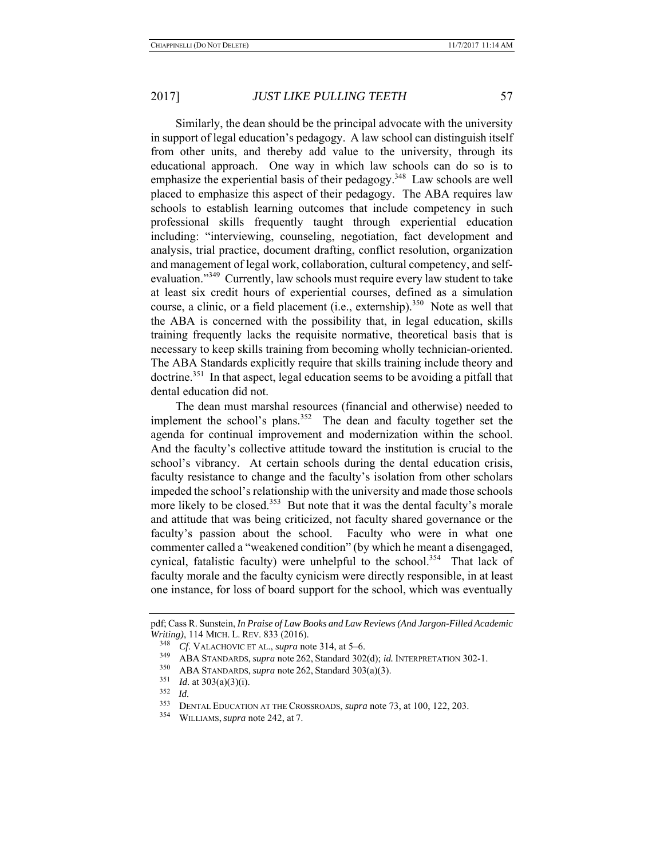Similarly, the dean should be the principal advocate with the university in support of legal education's pedagogy. A law school can distinguish itself from other units, and thereby add value to the university, through its educational approach. One way in which law schools can do so is to emphasize the experiential basis of their pedagogy.<sup>348</sup> Law schools are well placed to emphasize this aspect of their pedagogy. The ABA requires law schools to establish learning outcomes that include competency in such professional skills frequently taught through experiential education including: "interviewing, counseling, negotiation, fact development and analysis, trial practice, document drafting, conflict resolution, organization and management of legal work, collaboration, cultural competency, and selfevaluation."<sup>349</sup> Currently, law schools must require every law student to take at least six credit hours of experiential courses, defined as a simulation course, a clinic, or a field placement (i.e., externship).<sup>350</sup> Note as well that the ABA is concerned with the possibility that, in legal education, skills training frequently lacks the requisite normative, theoretical basis that is necessary to keep skills training from becoming wholly technician-oriented. The ABA Standards explicitly require that skills training include theory and doctrine.<sup>351</sup> In that aspect, legal education seems to be avoiding a pitfall that dental education did not.

The dean must marshal resources (financial and otherwise) needed to implement the school's plans.<sup>352</sup> The dean and faculty together set the agenda for continual improvement and modernization within the school. And the faculty's collective attitude toward the institution is crucial to the school's vibrancy. At certain schools during the dental education crisis, faculty resistance to change and the faculty's isolation from other scholars impeded the school's relationship with the university and made those schools more likely to be closed.<sup>353</sup> But note that it was the dental faculty's morale and attitude that was being criticized, not faculty shared governance or the faculty's passion about the school. Faculty who were in what one commenter called a "weakened condition" (by which he meant a disengaged, cynical, fatalistic faculty) were unhelpful to the school.<sup>354</sup> That lack of faculty morale and the faculty cynicism were directly responsible, in at least one instance, for loss of board support for the school, which was eventually

pdf; Cass R. Sunstein, *In Praise of Law Books and Law Reviews (And Jargon-Filled Academic Writing)*, 114 MICH. L. REV. 833 (2016).

<sup>348</sup> *Cf*. VALACHOVIC ET AL., *supra* note 314, at 5–6.

<sup>349</sup> ABA STANDARDS, *supra* note 262, Standard 302(d); *id.* INTERPRETATION 302-1.

<sup>&</sup>lt;sup>350</sup> ABA STANDARDS, *supra* note 262, Standard 303(a)(3).<br><sup>351</sup> *M*<sub>a</sub> at 202(a)(2)(3)

*Id.* at 303(a)(3)(i).

<sup>&</sup>lt;sup>352</sup> *Id.* DENTAL EDUCATION AT THE CROSSROADS, *supra* note 73, at 100, 122, 203.<br><sup>354</sup> WILLIAMS, *supra* note 242, at 7

<sup>354</sup> WILLIAMS, *supra* note 242, at 7.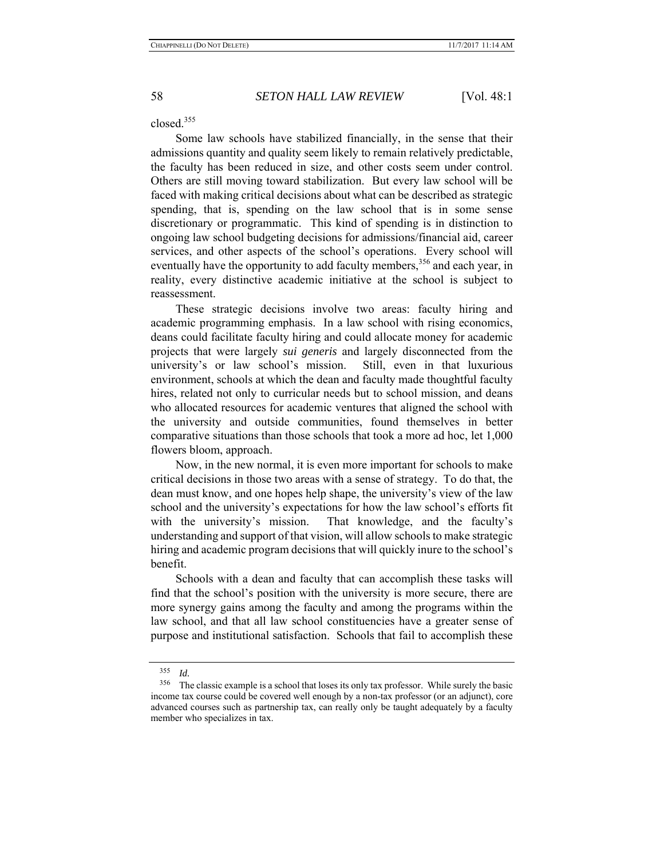closed.<sup>355</sup>

Some law schools have stabilized financially, in the sense that their admissions quantity and quality seem likely to remain relatively predictable, the faculty has been reduced in size, and other costs seem under control. Others are still moving toward stabilization. But every law school will be faced with making critical decisions about what can be described as strategic spending, that is, spending on the law school that is in some sense discretionary or programmatic. This kind of spending is in distinction to ongoing law school budgeting decisions for admissions/financial aid, career services, and other aspects of the school's operations. Every school will eventually have the opportunity to add faculty members,<sup>356</sup> and each year, in reality, every distinctive academic initiative at the school is subject to reassessment.

These strategic decisions involve two areas: faculty hiring and academic programming emphasis. In a law school with rising economics, deans could facilitate faculty hiring and could allocate money for academic projects that were largely *sui generis* and largely disconnected from the university's or law school's mission. Still, even in that luxurious environment, schools at which the dean and faculty made thoughtful faculty hires, related not only to curricular needs but to school mission, and deans who allocated resources for academic ventures that aligned the school with the university and outside communities, found themselves in better comparative situations than those schools that took a more ad hoc, let 1,000 flowers bloom, approach.

Now, in the new normal, it is even more important for schools to make critical decisions in those two areas with a sense of strategy. To do that, the dean must know, and one hopes help shape, the university's view of the law school and the university's expectations for how the law school's efforts fit with the university's mission. That knowledge, and the faculty's understanding and support of that vision, will allow schools to make strategic hiring and academic program decisions that will quickly inure to the school's benefit.

Schools with a dean and faculty that can accomplish these tasks will find that the school's position with the university is more secure, there are more synergy gains among the faculty and among the programs within the law school, and that all law school constituencies have a greater sense of purpose and institutional satisfaction. Schools that fail to accomplish these

<sup>355</sup>*Id.* 356 The classic example is a school that loses its only tax professor. While surely the basic income tax course could be covered well enough by a non-tax professor (or an adjunct), core advanced courses such as partnership tax, can really only be taught adequately by a faculty member who specializes in tax.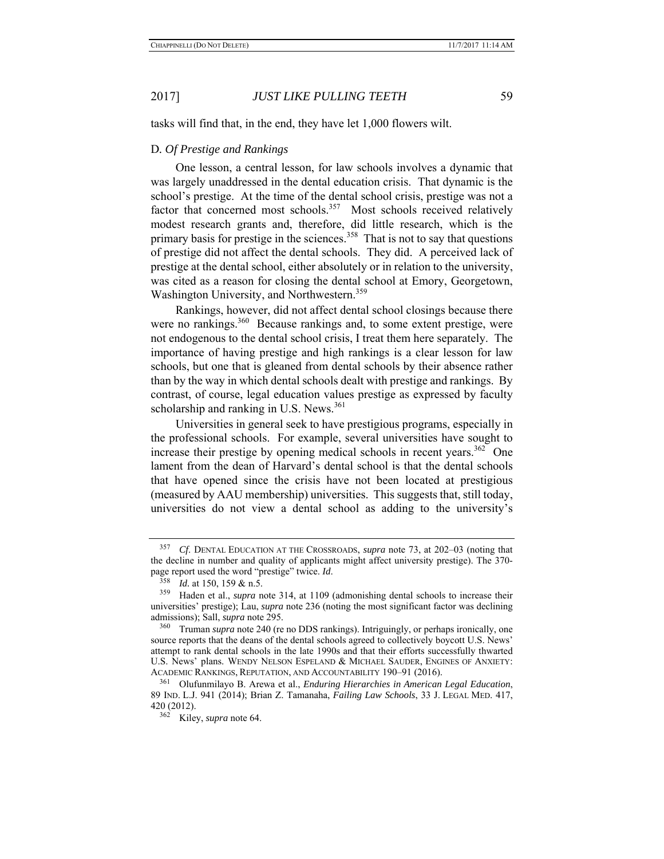tasks will find that, in the end, they have let 1,000 flowers wilt.

### D*. Of Prestige and Rankings*

One lesson, a central lesson, for law schools involves a dynamic that was largely unaddressed in the dental education crisis. That dynamic is the school's prestige. At the time of the dental school crisis, prestige was not a factor that concerned most schools.<sup>357</sup> Most schools received relatively modest research grants and, therefore, did little research, which is the primary basis for prestige in the sciences.<sup>358</sup> That is not to say that questions of prestige did not affect the dental schools. They did. A perceived lack of prestige at the dental school, either absolutely or in relation to the university, was cited as a reason for closing the dental school at Emory, Georgetown, Washington University, and Northwestern.<sup>359</sup>

Rankings, however, did not affect dental school closings because there were no rankings.<sup>360</sup> Because rankings and, to some extent prestige, were not endogenous to the dental school crisis, I treat them here separately. The importance of having prestige and high rankings is a clear lesson for law schools, but one that is gleaned from dental schools by their absence rather than by the way in which dental schools dealt with prestige and rankings. By contrast, of course, legal education values prestige as expressed by faculty scholarship and ranking in U.S. News.<sup>361</sup>

Universities in general seek to have prestigious programs, especially in the professional schools. For example, several universities have sought to increase their prestige by opening medical schools in recent years.<sup>362</sup> One lament from the dean of Harvard's dental school is that the dental schools that have opened since the crisis have not been located at prestigious (measured by AAU membership) universities. This suggests that, still today, universities do not view a dental school as adding to the university's

<sup>357</sup> *Cf*. DENTAL EDUCATION AT THE CROSSROADS, *supra* note 73, at 202–03 (noting that the decline in number and quality of applicants might affect university prestige). The 370 page report used the word "prestige" twice. *Id*. 358 *Id.* at 150, 159 & n.5.

<sup>359</sup> Haden et al., *supra* note 314, at 1109 (admonishing dental schools to increase their universities' prestige); Lau, *supra* note 236 (noting the most significant factor was declining admissions); Sall, *supra* note 295.

<sup>&</sup>lt;sup>360</sup> Truman *supra* note 240 (re no DDS rankings). Intriguingly, or perhaps ironically, one source reports that the deans of the dental schools agreed to collectively boycott U.S. News' attempt to rank dental schools in the late 1990s and that their efforts successfully thwarted U.S. News' plans. WENDY NELSON ESPELAND & MICHAEL SAUDER, ENGINES OF ANXIETY: ACADEMIC RANKINGS, REPUTATION, AND ACCOUNTABILITY 190–91 (2016).

<sup>361</sup> Olufunmilayo B. Arewa et al., *Enduring Hierarchies in American Legal Education*, 89 IND. L.J. 941 (2014); Brian Z. Tamanaha, *Failing Law Schools*, 33 J. LEGAL MED. 417, 420 (2012).

<sup>362</sup> Kiley, *supra* note 64.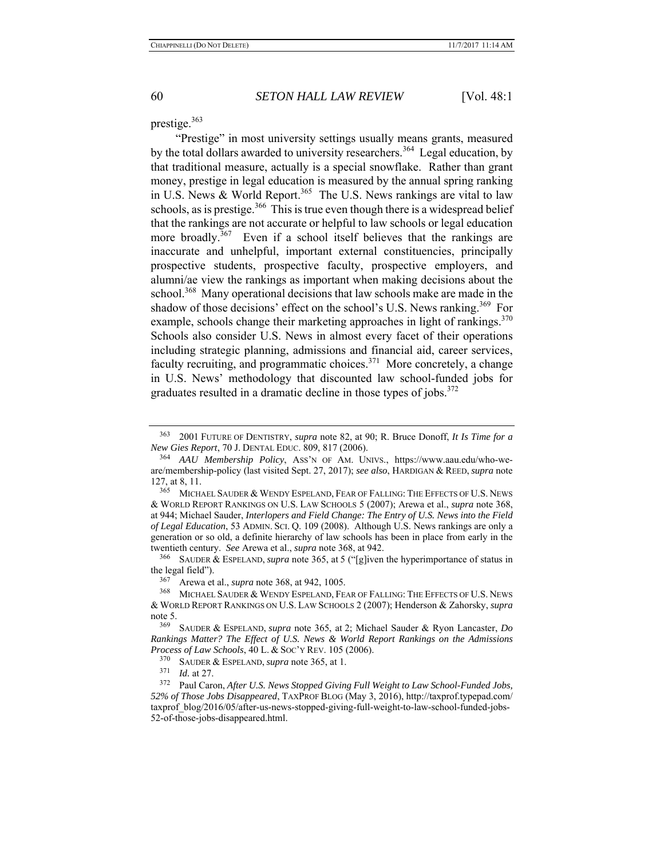#### prestige.<sup>363</sup>

"Prestige" in most university settings usually means grants, measured by the total dollars awarded to university researchers.<sup>364</sup> Legal education, by that traditional measure, actually is a special snowflake. Rather than grant money, prestige in legal education is measured by the annual spring ranking in U.S. News & World Report.<sup>365</sup> The U.S. News rankings are vital to law schools, as is prestige.<sup>366</sup> This is true even though there is a widespread belief that the rankings are not accurate or helpful to law schools or legal education more broadly.<sup>367</sup> Even if a school itself believes that the rankings are inaccurate and unhelpful, important external constituencies, principally prospective students, prospective faculty, prospective employers, and alumni/ae view the rankings as important when making decisions about the school.<sup>368</sup> Many operational decisions that law schools make are made in the shadow of those decisions' effect on the school's U.S. News ranking.<sup>369</sup> For example, schools change their marketing approaches in light of rankings.<sup>370</sup> Schools also consider U.S. News in almost every facet of their operations including strategic planning, admissions and financial aid, career services, faculty recruiting, and programmatic choices.<sup>371</sup> More concretely, a change in U.S. News' methodology that discounted law school-funded jobs for graduates resulted in a dramatic decline in those types of jobs.<sup>372</sup>

366 SAUDER & ESPELAND, *supra* note 365, at 5 ("[g]iven the hyperimportance of status in the legal field").

<sup>367</sup> Arewa et al., *supra* note 368, at 942, 1005.<br><sup>368</sup> MICHAEL SAUDER & WENDY ESPELAND FE.

MICHAEL SAUDER & WENDY ESPELAND, FEAR OF FALLING: THE EFFECTS OF U.S. NEWS & WORLD REPORT RANKINGS ON U.S. LAW SCHOOLS 2 (2007); Henderson & Zahorsky, *supra* note 5.<br> $\frac{369}{}$ 

<sup>363 2001</sup> FUTURE OF DENTISTRY, *supra* note 82, at 90; R. Bruce Donoff, *It Is Time for a New Gies Report*, 70 J. DENTAL EDUC. 809, 817 (2006).

<sup>364</sup> *AAU Membership Policy*, ASS'N OF AM. UNIVS., https://www.aau.edu/who-weare/membership-policy (last visited Sept. 27, 2017); *see also*, HARDIGAN & REED, *supra* note 127, at 8, 11.

<sup>365</sup> MICHAEL SAUDER & WENDY ESPELAND, FEAR OF FALLING: THE EFFECTS OF U.S. NEWS & WORLD REPORT RANKINGS ON U.S. LAW SCHOOLS 5 (2007); Arewa et al., *supra* note 368, at 944; Michael Sauder, *Interlopers and Field Change: The Entry of U.S. News into the Field of Legal Education*, 53 ADMIN. SCI. Q. 109 (2008). Although U.S. News rankings are only a generation or so old, a definite hierarchy of law schools has been in place from early in the twentieth century. *See* Arewa et al., *supra* note 368, at 942.

<sup>369</sup> SAUDER & ESPELAND, *supra* note 365, at 2; Michael Sauder & Ryon Lancaster, *Do Rankings Matter? The Effect of U.S. News & World Report Rankings on the Admissions Process of Law Schools*, 40 L. & SOC'Y REV. 105 (2006).

<sup>&</sup>lt;sup>370</sup> SAUDER & ESPELAND, *supra* note 365, at 1.<br><sup>371</sup>  $\frac{1}{2}$  d 27

*Id.* at 27.

<sup>372</sup> Paul Caron, *After U.S. News Stopped Giving Full Weight to Law School-Funded Jobs, 52% of Those Jobs Disappeared*, TAXPROF BLOG (May 3, 2016), http://taxprof.typepad.com/ taxprof\_blog/2016/05/after-us-news-stopped-giving-full-weight-to-law-school-funded-jobs-52-of-those-jobs-disappeared.html.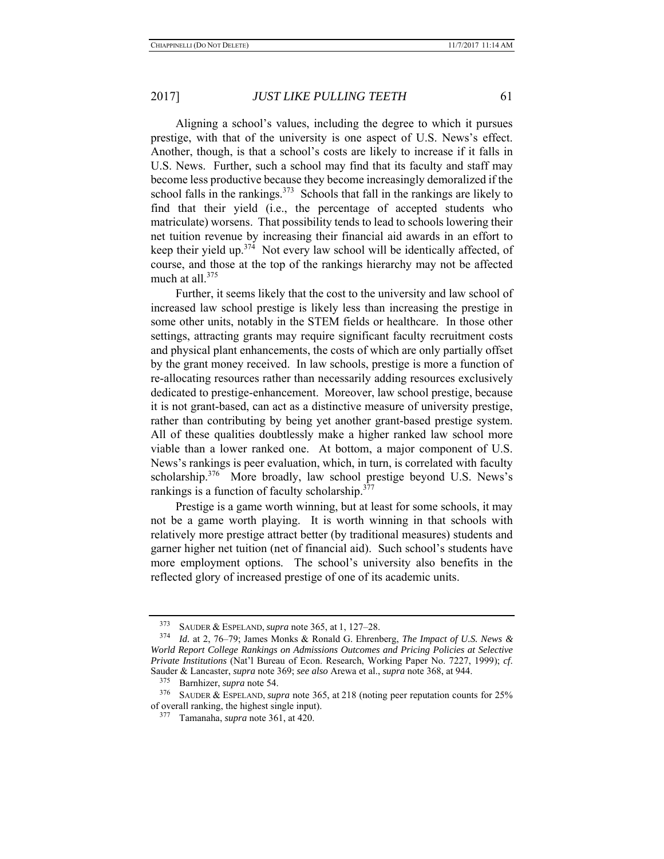Aligning a school's values, including the degree to which it pursues prestige, with that of the university is one aspect of U.S. News's effect. Another, though, is that a school's costs are likely to increase if it falls in U.S. News. Further, such a school may find that its faculty and staff may become less productive because they become increasingly demoralized if the school falls in the rankings. $373$  Schools that fall in the rankings are likely to find that their yield (i.e., the percentage of accepted students who matriculate) worsens. That possibility tends to lead to schools lowering their net tuition revenue by increasing their financial aid awards in an effort to keep their yield up.<sup>374</sup> Not every law school will be identically affected, of course, and those at the top of the rankings hierarchy may not be affected much at all.<sup>375</sup>

Further, it seems likely that the cost to the university and law school of increased law school prestige is likely less than increasing the prestige in some other units, notably in the STEM fields or healthcare. In those other settings, attracting grants may require significant faculty recruitment costs and physical plant enhancements, the costs of which are only partially offset by the grant money received. In law schools, prestige is more a function of re-allocating resources rather than necessarily adding resources exclusively dedicated to prestige-enhancement. Moreover, law school prestige, because it is not grant-based, can act as a distinctive measure of university prestige, rather than contributing by being yet another grant-based prestige system. All of these qualities doubtlessly make a higher ranked law school more viable than a lower ranked one. At bottom, a major component of U.S. News's rankings is peer evaluation, which, in turn, is correlated with faculty scholarship.<sup>376</sup> More broadly, law school prestige beyond U.S. News's rankings is a function of faculty scholarship.<sup>377</sup>

Prestige is a game worth winning, but at least for some schools, it may not be a game worth playing. It is worth winning in that schools with relatively more prestige attract better (by traditional measures) students and garner higher net tuition (net of financial aid). Such school's students have more employment options. The school's university also benefits in the reflected glory of increased prestige of one of its academic units.

<sup>373</sup> SAUDER & ESPELAND, *supra* note 365, at 1, 127–28.

<sup>374</sup> *Id.* at 2, 76–79; James Monks & Ronald G. Ehrenberg, *The Impact of U.S. News & World Report College Rankings on Admissions Outcomes and Pricing Policies at Selective Private Institutions* (Nat'l Bureau of Econ. Research, Working Paper No. 7227, 1999); *cf*. Sauder & Lancaster, *supra* note 369; *see also* Arewa et al., *supra* note 368, at 944.

 $^{375}$  Barnhizer, *supra* note 54.

SAUDER & ESPELAND, *supra* note 365, at 218 (noting peer reputation counts for 25% of overall ranking, the highest single input).

<sup>377</sup> Tamanaha, *supra* note 361, at 420.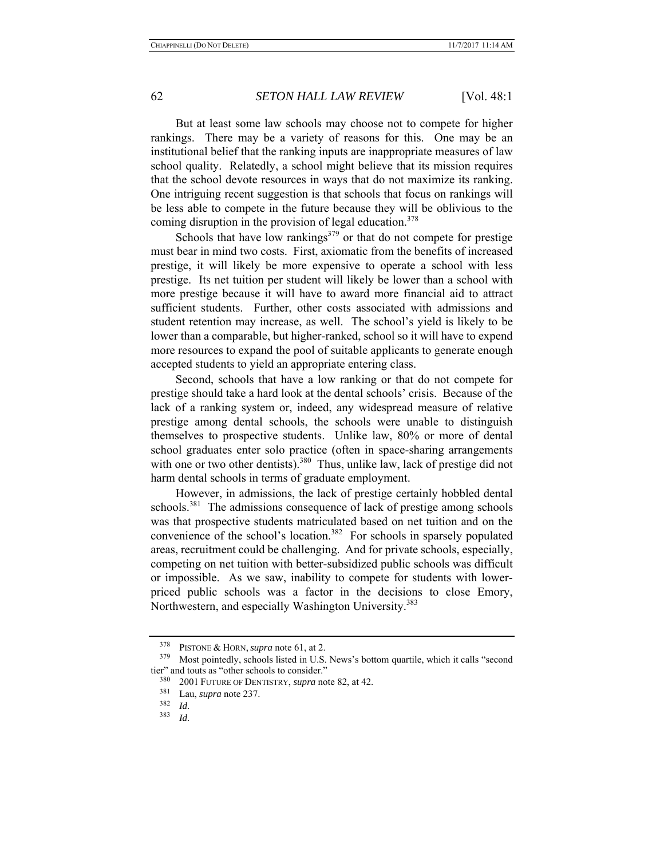But at least some law schools may choose not to compete for higher rankings. There may be a variety of reasons for this. One may be an institutional belief that the ranking inputs are inappropriate measures of law school quality. Relatedly, a school might believe that its mission requires that the school devote resources in ways that do not maximize its ranking. One intriguing recent suggestion is that schools that focus on rankings will be less able to compete in the future because they will be oblivious to the coming disruption in the provision of legal education.<sup>378</sup>

Schools that have low rankings $379$  or that do not compete for prestige must bear in mind two costs. First, axiomatic from the benefits of increased prestige, it will likely be more expensive to operate a school with less prestige. Its net tuition per student will likely be lower than a school with more prestige because it will have to award more financial aid to attract sufficient students. Further, other costs associated with admissions and student retention may increase, as well. The school's yield is likely to be lower than a comparable, but higher-ranked, school so it will have to expend more resources to expand the pool of suitable applicants to generate enough accepted students to yield an appropriate entering class.

Second, schools that have a low ranking or that do not compete for prestige should take a hard look at the dental schools' crisis. Because of the lack of a ranking system or, indeed, any widespread measure of relative prestige among dental schools, the schools were unable to distinguish themselves to prospective students. Unlike law, 80% or more of dental school graduates enter solo practice (often in space-sharing arrangements with one or two other dentists).<sup>380</sup> Thus, unlike law, lack of prestige did not harm dental schools in terms of graduate employment.

However, in admissions, the lack of prestige certainly hobbled dental schools.<sup>381</sup> The admissions consequence of lack of prestige among schools was that prospective students matriculated based on net tuition and on the convenience of the school's location.<sup>382</sup> For schools in sparsely populated areas, recruitment could be challenging. And for private schools, especially, competing on net tuition with better-subsidized public schools was difficult or impossible. As we saw, inability to compete for students with lowerpriced public schools was a factor in the decisions to close Emory, Northwestern, and especially Washington University.<sup>383</sup>

<sup>&</sup>lt;sup>378</sup> PISTONE & HORN, *supra* note 61, at 2.<br><sup>379</sup> Most pointedly schools listed in U.S.

Most pointedly, schools listed in U.S. News's bottom quartile, which it calls "second tier" and touts as "other schools to consider."

<sup>380 2001</sup> FUTURE OF DENTISTRY, *supra* note 82, at 42.

 $\frac{381}{382}$  Lau, *supra* note 237.

<sup>382</sup>*Id.* 383 *Id.*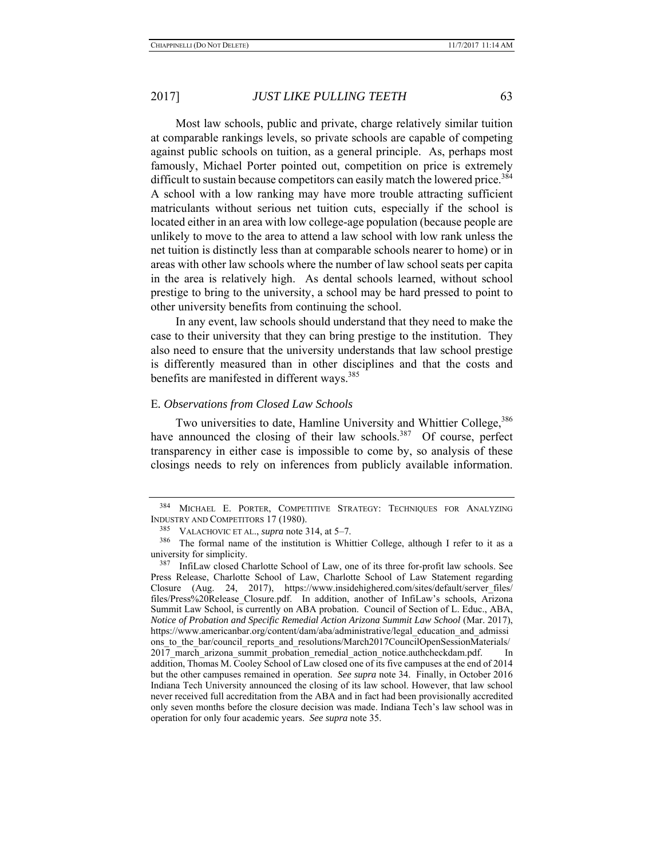Most law schools, public and private, charge relatively similar tuition at comparable rankings levels, so private schools are capable of competing against public schools on tuition, as a general principle. As, perhaps most famously, Michael Porter pointed out, competition on price is extremely difficult to sustain because competitors can easily match the lowered price.<sup>384</sup> A school with a low ranking may have more trouble attracting sufficient matriculants without serious net tuition cuts, especially if the school is located either in an area with low college-age population (because people are unlikely to move to the area to attend a law school with low rank unless the net tuition is distinctly less than at comparable schools nearer to home) or in areas with other law schools where the number of law school seats per capita in the area is relatively high. As dental schools learned, without school prestige to bring to the university, a school may be hard pressed to point to other university benefits from continuing the school.

In any event, law schools should understand that they need to make the case to their university that they can bring prestige to the institution. They also need to ensure that the university understands that law school prestige is differently measured than in other disciplines and that the costs and benefits are manifested in different ways.<sup>385</sup>

### E*. Observations from Closed Law Schools*

Two universities to date, Hamline University and Whittier College, <sup>386</sup> have announced the closing of their law schools.<sup>387</sup> Of course, perfect transparency in either case is impossible to come by, so analysis of these closings needs to rely on inferences from publicly available information.

<sup>384</sup> MICHAEL E. PORTER, COMPETITIVE STRATEGY: TECHNIQUES FOR ANALYZING INDUSTRY AND COMPETITORS 17 (1980).

<sup>385</sup> VALACHOVIC ET AL., *supra* note 314, at 5–7.

<sup>386</sup> The formal name of the institution is Whittier College, although I refer to it as a university for simplicity.

<sup>387</sup> InfiLaw closed Charlotte School of Law, one of its three for-profit law schools. See Press Release, Charlotte School of Law, Charlotte School of Law Statement regarding Closure (Aug. 24, 2017), https://www.insidehighered.com/sites/default/server\_files/ files/Press%20Release\_Closure.pdf. In addition, another of InfiLaw's schools, Arizona Summit Law School, is currently on ABA probation. Council of Section of L. Educ., ABA, *Notice of Probation and Specific Remedial Action Arizona Summit Law School* (Mar. 2017), https://www.americanbar.org/content/dam/aba/administrative/legal\_education\_and\_admissi ons to the bar/council reports and resolutions/March2017CouncilOpenSessionMaterials/ 2017 march arizona summit probation remedial action notice.authcheckdam.pdf. In addition, Thomas M. Cooley School of Law closed one of its five campuses at the end of 2014 but the other campuses remained in operation. *See supra* note 34. Finally, in October 2016 Indiana Tech University announced the closing of its law school. However, that law school never received full accreditation from the ABA and in fact had been provisionally accredited only seven months before the closure decision was made. Indiana Tech's law school was in operation for only four academic years. *See supra* note 35.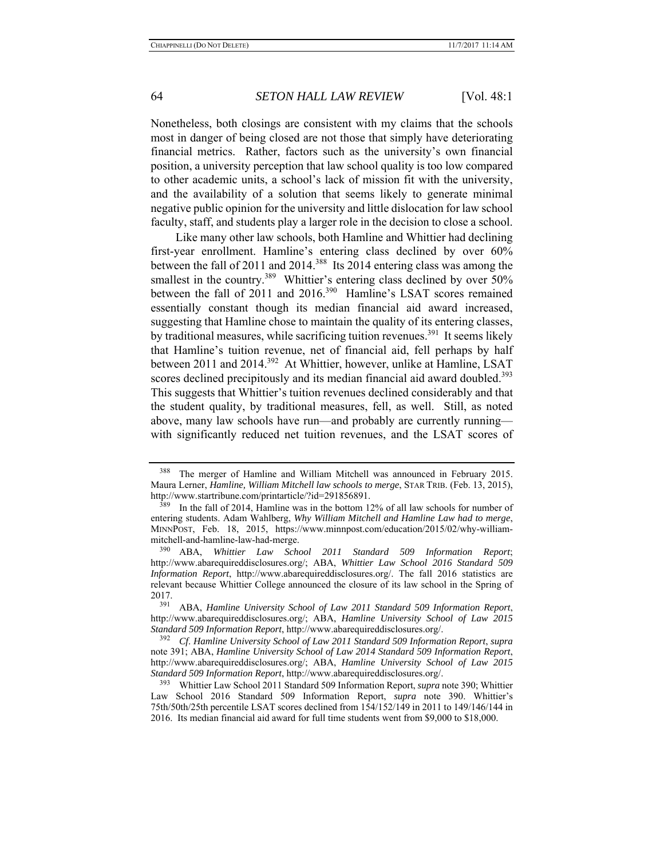Nonetheless, both closings are consistent with my claims that the schools most in danger of being closed are not those that simply have deteriorating financial metrics. Rather, factors such as the university's own financial position, a university perception that law school quality is too low compared to other academic units, a school's lack of mission fit with the university, and the availability of a solution that seems likely to generate minimal negative public opinion for the university and little dislocation for law school faculty, staff, and students play a larger role in the decision to close a school.

Like many other law schools, both Hamline and Whittier had declining first-year enrollment. Hamline's entering class declined by over 60% between the fall of 2011 and 2014.<sup>388</sup> Its 2014 entering class was among the smallest in the country.<sup>389</sup> Whittier's entering class declined by over 50% between the fall of 2011 and 2016.<sup>390</sup> Hamline's LSAT scores remained essentially constant though its median financial aid award increased, suggesting that Hamline chose to maintain the quality of its entering classes, by traditional measures, while sacrificing tuition revenues.<sup>391</sup> It seems likely that Hamline's tuition revenue, net of financial aid, fell perhaps by half between 2011 and 2014.<sup>392</sup> At Whittier, however, unlike at Hamline, LSAT scores declined precipitously and its median financial aid award doubled.<sup>393</sup> This suggests that Whittier's tuition revenues declined considerably and that the student quality, by traditional measures, fell, as well. Still, as noted above, many law schools have run—and probably are currently running with significantly reduced net tuition revenues, and the LSAT scores of

<sup>&</sup>lt;sup>388</sup> The merger of Hamline and William Mitchell was announced in February 2015. Maura Lerner, *Hamline, William Mitchell law schools to merge*, STAR TRIB. (Feb. 13, 2015), http://www.startribune.com/printarticle/?id=291856891.

 $389$  In the fall of 2014, Hamline was in the bottom 12% of all law schools for number of entering students. Adam Wahlberg, *Why William Mitchell and Hamline Law had to merge*, MINNPOST, Feb. 18, 2015, https://www.minnpost.com/education/2015/02/why-williammitchell-and-hamline-law-had-merge.

<sup>390</sup> ABA, *Whittier Law School 2011 Standard 509 Information Report*; http://www.abarequireddisclosures.org/; ABA, *Whittier Law School 2016 Standard 509 Information Report*, http://www.abarequireddisclosures.org/. The fall 2016 statistics are relevant because Whittier College announced the closure of its law school in the Spring of  $2017.$ <sub>391</sub>

<sup>391</sup> ABA, *Hamline University School of Law 2011 Standard 509 Information Report*, http://www.abarequireddisclosures.org/; ABA, *Hamline University School of Law 2015 Standard 509 Information Report*, http://www.abarequireddisclosures.org/.

<sup>392</sup> *Cf*. *Hamline University School of Law 2011 Standard 509 Information Report*, *supra* note 391; ABA, *Hamline University School of Law 2014 Standard 509 Information Report*, http://www.abarequireddisclosures.org/; ABA, *Hamline University School of Law 2015 Standard 509 Information Report*, http://www.abarequireddisclosures.org/.

<sup>393</sup> Whittier Law School 2011 Standard 509 Information Report, *supra* note 390; Whittier Law School 2016 Standard 509 Information Report, *supra* note 390. Whittier's 75th/50th/25th percentile LSAT scores declined from 154/152/149 in 2011 to 149/146/144 in 2016. Its median financial aid award for full time students went from \$9,000 to \$18,000.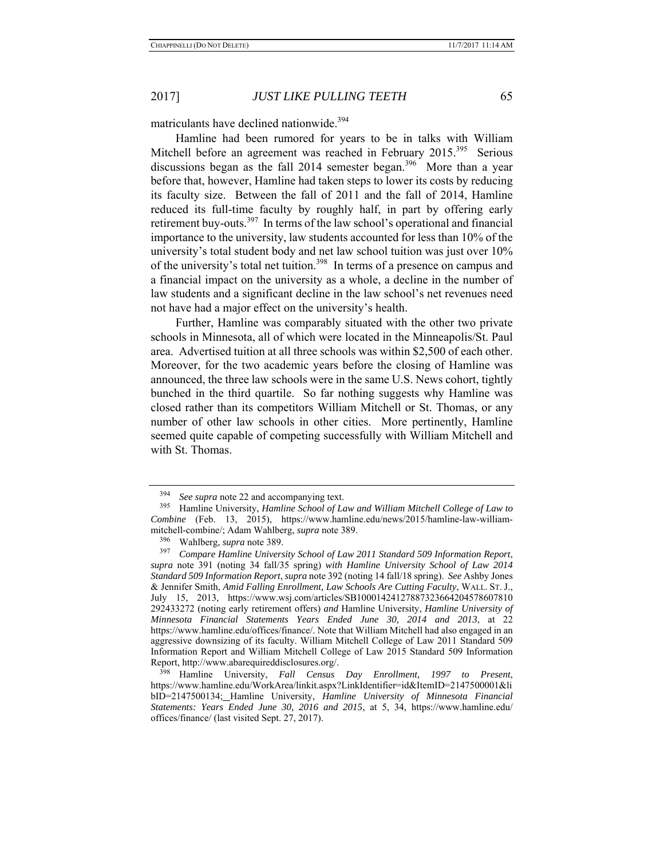matriculants have declined nationwide.<sup>394</sup>

Hamline had been rumored for years to be in talks with William Mitchell before an agreement was reached in February 2015.<sup>395</sup> Serious discussions began as the fall 2014 semester began.<sup>396</sup> More than a year before that, however, Hamline had taken steps to lower its costs by reducing its faculty size. Between the fall of 2011 and the fall of 2014, Hamline reduced its full-time faculty by roughly half, in part by offering early retirement buy-outs.397 In terms of the law school's operational and financial importance to the university, law students accounted for less than 10% of the university's total student body and net law school tuition was just over 10% of the university's total net tuition.<sup>398</sup> In terms of a presence on campus and a financial impact on the university as a whole, a decline in the number of law students and a significant decline in the law school's net revenues need not have had a major effect on the university's health.

Further, Hamline was comparably situated with the other two private schools in Minnesota, all of which were located in the Minneapolis/St. Paul area. Advertised tuition at all three schools was within \$2,500 of each other. Moreover, for the two academic years before the closing of Hamline was announced, the three law schools were in the same U.S. News cohort, tightly bunched in the third quartile. So far nothing suggests why Hamline was closed rather than its competitors William Mitchell or St. Thomas, or any number of other law schools in other cities. More pertinently, Hamline seemed quite capable of competing successfully with William Mitchell and with St. Thomas.

<sup>394</sup> *See supra* note 22 and accompanying text.

<sup>395</sup> Hamline University, *Hamline School of Law and William Mitchell College of Law to Combine* (Feb. 13, 2015), https://www.hamline.edu/news/2015/hamline-law-williammitchell-combine/; Adam Wahlberg, *supra* note 389.

<sup>396</sup> Wahlberg, *supra* note 389.

<sup>397</sup> *Compare Hamline University School of Law 2011 Standard 509 Information Report*, *supra* note 391 (noting 34 fall/35 spring) *with Hamline University School of Law 2014 Standard 509 Information Report*, *supra* note 392 (noting 14 fall/18 spring). *See* Ashby Jones & Jennifer Smith, *Amid Falling Enrollment, Law Schools Are Cutting Faculty*, WALL. ST. J., July 15, 2013, https://www.wsj.com/articles/SB10001424127887323664204578607810 292433272 (noting early retirement offers) *and* Hamline University, *Hamline University of Minnesota Financial Statements Years Ended June 30, 2014 and 2013*, at 22 https://www.hamline.edu/offices/finance/. Note that William Mitchell had also engaged in an aggressive downsizing of its faculty. William Mitchell College of Law 2011 Standard 509 Information Report and William Mitchell College of Law 2015 Standard 509 Information Report, http://www.abarequireddisclosures.org/.

<sup>398</sup> Hamline University, *Fall Census Day Enrollment, 1997 to Present*, https://www.hamline.edu/WorkArea/linkit.aspx?LinkIdentifier=id&ItemID=2147500001&li bID=2147500134; Hamline University, *Hamline University of Minnesota Financial Statements: Years Ended June 30, 2016 and 2015*, at 5, 34, https://www.hamline.edu/ offices/finance/ (last visited Sept. 27, 2017).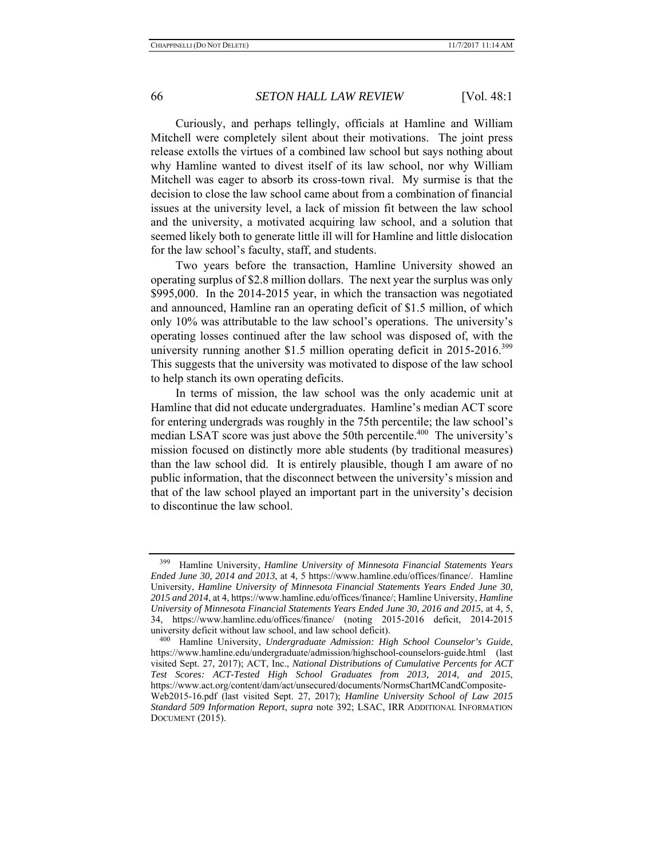Curiously, and perhaps tellingly, officials at Hamline and William Mitchell were completely silent about their motivations. The joint press release extolls the virtues of a combined law school but says nothing about why Hamline wanted to divest itself of its law school, nor why William Mitchell was eager to absorb its cross-town rival. My surmise is that the decision to close the law school came about from a combination of financial issues at the university level, a lack of mission fit between the law school and the university, a motivated acquiring law school, and a solution that seemed likely both to generate little ill will for Hamline and little dislocation for the law school's faculty, staff, and students.

Two years before the transaction, Hamline University showed an operating surplus of \$2.8 million dollars. The next year the surplus was only \$995,000. In the 2014-2015 year, in which the transaction was negotiated and announced, Hamline ran an operating deficit of \$1.5 million, of which only 10% was attributable to the law school's operations. The university's operating losses continued after the law school was disposed of, with the university running another \$1.5 million operating deficit in 2015-2016.<sup>399</sup> This suggests that the university was motivated to dispose of the law school to help stanch its own operating deficits.

In terms of mission, the law school was the only academic unit at Hamline that did not educate undergraduates. Hamline's median ACT score for entering undergrads was roughly in the 75th percentile; the law school's median LSAT score was just above the 50th percentile. $400$  The university's mission focused on distinctly more able students (by traditional measures) than the law school did. It is entirely plausible, though I am aware of no public information, that the disconnect between the university's mission and that of the law school played an important part in the university's decision to discontinue the law school.

<sup>399</sup> Hamline University, *Hamline University of Minnesota Financial Statements Years Ended June 30, 2014 and 2013*, at 4, 5 https://www.hamline.edu/offices/finance/. Hamline University, *Hamline University of Minnesota Financial Statements Years Ended June 30, 2015 and 2014*, at 4, https://www.hamline.edu/offices/finance/; Hamline University, *Hamline University of Minnesota Financial Statements Years Ended June 30, 2016 and 2015*, at 4, 5, 34, https://www.hamline.edu/offices/finance/ (noting 2015-2016 deficit, 2014-2015 university deficit without law school, and law school deficit). 400 Hamline University, *Undergraduate Admission: High School Counselor's Guide*,

https://www.hamline.edu/undergraduate/admission/highschool-counselors-guide.html (last visited Sept. 27, 2017); ACT, Inc., *National Distributions of Cumulative Percents for ACT Test Scores: ACT-Tested High School Graduates from 2013, 2014, and 2015*, https://www.act.org/content/dam/act/unsecured/documents/NormsChartMCandComposite-Web2015-16.pdf (last visited Sept. 27, 2017); *Hamline University School of Law 2015 Standard 509 Information Report*, *supra* note 392; LSAC, IRR ADDITIONAL INFORMATION DOCUMENT (2015).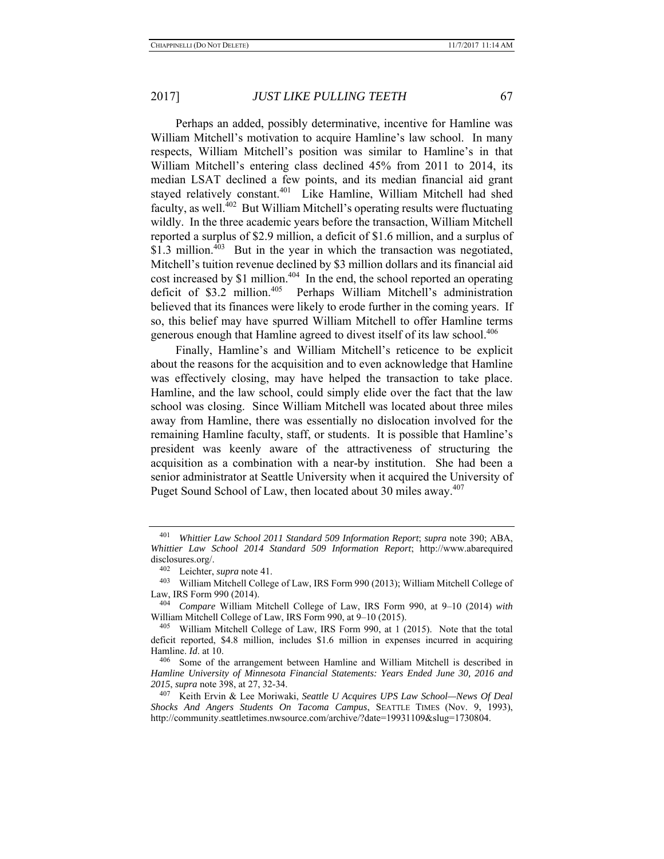Perhaps an added, possibly determinative, incentive for Hamline was William Mitchell's motivation to acquire Hamline's law school. In many respects, William Mitchell's position was similar to Hamline's in that William Mitchell's entering class declined 45% from 2011 to 2014, its median LSAT declined a few points, and its median financial aid grant stayed relatively constant.<sup>401</sup> Like Hamline, William Mitchell had shed faculty, as well.402 But William Mitchell's operating results were fluctuating wildly. In the three academic years before the transaction, William Mitchell reported a surplus of \$2.9 million, a deficit of \$1.6 million, and a surplus of \$1.3 million. $403$  But in the year in which the transaction was negotiated, Mitchell's tuition revenue declined by \$3 million dollars and its financial aid cost increased by \$1 million.<sup>404</sup> In the end, the school reported an operating deficit of \$3.2 million.405 Perhaps William Mitchell's administration believed that its finances were likely to erode further in the coming years. If so, this belief may have spurred William Mitchell to offer Hamline terms generous enough that Hamline agreed to divest itself of its law school.<sup>406</sup>

Finally, Hamline's and William Mitchell's reticence to be explicit about the reasons for the acquisition and to even acknowledge that Hamline was effectively closing, may have helped the transaction to take place. Hamline, and the law school, could simply elide over the fact that the law school was closing. Since William Mitchell was located about three miles away from Hamline, there was essentially no dislocation involved for the remaining Hamline faculty, staff, or students. It is possible that Hamline's president was keenly aware of the attractiveness of structuring the acquisition as a combination with a near-by institution. She had been a senior administrator at Seattle University when it acquired the University of Puget Sound School of Law, then located about 30 miles away.<sup>407</sup>

<sup>401</sup> *Whittier Law School 2011 Standard 509 Information Report*; *supra* note 390; ABA, *Whittier Law School 2014 Standard 509 Information Report*; http://www.abarequired disclosures.org/.

<sup>402</sup> Leichter, *supra* note 41.

<sup>403</sup> William Mitchell College of Law, IRS Form 990 (2013); William Mitchell College of Law, IRS Form 990 (2014).

<sup>404</sup> *Compare* William Mitchell College of Law, IRS Form 990, at 9–10 (2014) *with* William Mitchell College of Law, IRS Form 990, at 9–10 (2015).<br><sup>405</sup> William Mitchell College of Law, IRS Form 990, at 1 (2015). Note that the total

deficit reported, \$4.8 million, includes \$1.6 million in expenses incurred in acquiring Hamline. *Id*. at 10.

Some of the arrangement between Hamline and William Mitchell is described in *Hamline University of Minnesota Financial Statements: Years Ended June 30, 2016 and 2015*, *supra* note 398, at 27, 32-34.

<sup>407</sup> Keith Ervin & Lee Moriwaki, *Seattle U Acquires UPS Law School—News Of Deal Shocks And Angers Students On Tacoma Campus*, SEATTLE TIMES (Nov. 9, 1993), http://community.seattletimes.nwsource.com/archive/?date=19931109&slug=1730804.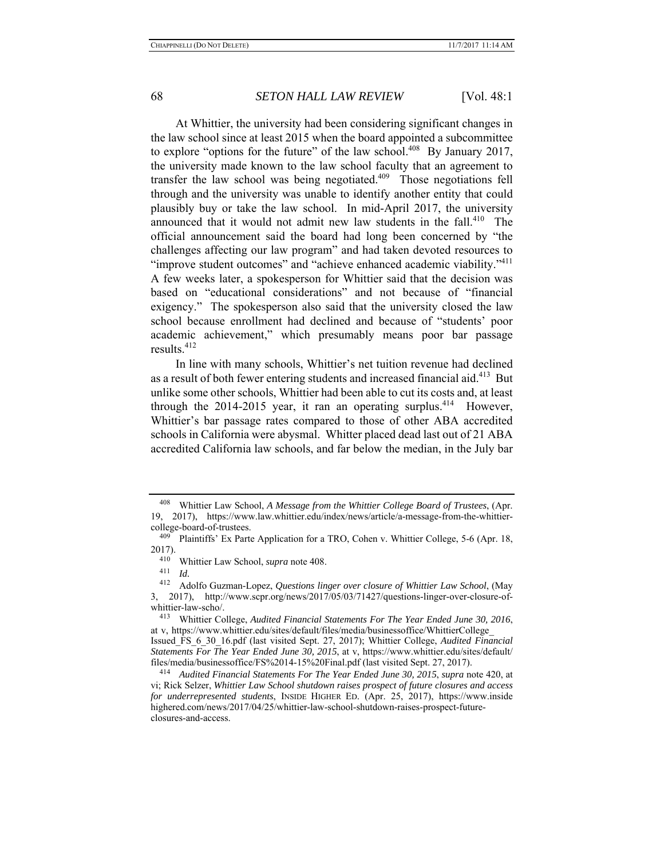At Whittier, the university had been considering significant changes in the law school since at least 2015 when the board appointed a subcommittee to explore "options for the future" of the law school.<sup>408</sup> By January 2017, the university made known to the law school faculty that an agreement to transfer the law school was being negotiated. $409$  Those negotiations fell through and the university was unable to identify another entity that could plausibly buy or take the law school. In mid-April 2017, the university announced that it would not admit new law students in the fall.<sup>410</sup> The official announcement said the board had long been concerned by "the challenges affecting our law program" and had taken devoted resources to "improve student outcomes" and "achieve enhanced academic viability."<sup>411</sup> A few weeks later, a spokesperson for Whittier said that the decision was based on "educational considerations" and not because of "financial exigency." The spokesperson also said that the university closed the law school because enrollment had declined and because of "students' poor academic achievement," which presumably means poor bar passage results.<sup>412</sup>

In line with many schools, Whittier's net tuition revenue had declined as a result of both fewer entering students and increased financial aid.<sup>413</sup> But unlike some other schools, Whittier had been able to cut its costs and, at least through the  $2014$ - $2015$  year, it ran an operating surplus.<sup>414</sup> However, Whittier's bar passage rates compared to those of other ABA accredited schools in California were abysmal. Whitter placed dead last out of 21 ABA accredited California law schools, and far below the median, in the July bar

<sup>408</sup> Whittier Law School, *A Message from the Whittier College Board of Trustees*, (Apr. 19, 2017), https://www.law.whittier.edu/index/news/article/a-message-from-the-whittiercollege-board-of-trustees.

<sup>&</sup>lt;sup>409</sup> Plaintiffs' Ex Parte Application for a TRO, Cohen v. Whittier College, 5-6 (Apr. 18,  $2017$ ).<br> $410$ 

<sup>410</sup> Whittier Law School, *supra* note 408. 411 *Id.* 412 Adolfo Guzman-Lopez, *Questions linger over closure of Whittier Law School*, (May 3, 2017), http://www.scpr.org/news/2017/05/03/71427/questions-linger-over-closure-ofwhittier-law-scho/.

<sup>413</sup> Whittier College, *Audited Financial Statements For The Year Ended June 30, 2016*, at-v,-https://www.whittier.edu/sites/default/files/media/businessoffice/WhittierCollege Issued\_FS\_6\_30\_16.pdf (last visited Sept. 27, 2017); Whittier College, *Audited Financial* 

*Statements For The Year Ended June 30, 2015*, at v, https://www.whittier.edu/sites/default/ files/media/businessoffice/FS%2014-15%20Final.pdf (last visited Sept. 27, 2017). 414 *Audited Financial Statements For The Year Ended June 30, 2015*, *supra* note 420, at

vi; Rick Selzer, *Whittier Law School shutdown raises prospect of future closures and access for underrepresented students*, INSIDE HIGHER ED. (Apr. 25, 2017), https://www.inside highered.com/news/2017/04/25/whittier-law-school-shutdown-raises-prospect-futureclosures-and-access.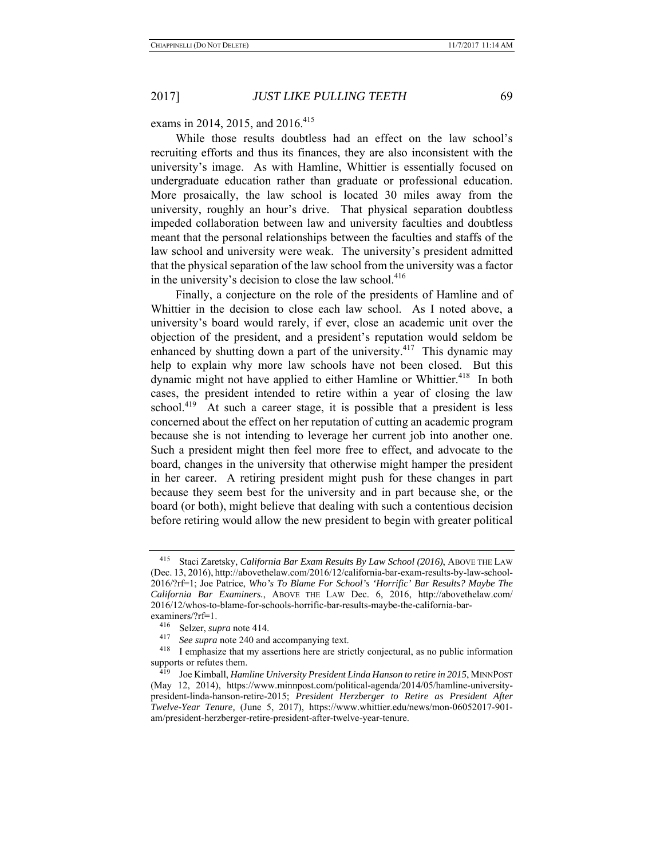exams in 2014, 2015, and 2016.<sup>415</sup>

While those results doubtless had an effect on the law school's recruiting efforts and thus its finances, they are also inconsistent with the university's image. As with Hamline, Whittier is essentially focused on undergraduate education rather than graduate or professional education. More prosaically, the law school is located 30 miles away from the university, roughly an hour's drive. That physical separation doubtless impeded collaboration between law and university faculties and doubtless meant that the personal relationships between the faculties and staffs of the law school and university were weak. The university's president admitted that the physical separation of the law school from the university was a factor in the university's decision to close the law school.<sup>416</sup>

Finally, a conjecture on the role of the presidents of Hamline and of Whittier in the decision to close each law school. As I noted above, a university's board would rarely, if ever, close an academic unit over the objection of the president, and a president's reputation would seldom be enhanced by shutting down a part of the university.<sup>417</sup> This dynamic may help to explain why more law schools have not been closed. But this dynamic might not have applied to either Hamline or Whittier.<sup>418</sup> In both cases, the president intended to retire within a year of closing the law school.<sup>419</sup> At such a career stage, it is possible that a president is less concerned about the effect on her reputation of cutting an academic program because she is not intending to leverage her current job into another one. Such a president might then feel more free to effect, and advocate to the board, changes in the university that otherwise might hamper the president in her career. A retiring president might push for these changes in part because they seem best for the university and in part because she, or the board (or both), might believe that dealing with such a contentious decision before retiring would allow the new president to begin with greater political

<sup>415</sup> Staci Zaretsky, *California Bar Exam Results By Law School (2016)*, ABOVE THE LAW (Dec. 13, 2016), http://abovethelaw.com/2016/12/california-bar-exam-results-by-law-school-2016/?rf=1; Joe Patrice, *Who's To Blame For School's 'Horrific' Bar Results? Maybe The California Bar Examiners.*, ABOVE THE LAW Dec. 6, 2016, http://abovethelaw.com/ 2016/12/whos-to-blame-for-schools-horrific-bar-results-maybe-the-california-barexaminers/?rf=1.

 $^{416}$  Selzer, *supra* note 414.<br><sup>417</sup> See supra note 240 and

See supra note 240 and accompanying text.

<sup>418</sup> I emphasize that my assertions here are strictly conjectural, as no public information supports or refutes them.

<sup>419</sup> Joe Kimball, *Hamline University President Linda Hanson to retire in 2015*, MINNPOST (May 12, 2014), https://www.minnpost.com/political-agenda/2014/05/hamline-universitypresident-linda-hanson-retire-2015; *President Herzberger to Retire as President After Twelve-Year Tenure,* (June 5, 2017), https://www.whittier.edu/news/mon-06052017-901 am/president-herzberger-retire-president-after-twelve-year-tenure.